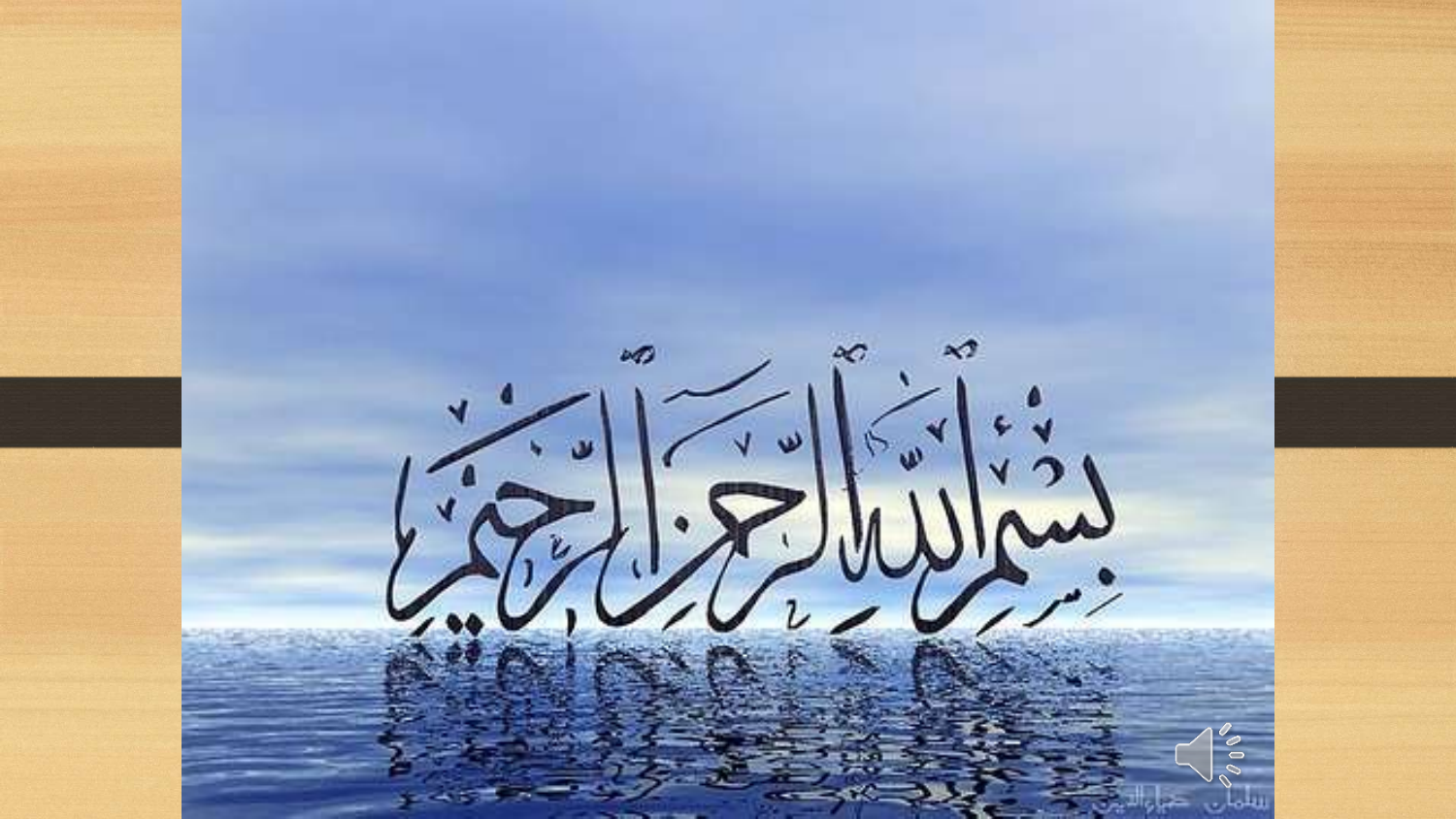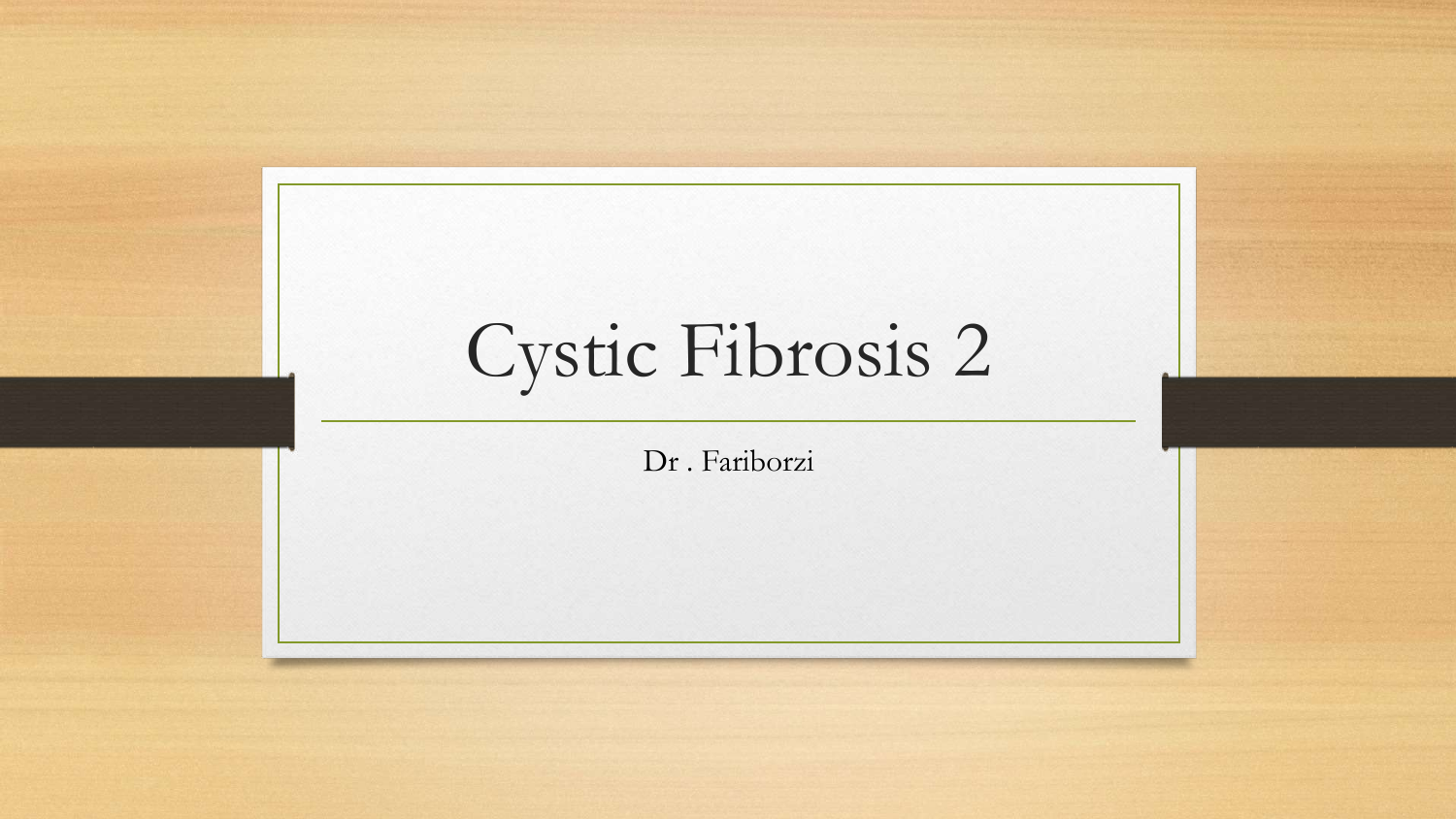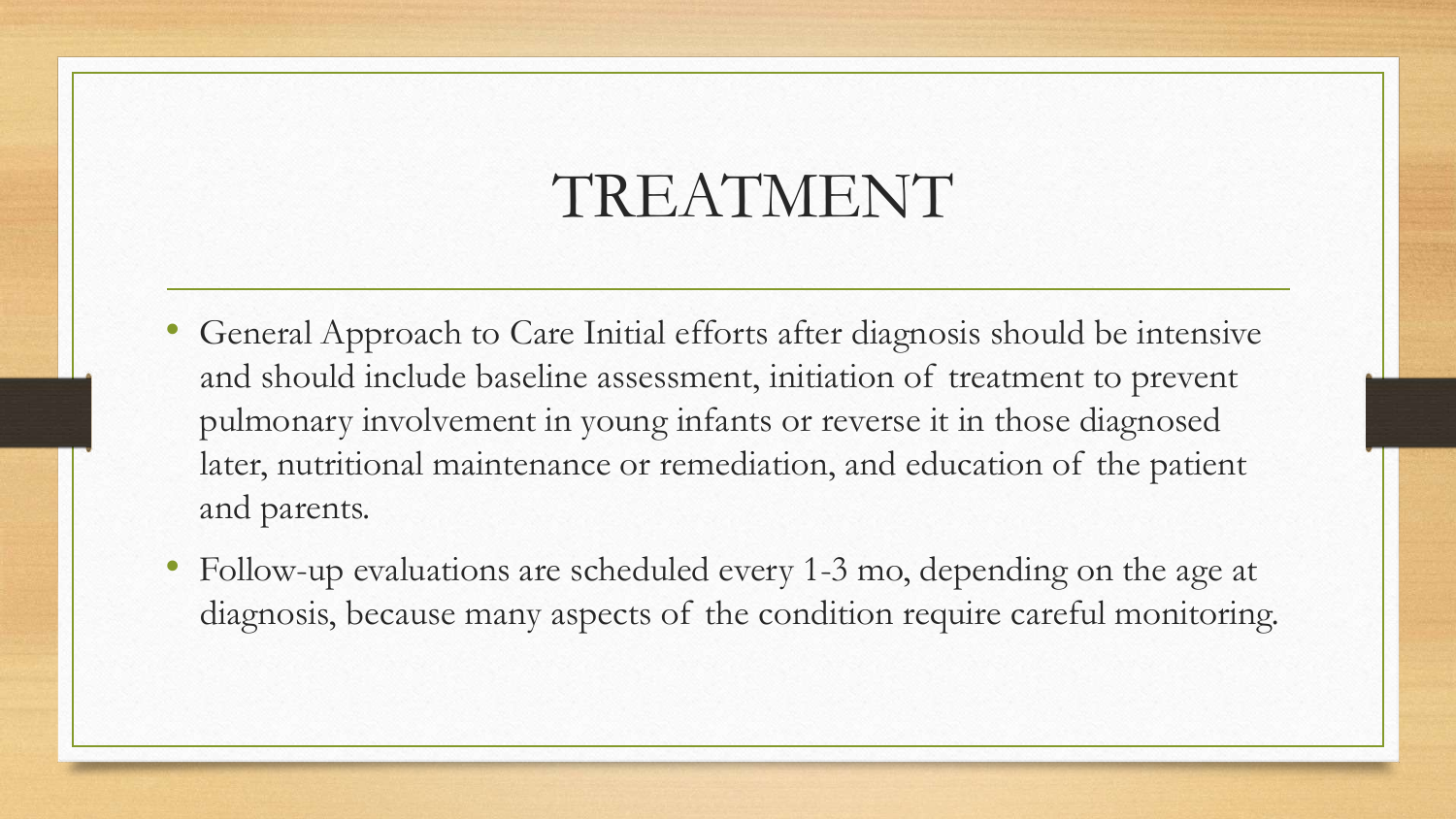#### TREATMENT

- General Approach to Care Initial efforts after diagnosis should be intensive and should include baseline assessment, initiation of treatment to prevent pulmonary involvement in young infants or reverse it in those diagnosed later, nutritional maintenance or remediation, and education of the patient and parents.
- Follow-up evaluations are scheduled every 1-3 mo, depending on the age at diagnosis, because many aspects of the condition require careful monitoring.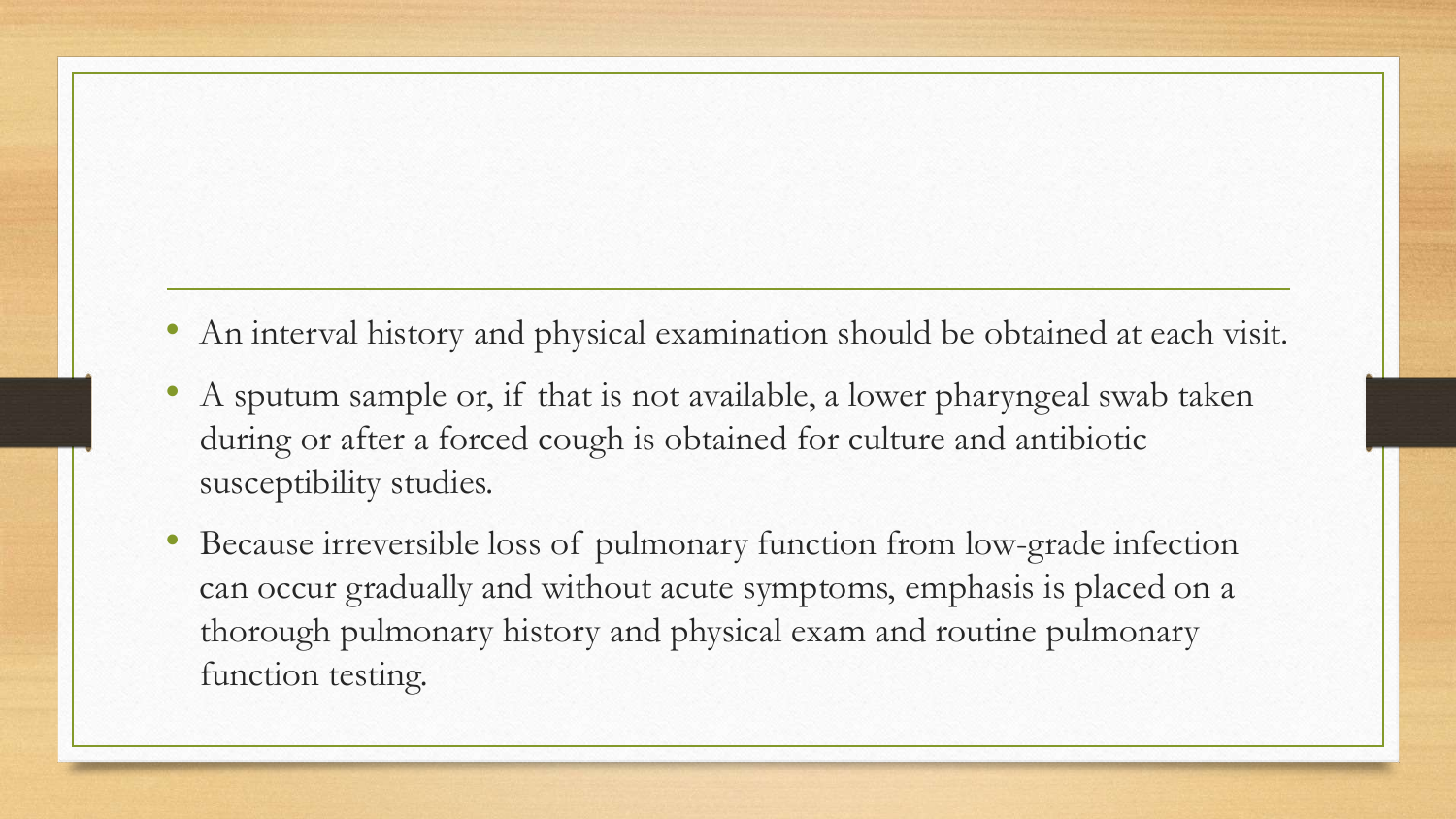- An interval history and physical examination should be obtained at each visit.
- A sputum sample or, if that is not available, a lower pharyngeal swab taken during or after a forced cough is obtained for culture and antibiotic susceptibility studies.
- Because irreversible loss of pulmonary function from low-grade infection can occur gradually and without acute symptoms, emphasis is placed on a thorough pulmonary history and physical exam and routine pulmonary function testing.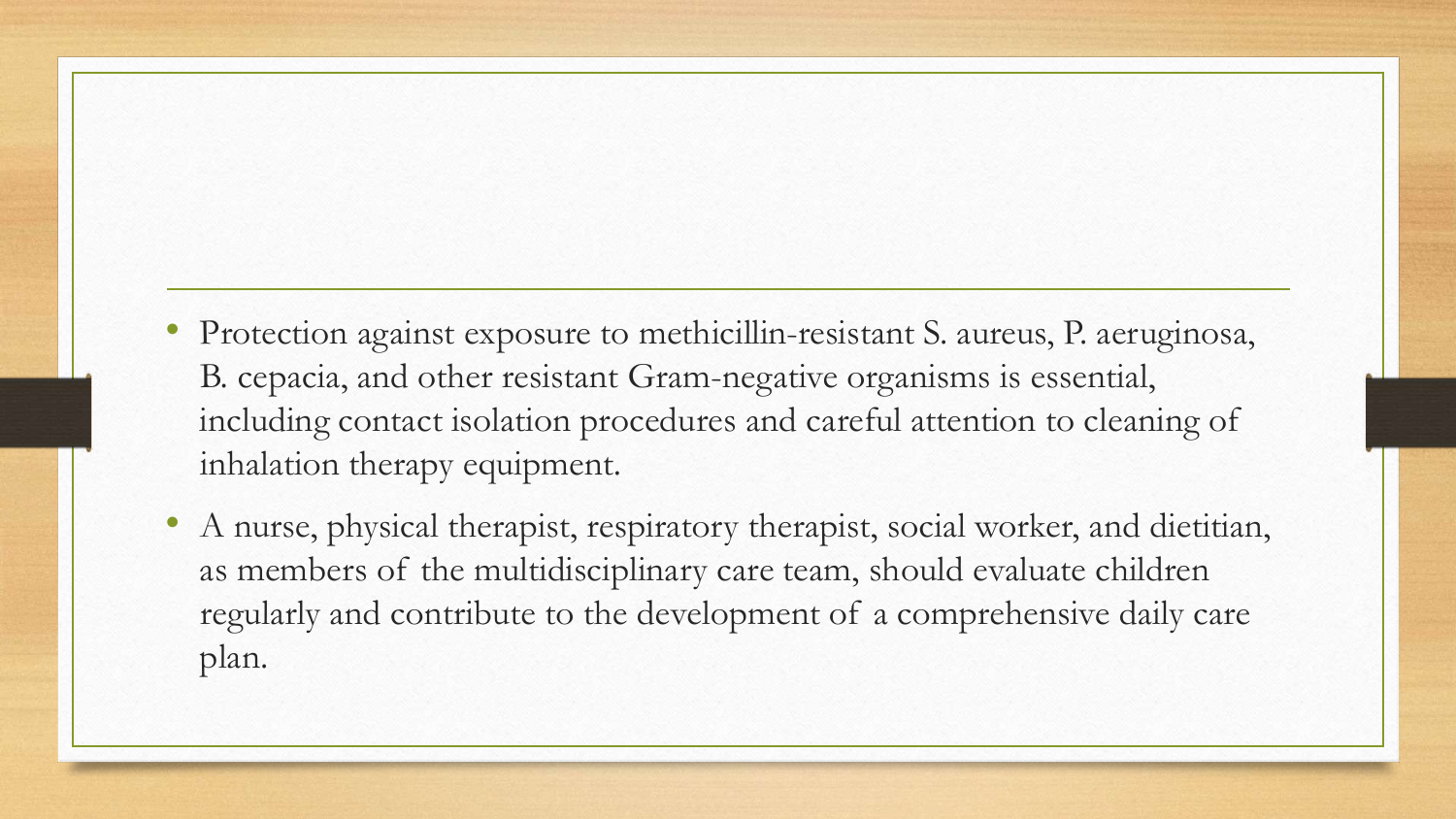- Protection against exposure to methicillin-resistant S. aureus, P. aeruginosa, B. cepacia, and other resistant Gram-negative organisms is essential, including contact isolation procedures and careful attention to cleaning of inhalation therapy equipment.
- A nurse, physical therapist, respiratory therapist, social worker, and dietitian, as members of the multidisciplinary care team, should evaluate children regularly and contribute to the development of a comprehensive daily care plan.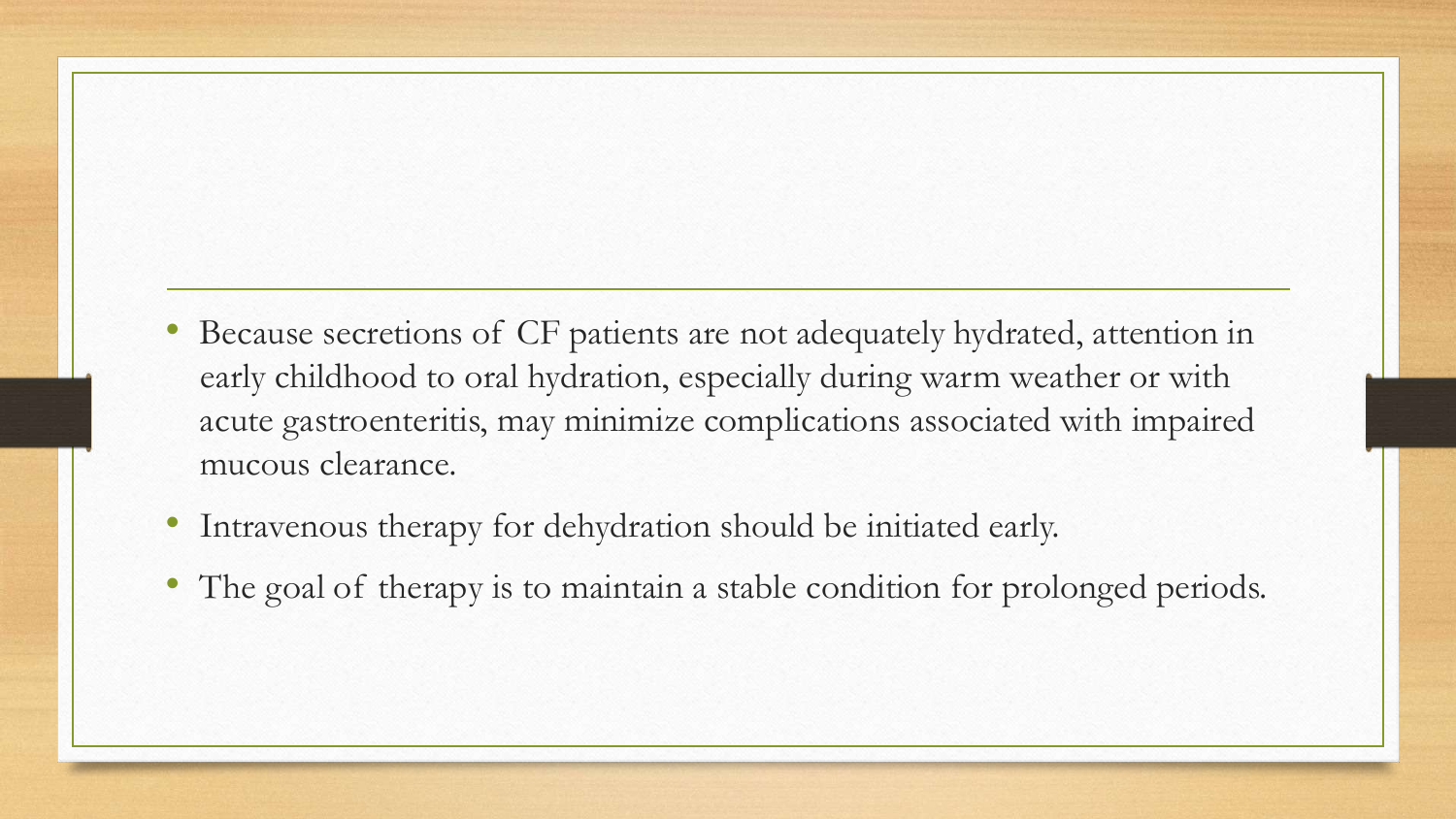- Because secretions of CF patients are not adequately hydrated, attention in early childhood to oral hydration, especially during warm weather or with acute gastroenteritis, may minimize complications associated with impaired mucous clearance.
- Intravenous therapy for dehydration should be initiated early.
- The goal of therapy is to maintain a stable condition for prolonged periods.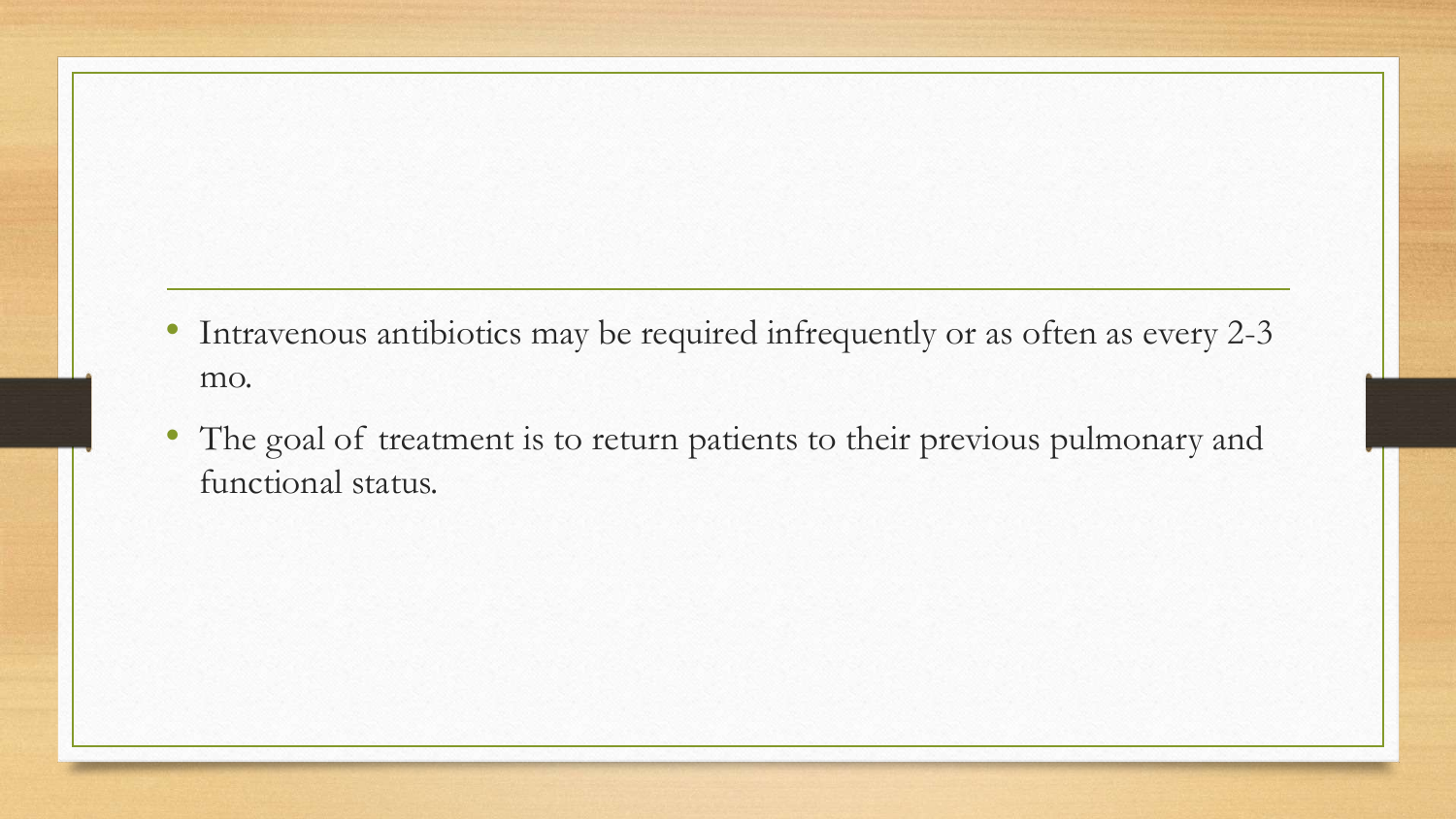- Intravenous antibiotics may be required infrequently or as often as every 2-3 mo.
- The goal of treatment is to return patients to their previous pulmonary and functional status.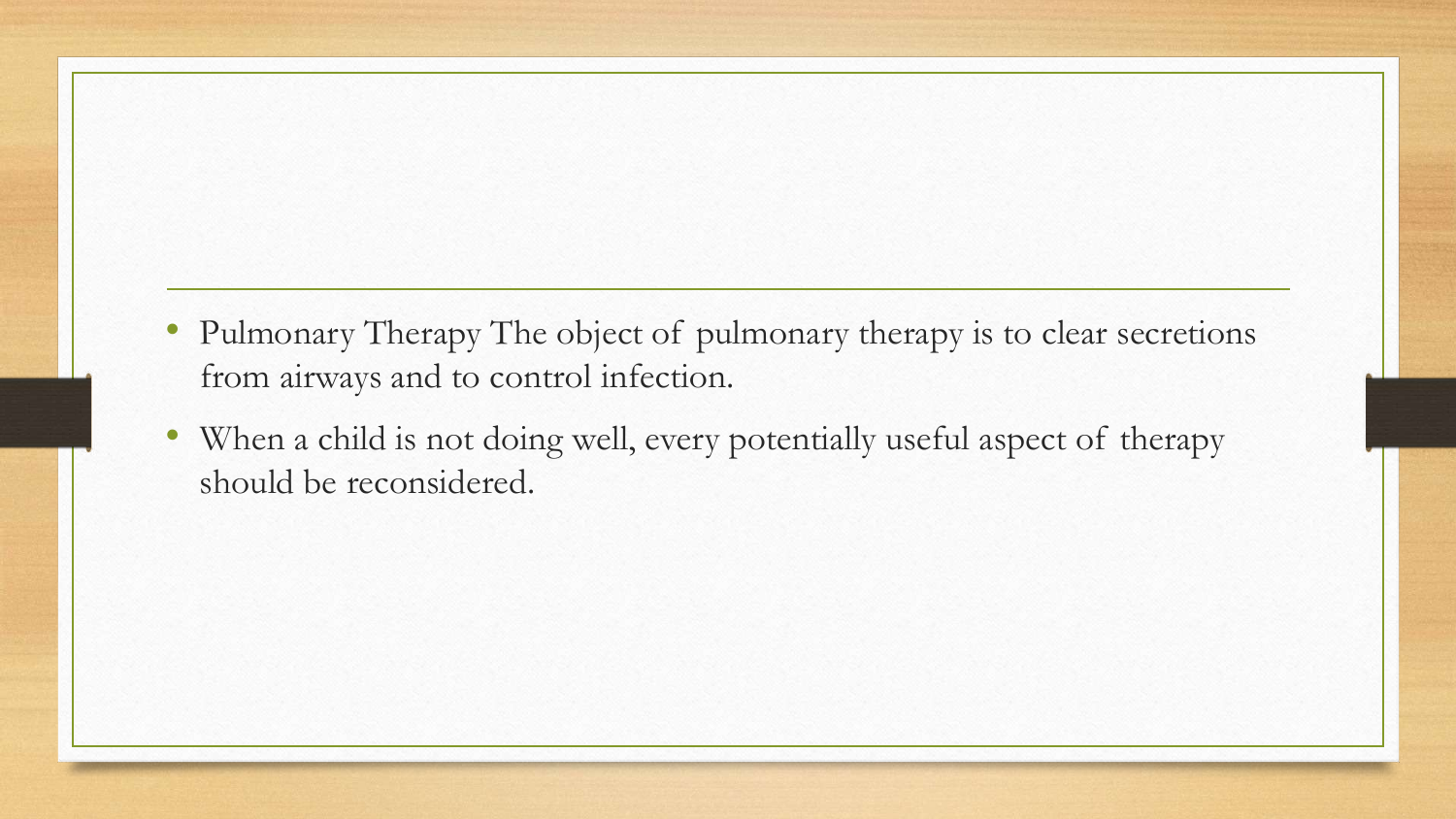- Pulmonary Therapy The object of pulmonary therapy is to clear secretions from airways and to control infection.
- When a child is not doing well, every potentially useful aspect of therapy should be reconsidered.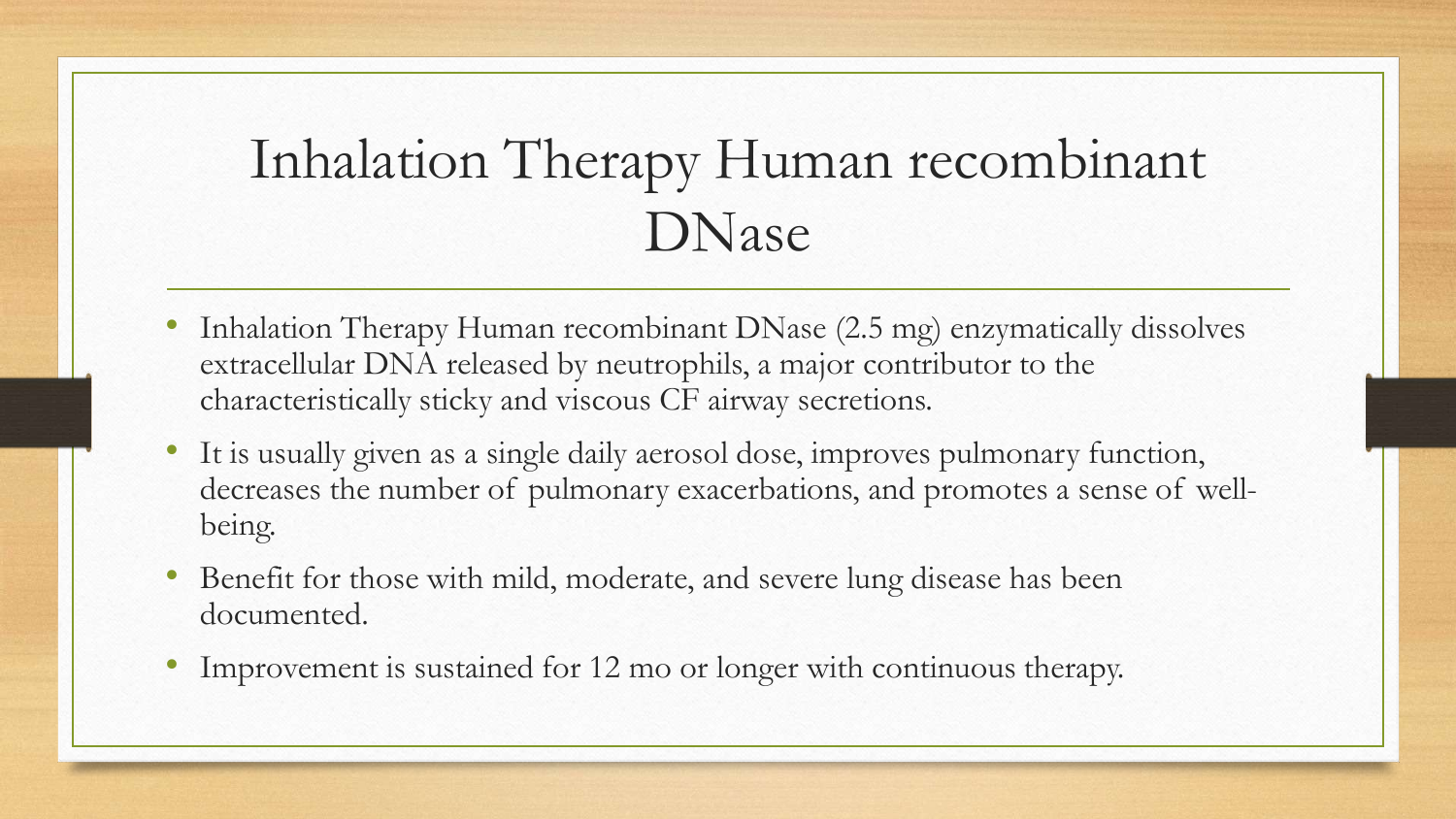#### Inhalation Therapy Human recombinant DNase

- Inhalation Therapy Human recombinant DNase (2.5 mg) enzymatically dissolves extracellular DNA released by neutrophils, a major contributor to the characteristically sticky and viscous CF airway secretions.
- It is usually given as a single daily aerosol dose, improves pulmonary function, decreases the number of pulmonary exacerbations, and promotes a sense of wellbeing.
- Benefit for those with mild, moderate, and severe lung disease has been documented.
- Improvement is sustained for 12 mo or longer with continuous therapy.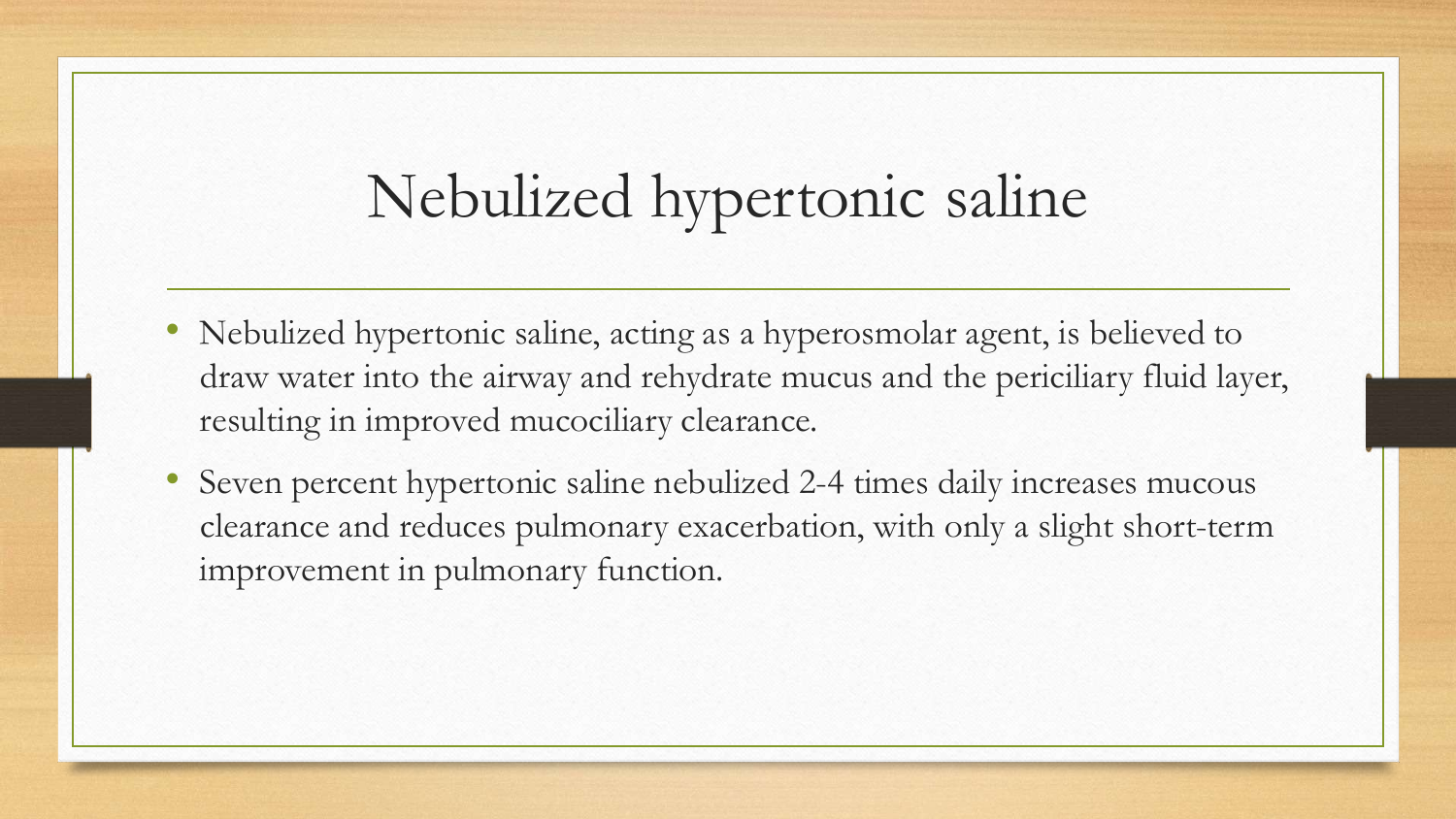## Nebulized hypertonic saline

- Nebulized hypertonic saline, acting as a hyperosmolar agent, is believed to draw water into the airway and rehydrate mucus and the periciliary fluid layer, resulting in improved mucociliary clearance.
- Seven percent hypertonic saline nebulized 2-4 times daily increases mucous clearance and reduces pulmonary exacerbation, with only a slight short-term improvement in pulmonary function.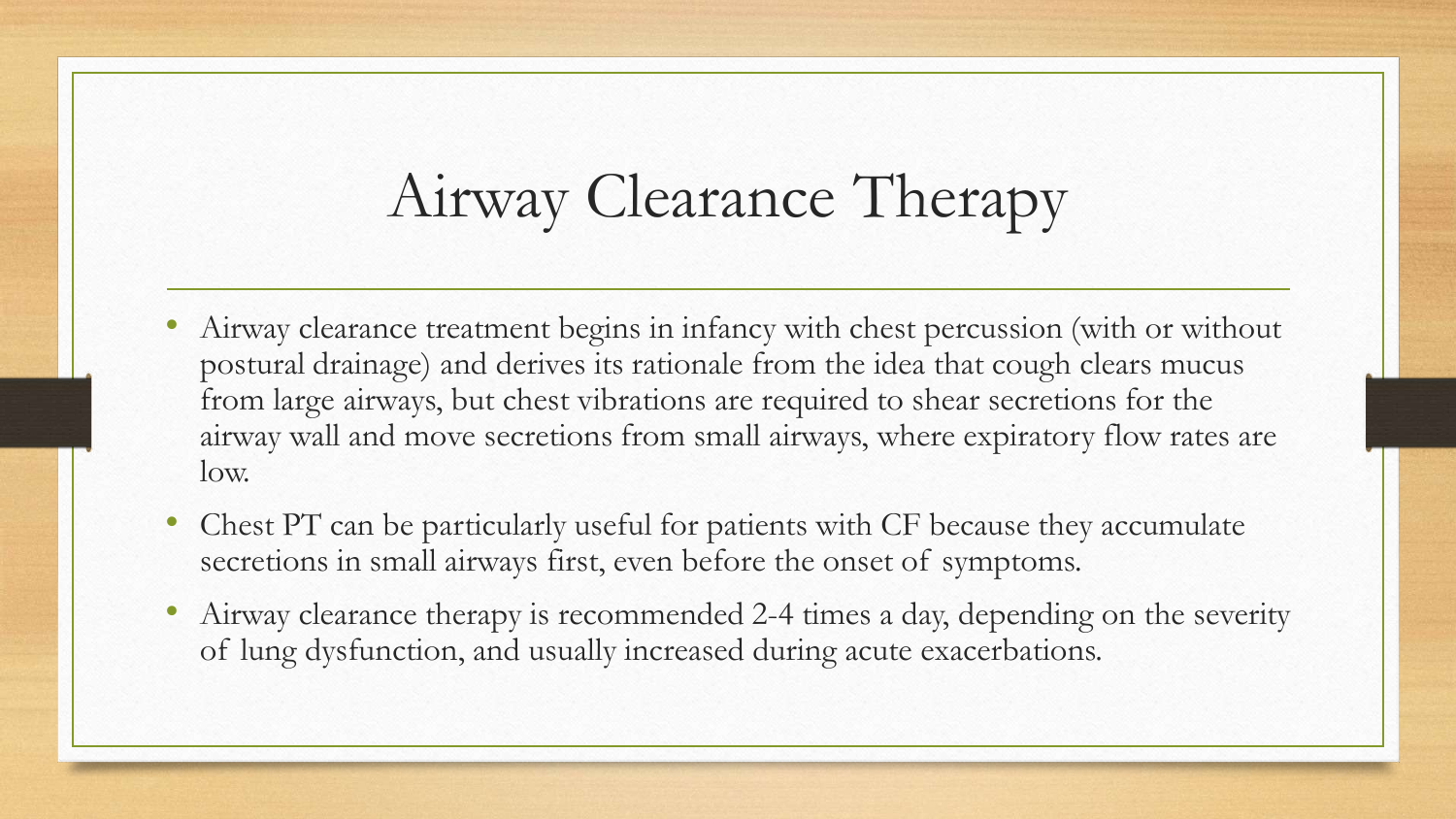## Airway Clearance Therapy

- Airway clearance treatment begins in infancy with chest percussion (with or without postural drainage) and derives its rationale from the idea that cough clears mucus from large airways, but chest vibrations are required to shear secretions for the airway wall and move secretions from small airways, where expiratory flow rates are low.
- Chest PT can be particularly useful for patients with CF because they accumulate secretions in small airways first, even before the onset of symptoms.
- Airway clearance therapy is recommended 2-4 times a day, depending on the severity of lung dysfunction, and usually increased during acute exacerbations.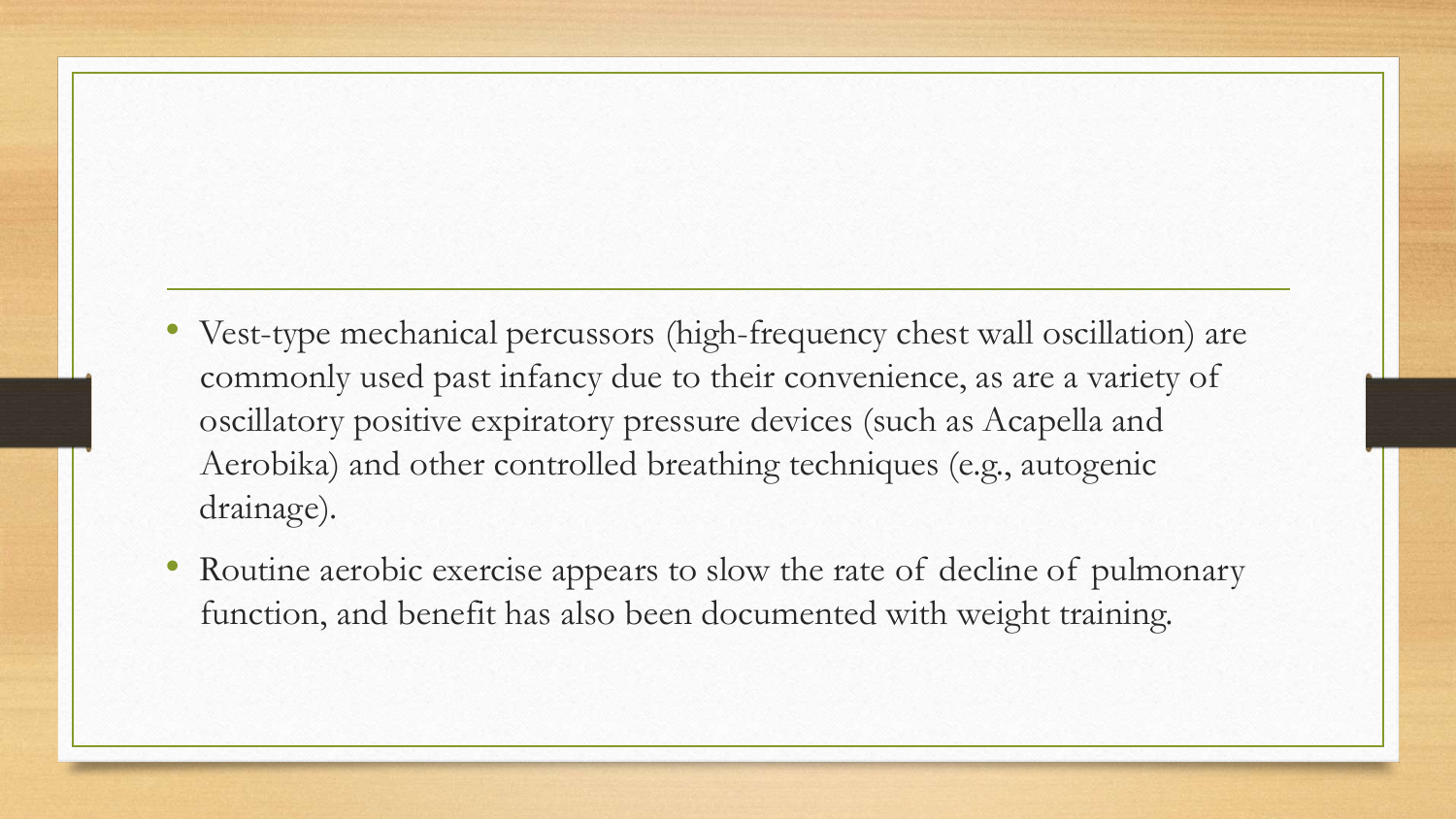- Vest-type mechanical percussors (high-frequency chest wall oscillation) are commonly used past infancy due to their convenience, as are a variety of oscillatory positive expiratory pressure devices (such as Acapella and Aerobika) and other controlled breathing techniques (e.g., autogenic drainage).
- Routine aerobic exercise appears to slow the rate of decline of pulmonary function, and benefit has also been documented with weight training.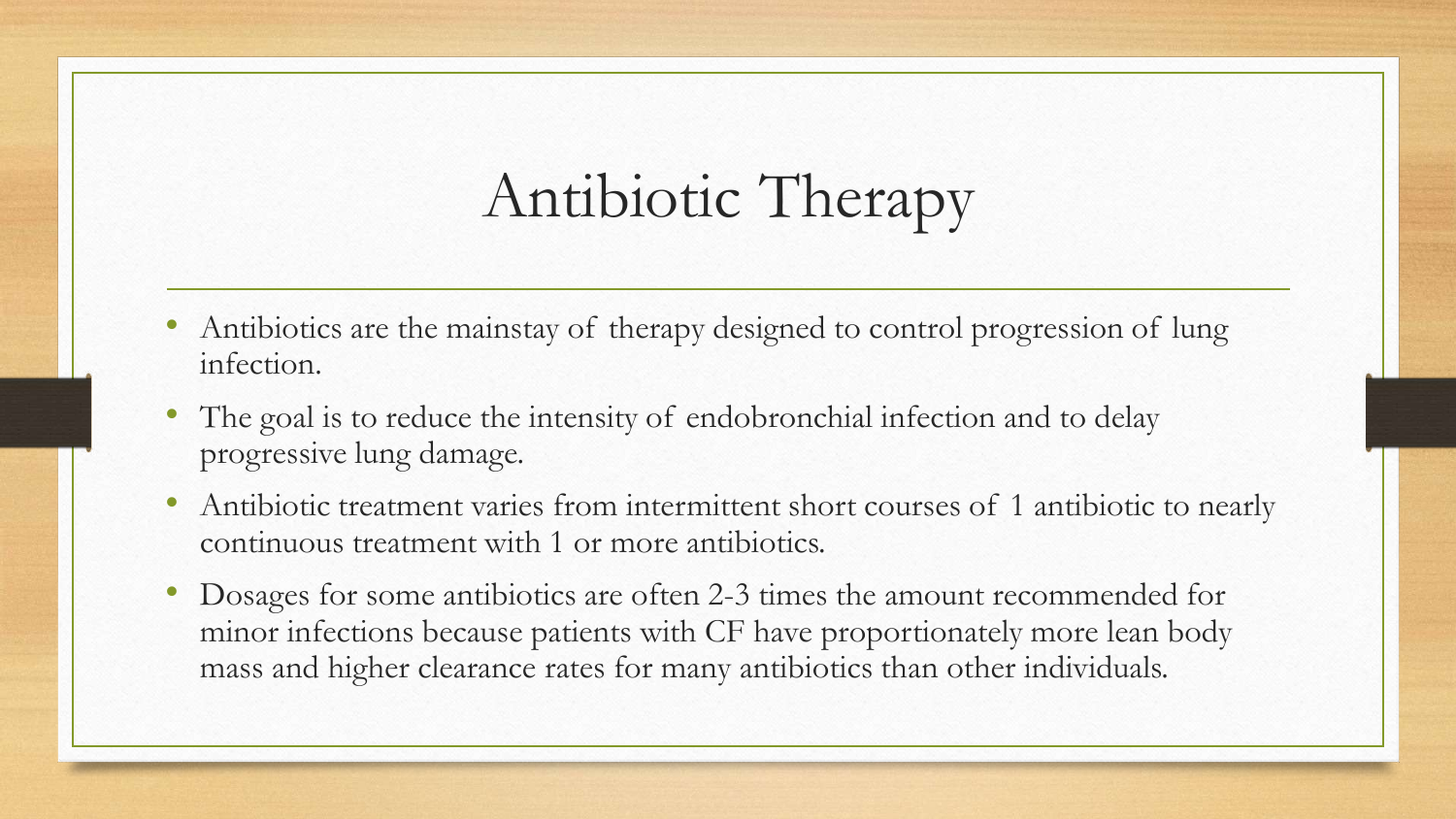## Antibiotic Therapy

- Antibiotics are the mainstay of therapy designed to control progression of lung infection.
- The goal is to reduce the intensity of endobronchial infection and to delay progressive lung damage.
- Antibiotic treatment varies from intermittent short courses of 1 antibiotic to nearly continuous treatment with 1 or more antibiotics.
- Dosages for some antibiotics are often 2-3 times the amount recommended for minor infections because patients with CF have proportionately more lean body mass and higher clearance rates for many antibiotics than other individuals.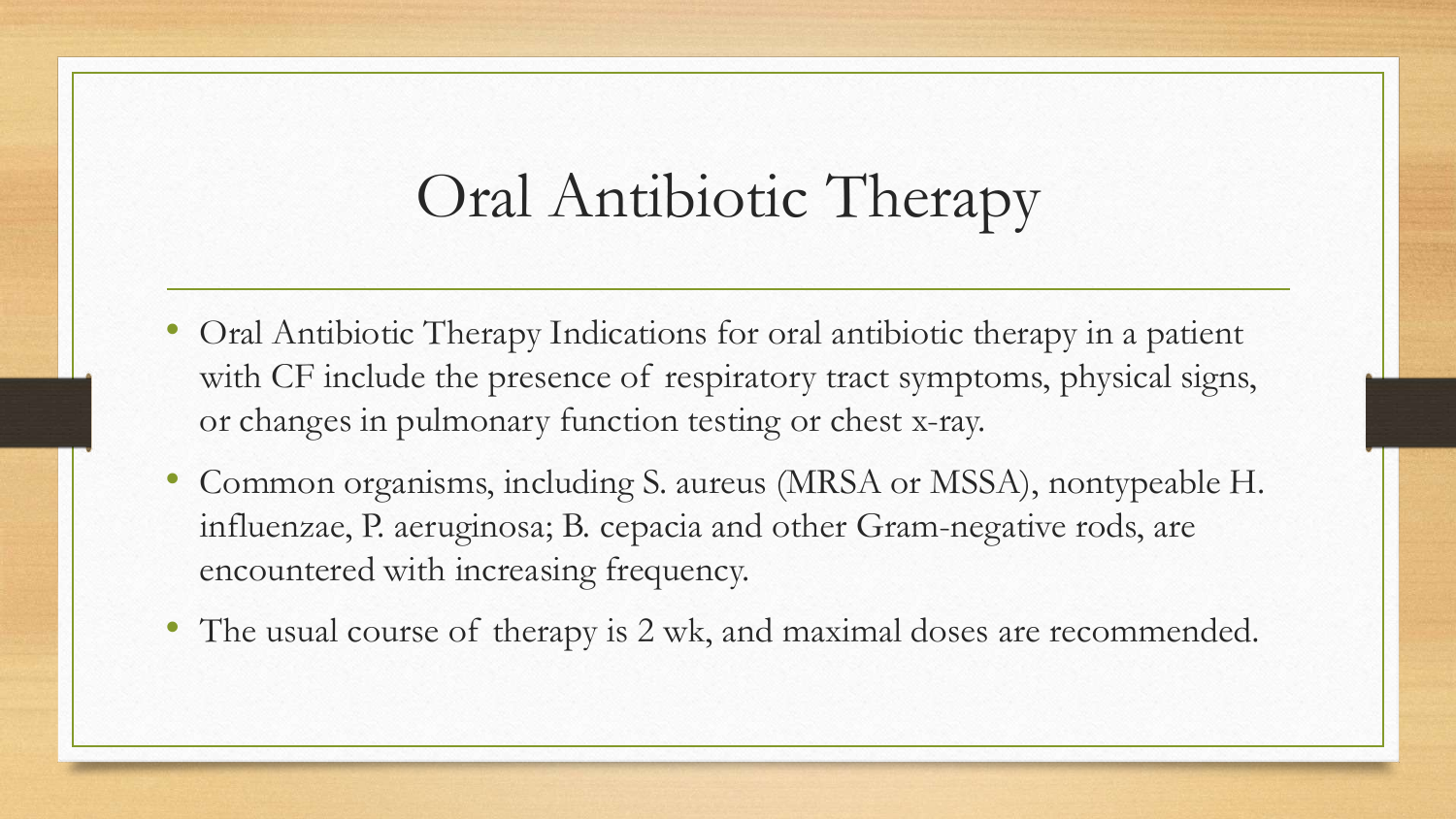## Oral Antibiotic Therapy

- Oral Antibiotic Therapy Indications for oral antibiotic therapy in a patient with CF include the presence of respiratory tract symptoms, physical signs, or changes in pulmonary function testing or chest x-ray.
- Common organisms, including S. aureus (MRSA or MSSA), nontypeable H. influenzae, P. aeruginosa; B. cepacia and other Gram-negative rods, are encountered with increasing frequency.
- The usual course of therapy is 2 wk, and maximal doses are recommended.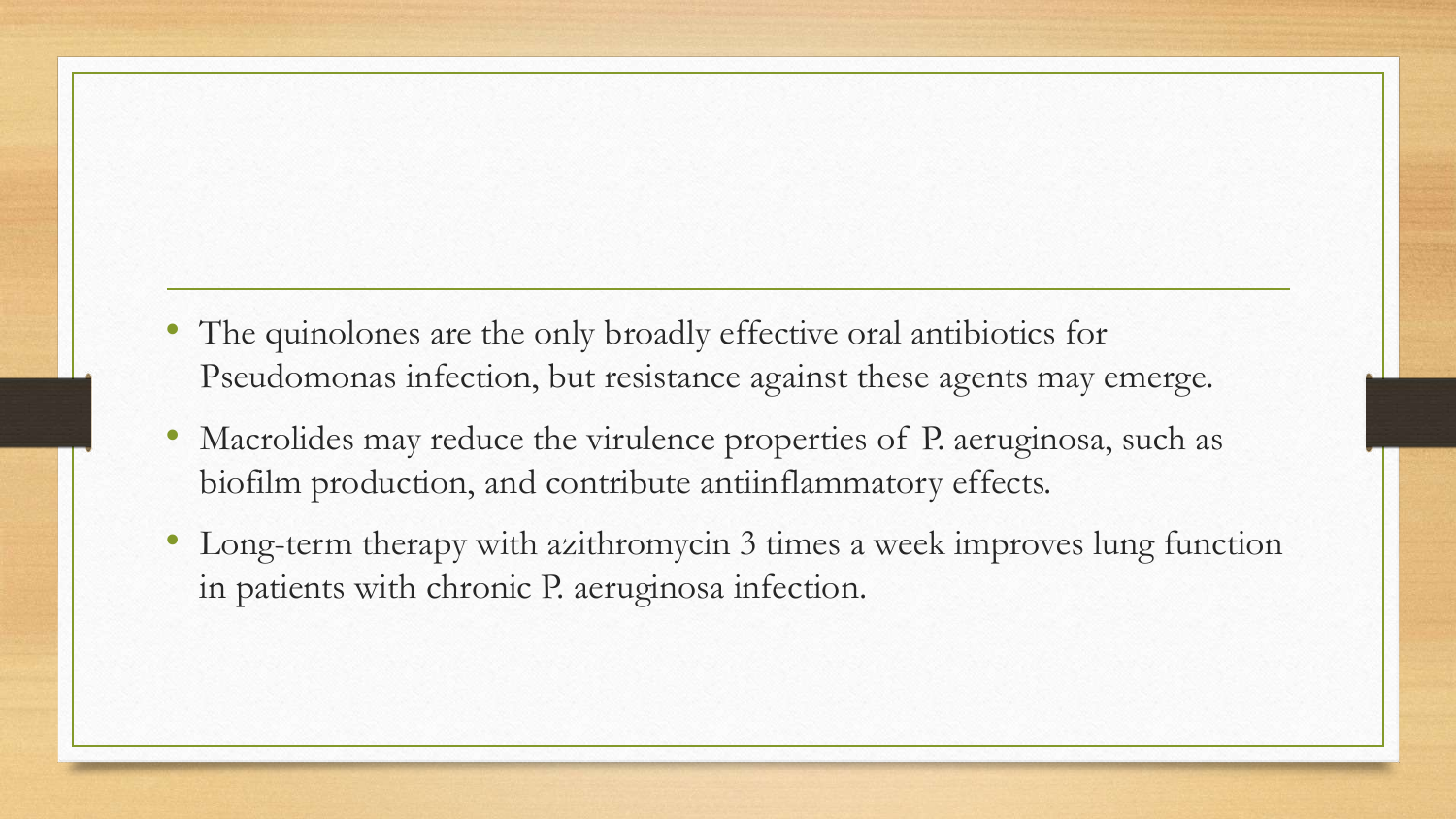- The quinolones are the only broadly effective oral antibiotics for Pseudomonas infection, but resistance against these agents may emerge.
- Macrolides may reduce the virulence properties of P. aeruginosa, such as biofilm production, and contribute antiinflammatory effects.
- Long-term therapy with azithromycin 3 times a week improves lung function in patients with chronic P. aeruginosa infection.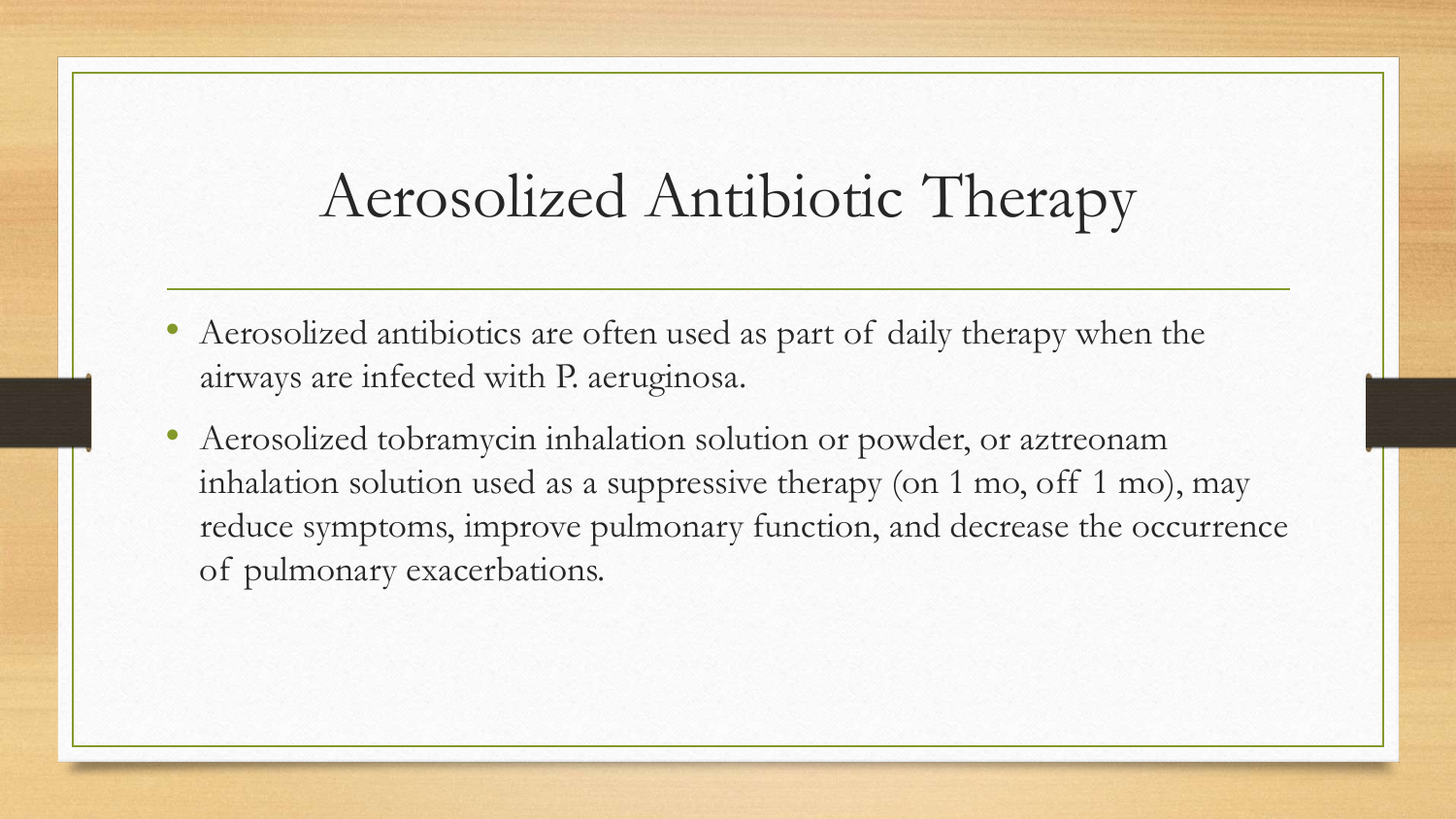#### Aerosolized Antibiotic Therapy

- Aerosolized antibiotics are often used as part of daily therapy when the airways are infected with P. aeruginosa.
- Aerosolized tobramycin inhalation solution or powder, or aztreonam inhalation solution used as a suppressive therapy (on 1 mo, off 1 mo), may reduce symptoms, improve pulmonary function, and decrease the occurrence of pulmonary exacerbations.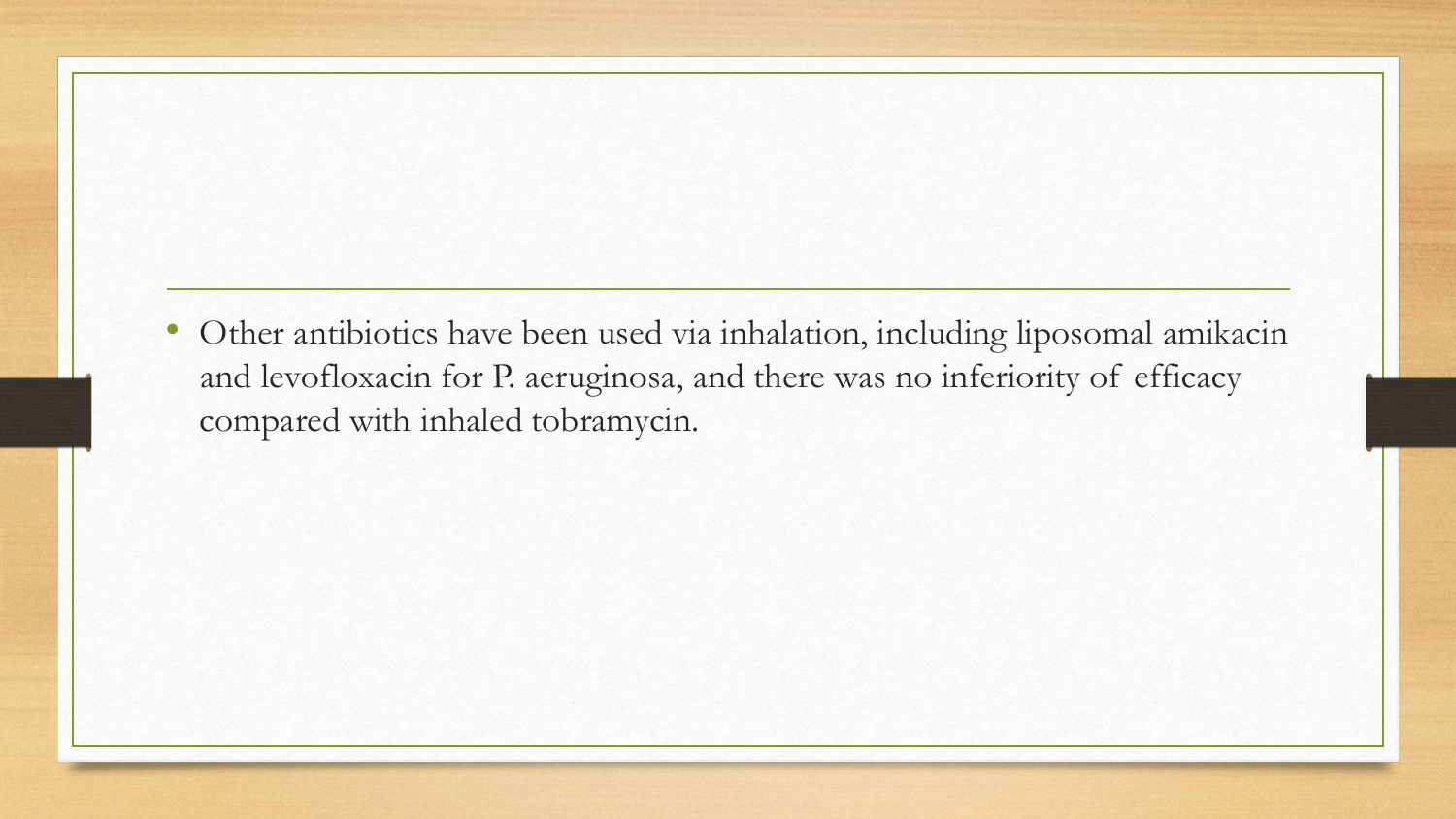• Other antibiotics have been used via inhalation, including liposomal amikacin and levofloxacin for P. aeruginosa, and there was no inferiority of efficacy compared with inhaled tobramycin.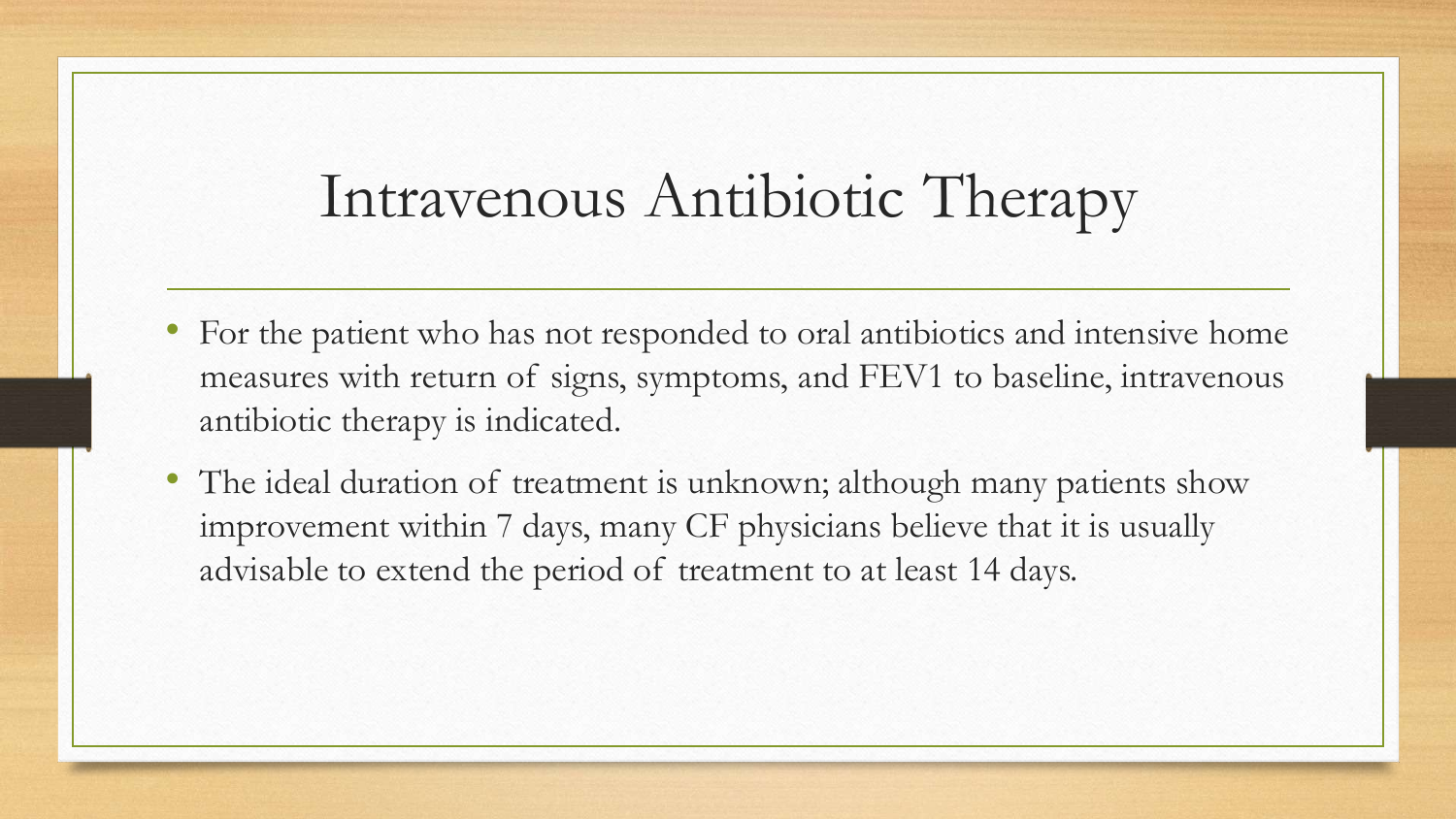### Intravenous Antibiotic Therapy

- For the patient who has not responded to oral antibiotics and intensive home measures with return of signs, symptoms, and FEV1 to baseline, intravenous antibiotic therapy is indicated.
- The ideal duration of treatment is unknown; although many patients show improvement within 7 days, many CF physicians believe that it is usually advisable to extend the period of treatment to at least 14 days.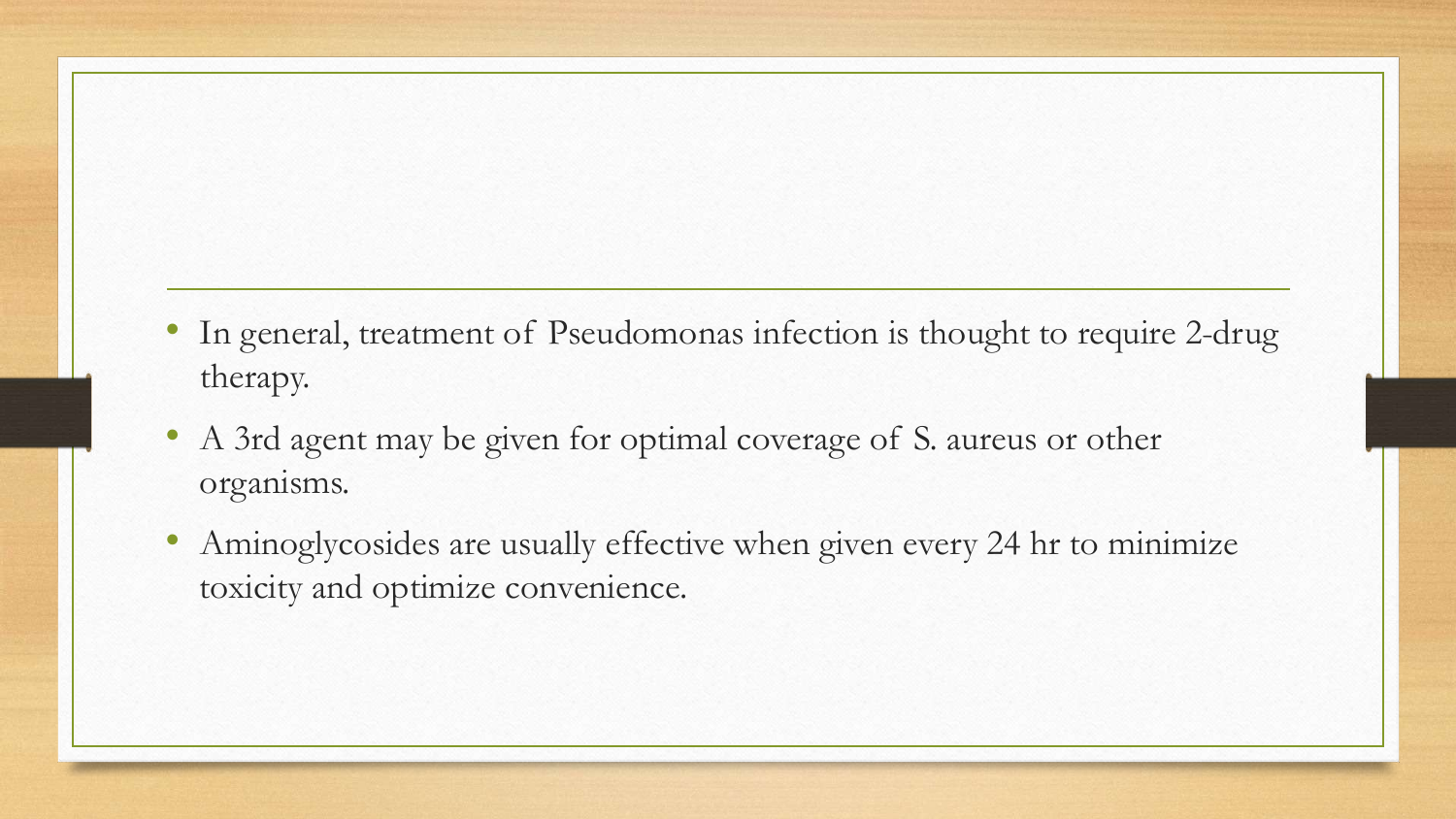- In general, treatment of Pseudomonas infection is thought to require 2-drug therapy.
- A 3rd agent may be given for optimal coverage of S. aureus or other organisms.
- Aminoglycosides are usually effective when given every 24 hr to minimize toxicity and optimize convenience.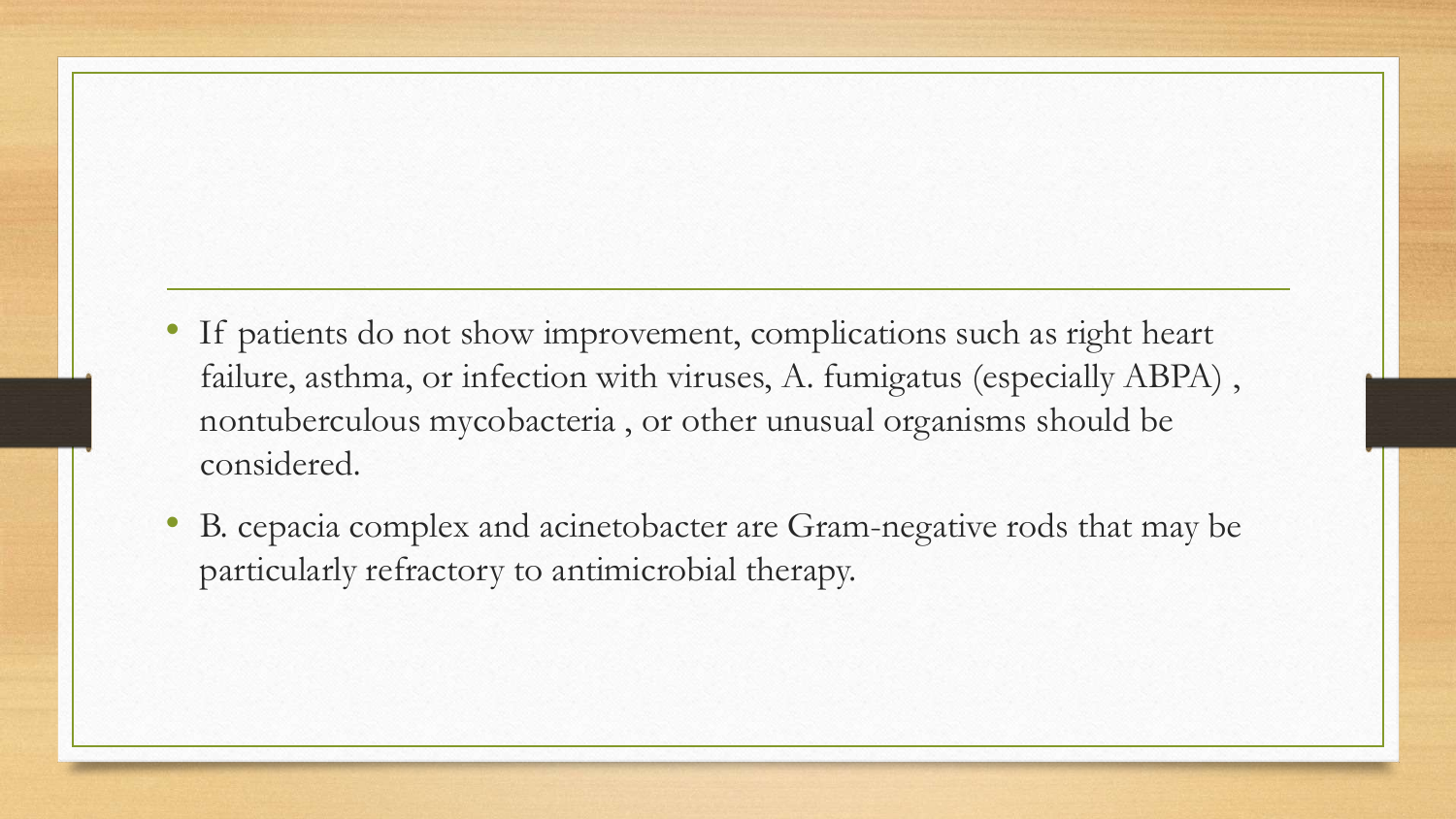- If patients do not show improvement, complications such as right heart failure, asthma, or infection with viruses, A. fumigatus (especially ABPA) , nontuberculous mycobacteria , or other unusual organisms should be considered.
- B. cepacia complex and acinetobacter are Gram-negative rods that may be particularly refractory to antimicrobial therapy.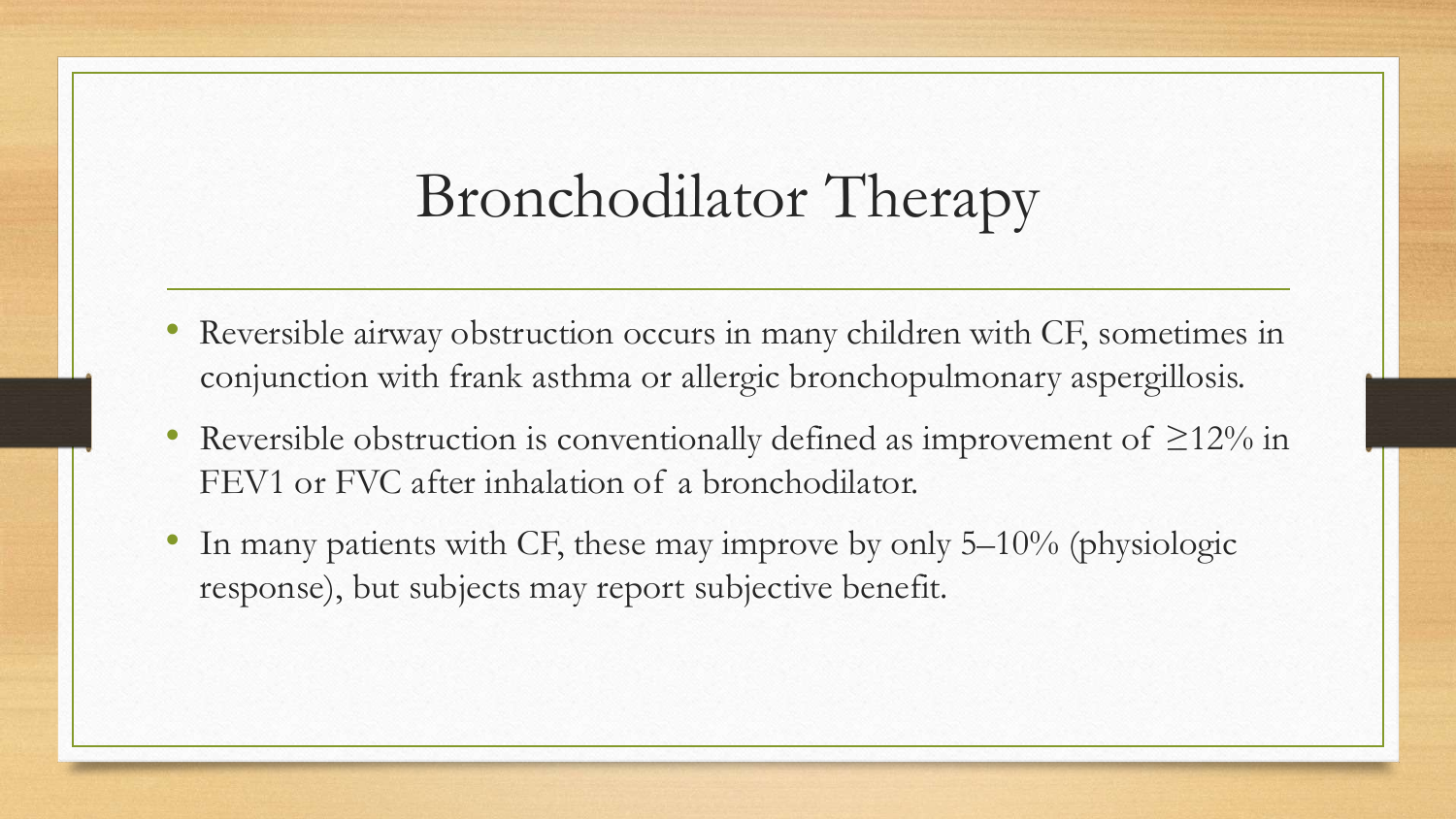## Bronchodilator Therapy

- Reversible airway obstruction occurs in many children with CF, sometimes in conjunction with frank asthma or allergic bronchopulmonary aspergillosis.
- Reversible obstruction is conventionally defined as improvement of  $\geq$ 12% in FEV1 or FVC after inhalation of a bronchodilator.
- In many patients with CF, these may improve by only 5–10% (physiologic response), but subjects may report subjective benefit.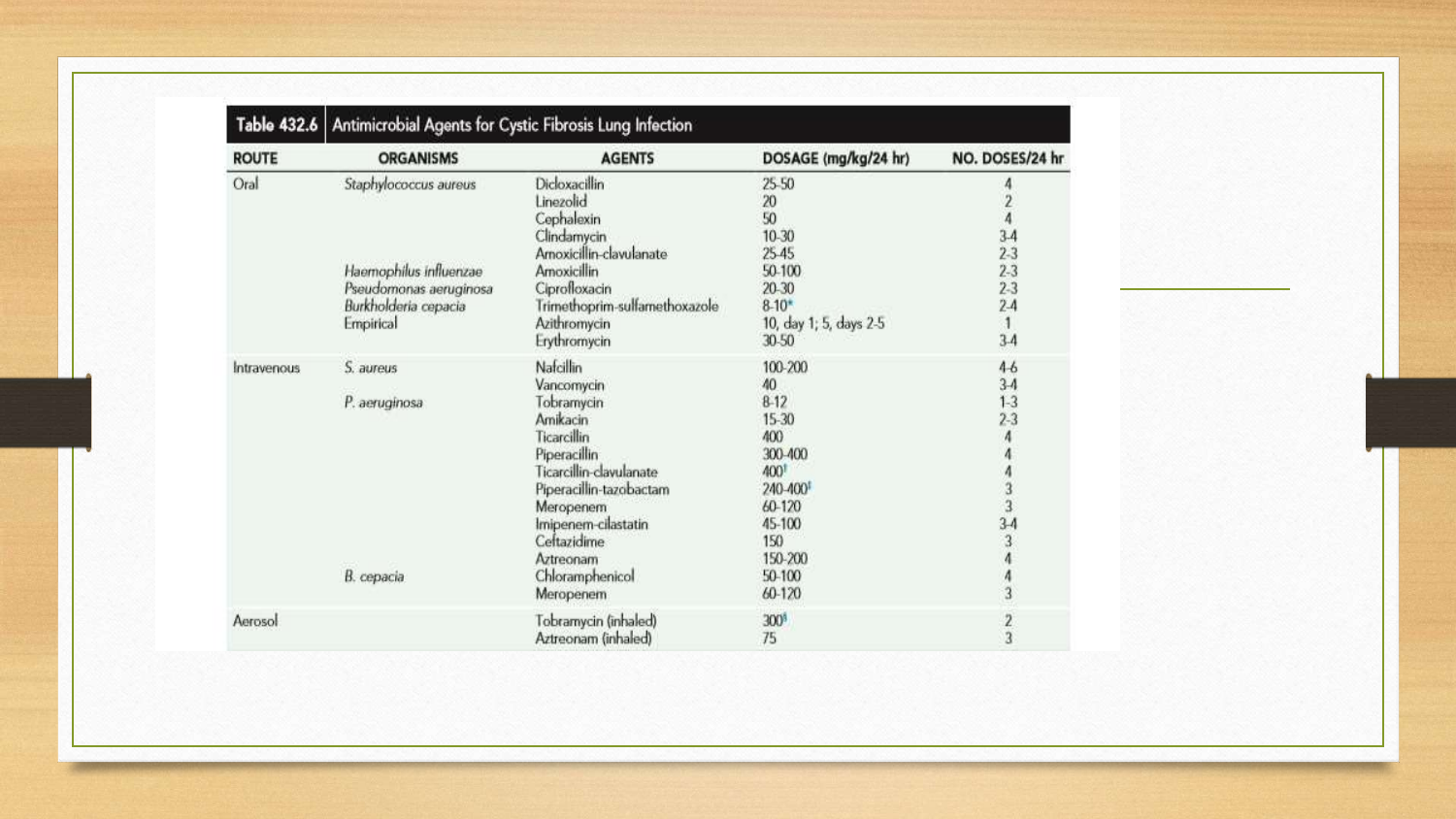| <b>ROUTE</b> | <b>ORGANISMS</b>       | <b>AGENTS</b>                 | DOSAGE (mg/kg/24 hr)   | NO. DOSES/24 hr           |
|--------------|------------------------|-------------------------------|------------------------|---------------------------|
| Oral         | Staphylococcus aureus  | Dicloxacillin                 | 25-50                  | 4                         |
|              |                        | Linezolid                     | 20                     | $\frac{2}{4}$             |
|              |                        | Cephalexin                    | 50                     |                           |
|              |                        | Clindamycin                   | 10-30                  | $3-4$                     |
|              |                        | Amoxicillin-clavulanate       | 25.45                  | $2-3$                     |
|              | Haemophilus influenzae | Amoxicillin                   | 50-100                 | $2-3$                     |
|              | Pseudomonas aeruginosa | Ciprofloxacin                 | 20-30                  | $2-3$                     |
|              | Burkholderia cepacia   | Trimethoprim-sulfamethoxazole | $8-10*$                | 2.4                       |
|              | Empirical              | Azithromycin                  | 10, day 1; 5, days 2-5 | $\overline{1}$            |
|              |                        | Erythromycin                  | 30-50                  | $3-4$                     |
| Intravenous  | S. aureus              | Nafcillin                     | 100-200                | 46                        |
|              |                        | Vancomycin                    | 40                     | $3-4$                     |
|              | P. aeruginosa          | Tobramycin                    | 8-12                   | $1 - 3$<br>2-3            |
|              |                        | Amikacin                      | 15-30                  |                           |
|              |                        | Ticarcillin                   | 400                    |                           |
|              |                        | Piperacillin                  | 300-400                |                           |
|              |                        | Ticarcillin-clavulanate       | 400 <sup>†</sup>       |                           |
|              |                        | Piperacillin-tazobactam       | 240-400                |                           |
|              |                        | Meropenem                     | 60-120                 |                           |
|              |                        | Imipenem-cilastatin           | 45-100                 |                           |
|              |                        | Ceftazidime                   | 150                    |                           |
|              |                        | Aztreonam                     | 150-200                | $4443$<br>$3434$<br>$443$ |
|              | B. cepacia             | Chloramphenicol               | 50-100                 |                           |
|              |                        | Meropenem                     | 60-120                 |                           |
| Aerosol      |                        | Tobramycin (inhaled)          | 300*                   |                           |
|              |                        | Aztreonam (inhaled)           | 75                     | $\frac{2}{3}$             |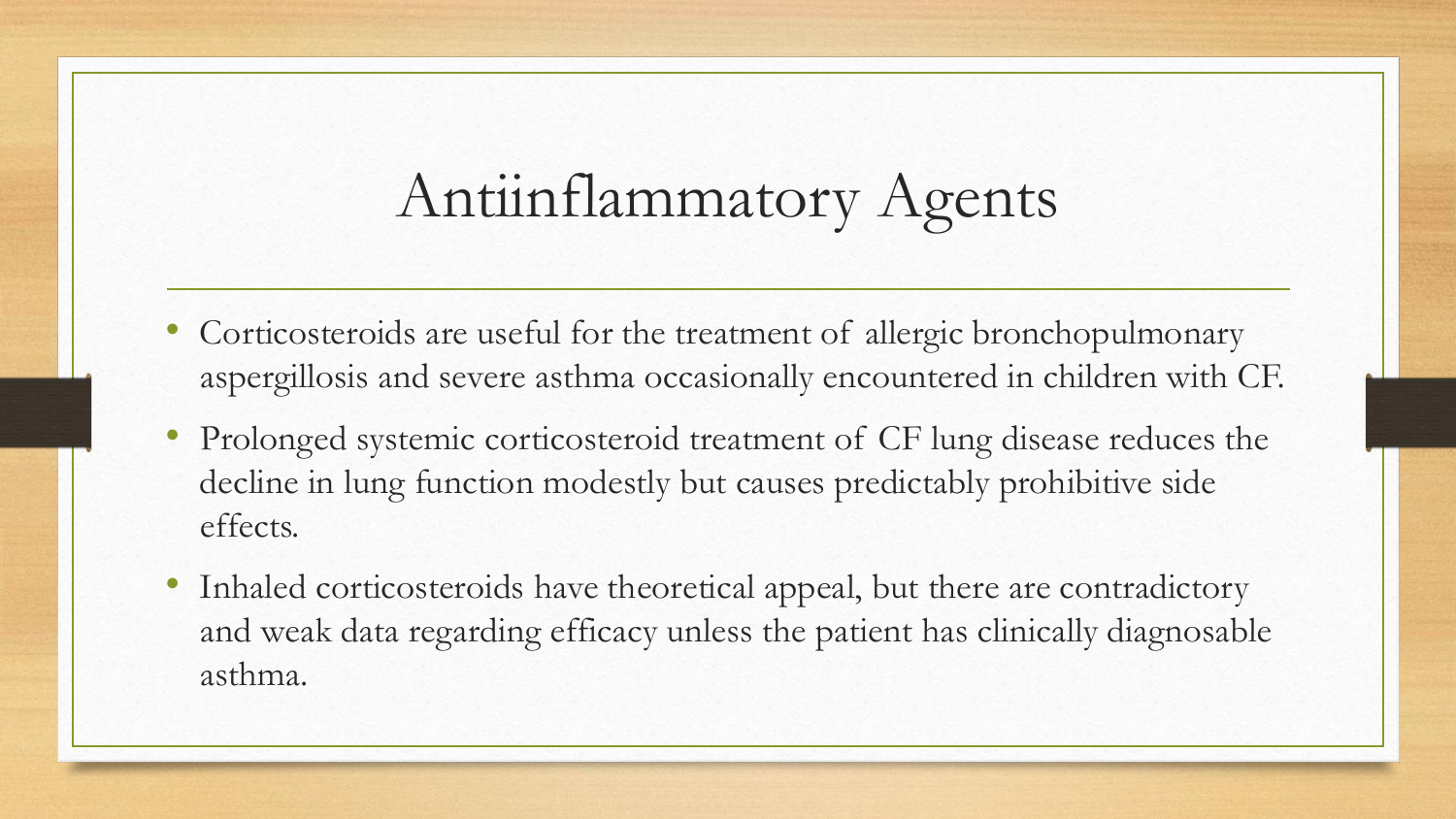## Antiinflammatory Agents

- Corticosteroids are useful for the treatment of allergic bronchopulmonary aspergillosis and severe asthma occasionally encountered in children with CF.
- Prolonged systemic corticosteroid treatment of CF lung disease reduces the decline in lung function modestly but causes predictably prohibitive side effects.
- Inhaled corticosteroids have theoretical appeal, but there are contradictory and weak data regarding efficacy unless the patient has clinically diagnosable asthma.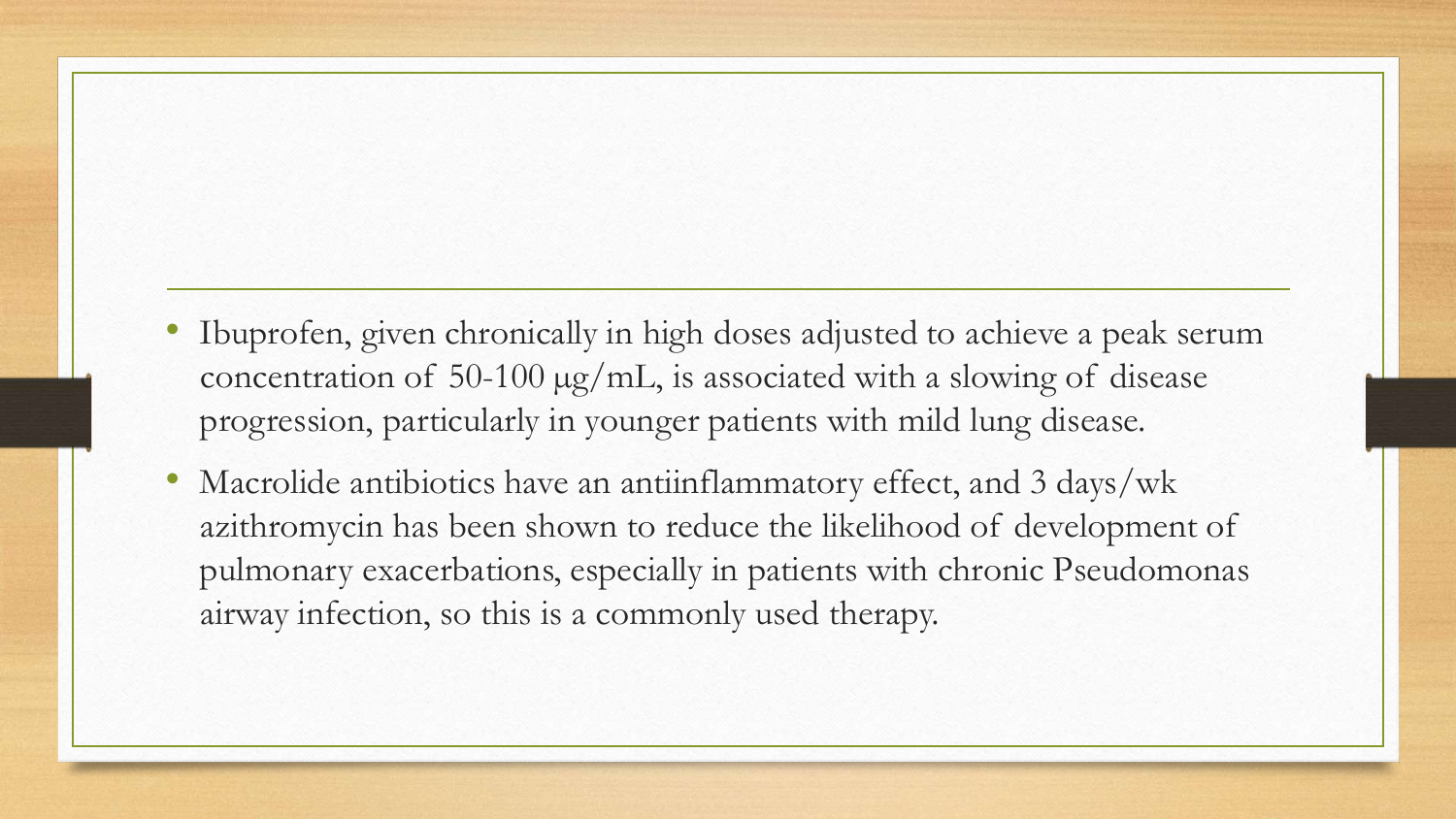- Ibuprofen, given chronically in high doses adjusted to achieve a peak serum concentration of 50-100 µg/mL, is associated with a slowing of disease progression, particularly in younger patients with mild lung disease.
- Macrolide antibiotics have an antiinflammatory effect, and 3 days/wk azithromycin has been shown to reduce the likelihood of development of pulmonary exacerbations, especially in patients with chronic Pseudomonas airway infection, so this is a commonly used therapy.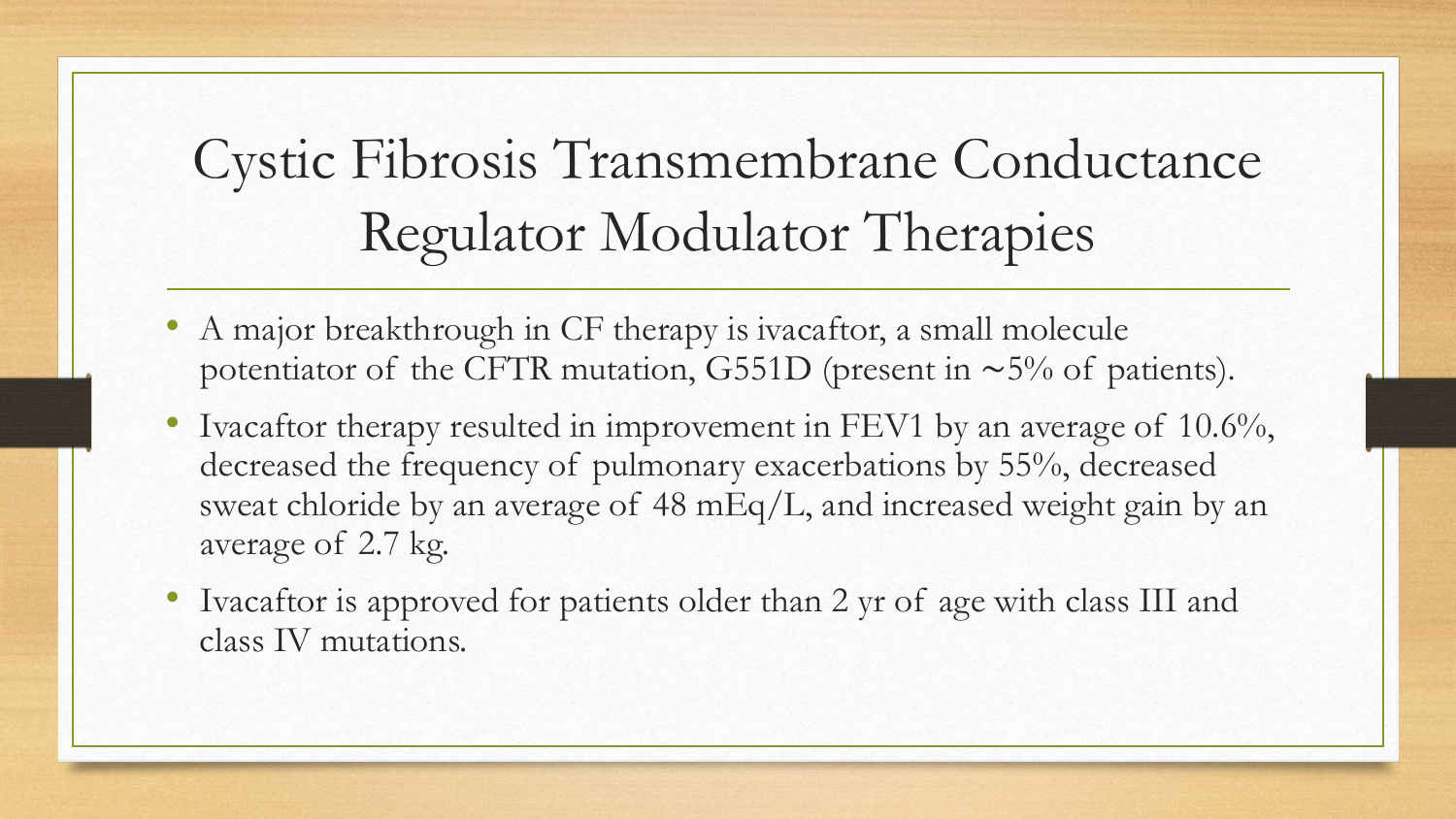#### Cystic Fibrosis Transmembrane Conductance Regulator Modulator Therapies

- A major breakthrough in CF therapy is ivacaftor, a small molecule potentiator of the CFTR mutation, G551D (present in ∼5% of patients).
- Ivacaftor therapy resulted in improvement in FEV1 by an average of 10.6%, decreased the frequency of pulmonary exacerbations by 55%, decreased sweat chloride by an average of 48 mEq/L, and increased weight gain by an average of 2.7 kg.
- Ivacaftor is approved for patients older than 2 yr of age with class III and class IV mutations.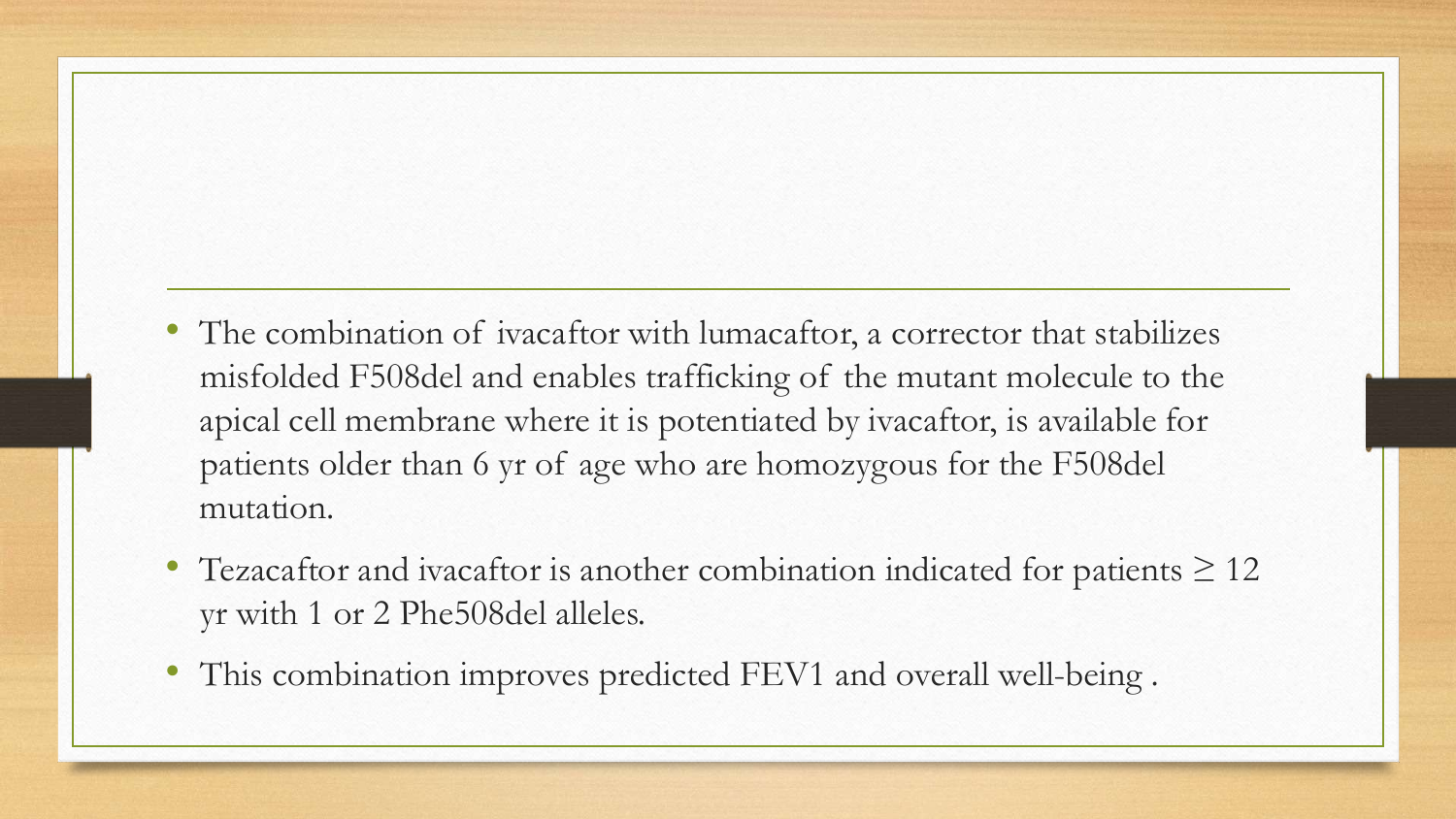- The combination of ivacaftor with lumacaftor, a corrector that stabilizes misfolded F508del and enables trafficking of the mutant molecule to the apical cell membrane where it is potentiated by ivacaftor, is available for patients older than 6 yr of age who are homozygous for the F508del mutation.
- Tezacaftor and ivacaftor is another combination indicated for patients  $\geq 12$ yr with 1 or 2 Phe508del alleles.
- This combination improves predicted FEV1 and overall well-being .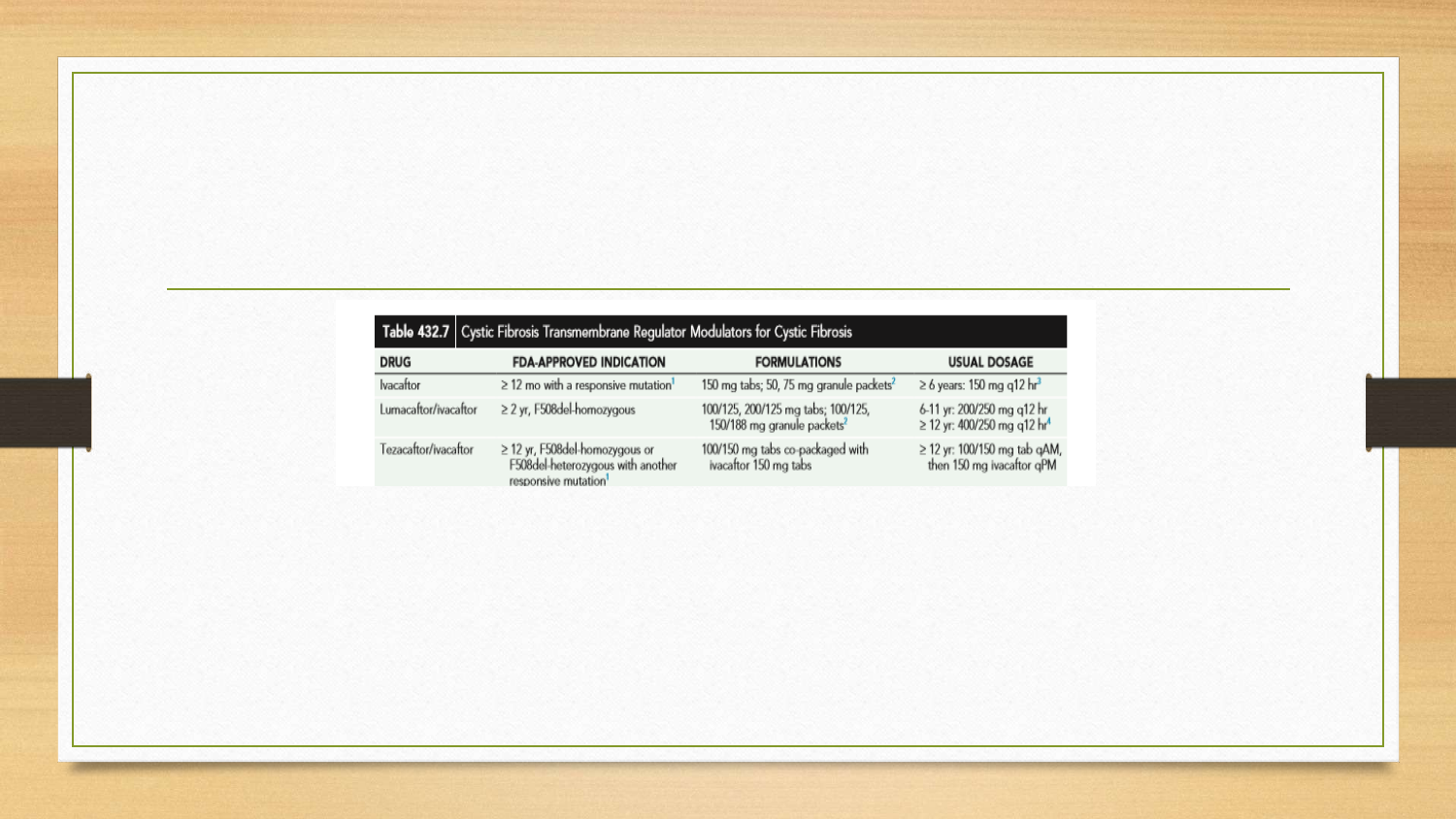#### Table 432.7 Cystic Fibrosis Transmembrane Regulator Modulators for Cystic Fibrosis

| <b>DRUG</b>          | <b>FDA-APPROVED INDICATION</b>                                                                               | <b>FORMULATIONS</b>                                                           | <b>USUAL DOSAGE</b>                                                        |
|----------------------|--------------------------------------------------------------------------------------------------------------|-------------------------------------------------------------------------------|----------------------------------------------------------------------------|
| lvacaftor            | $\geq$ 12 mo with a responsive mutation <sup>1</sup>                                                         | 150 mg tabs; 50, 75 mg granule packets <sup>2</sup>                           | $\geq 6$ years: 150 mg q12 hr <sup>3</sup>                                 |
| Lumacaftor/ivacaftor | ≥ 2 yr, F508del-homozygous                                                                                   | 100/125, 200/125 mg tabs; 100/125,<br>150/188 mg granule packets <sup>2</sup> | 6-11 yr: 200/250 mg q12 hr<br>$\geq$ 12 yr: 400/250 mg q12 hr <sup>4</sup> |
| Tezacaftor/ivacaftor | $\geq$ 12 yr, F508del-homozygous or<br>F508del-heterozygous with another<br>responsive mutation <sup>1</sup> | 100/150 mg tabs co-packaged with<br>ivacaftor 150 mg tabs                     | ≥ 12 yr: 100/150 mg tab qAM,<br>then 150 mg ivacaftor qPM                  |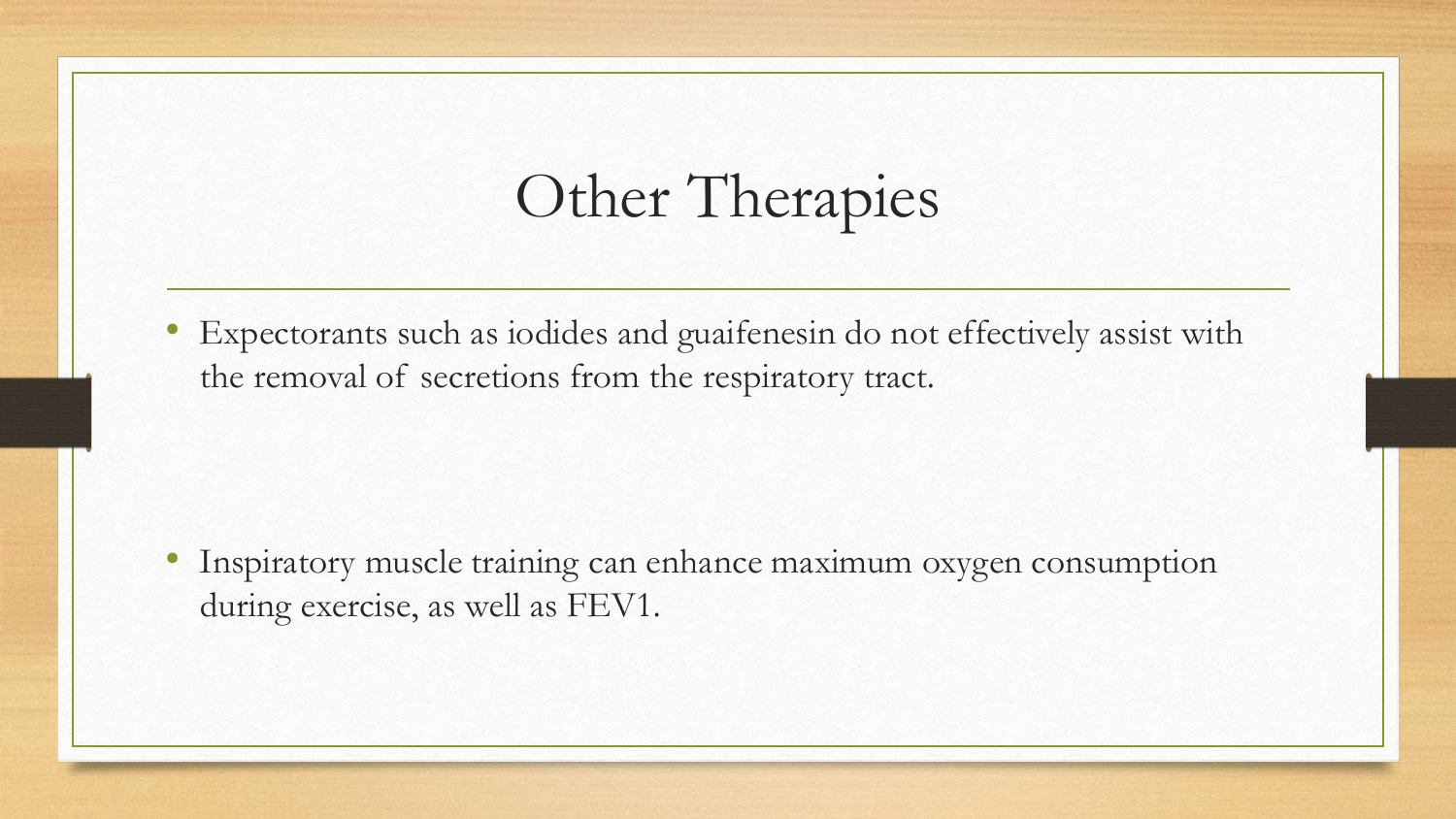### Other Therapies

• Expectorants such as iodides and guaifenesin do not effectively assist with the removal of secretions from the respiratory tract.

• Inspiratory muscle training can enhance maximum oxygen consumption during exercise, as well as FEV1.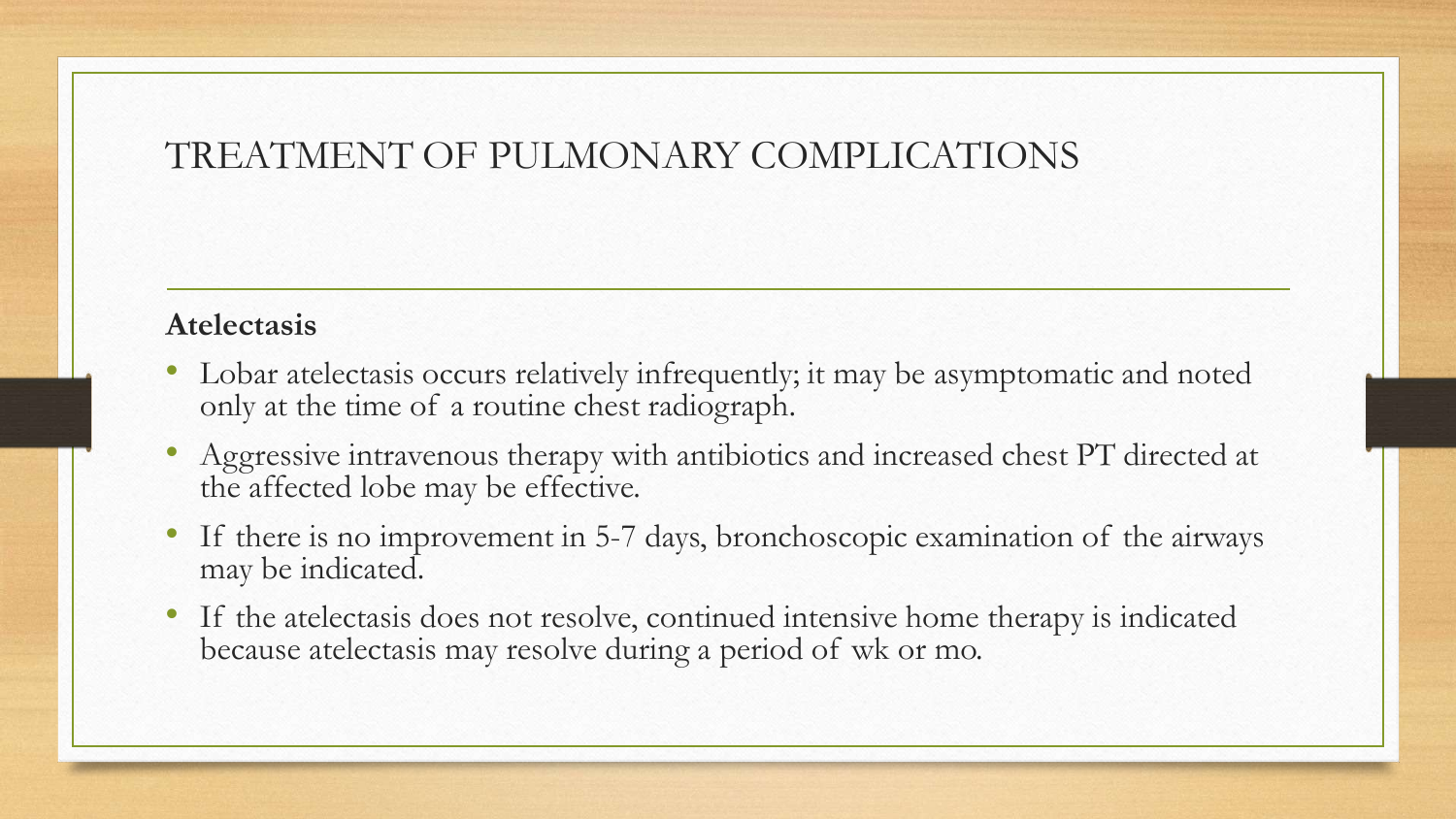#### TREATMENT OF PULMONARY COMPLICATIONS

#### **Atelectasis**

- Lobar atelectasis occurs relatively infrequently; it may be asymptomatic and noted only at the time of a routine chest radiograph.
- Aggressive intravenous therapy with antibiotics and increased chest PT directed at the affected lobe may be effective.
- If there is no improvement in 5-7 days, bronchoscopic examination of the airways may be indicated.
- If the atelectasis does not resolve, continued intensive home therapy is indicated because atelectasis may resolve during a period of wk or mo.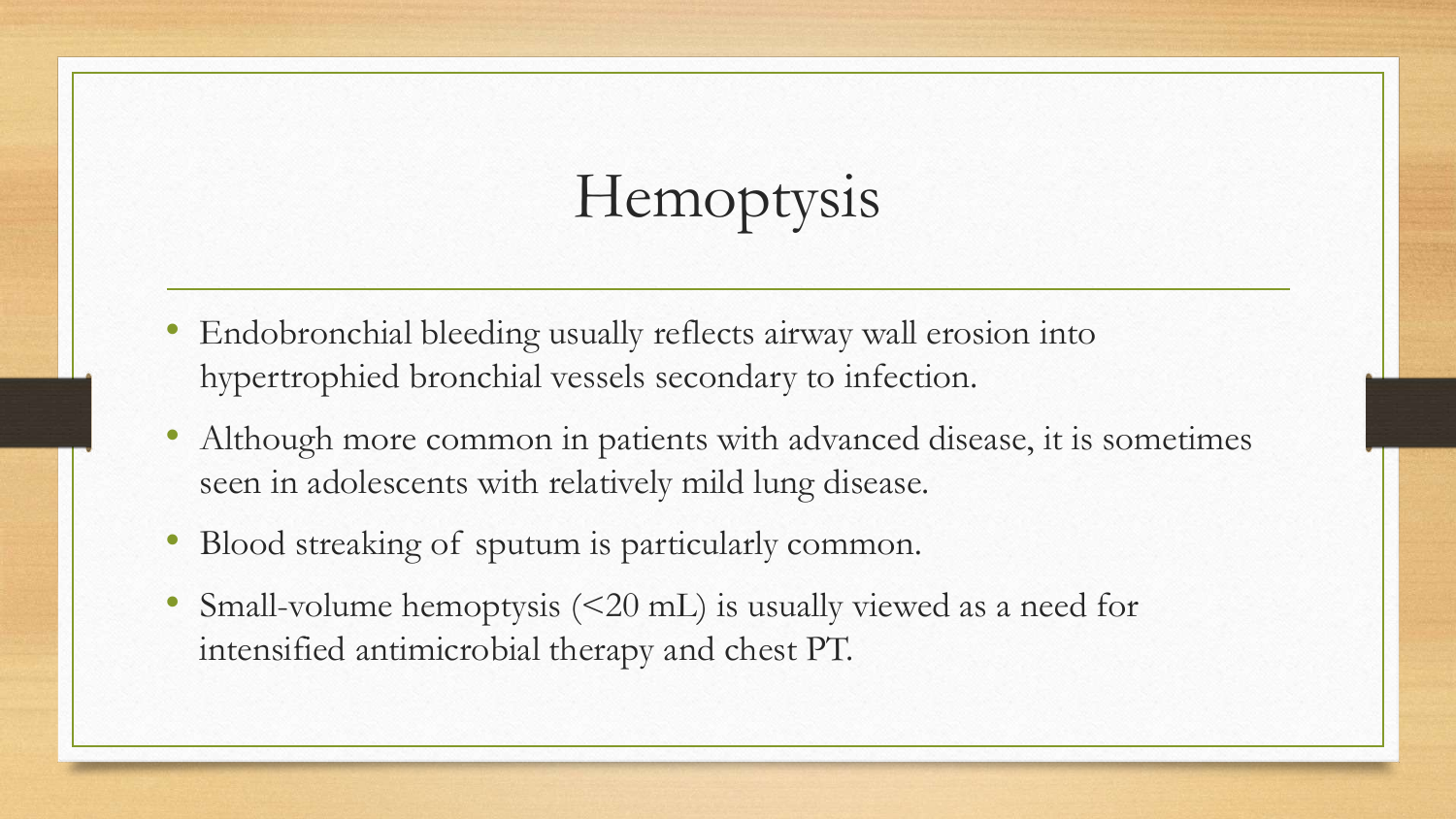# Hemoptysis

- Endobronchial bleeding usually reflects airway wall erosion into hypertrophied bronchial vessels secondary to infection.
- Although more common in patients with advanced disease, it is sometimes seen in adolescents with relatively mild lung disease.
- Blood streaking of sputum is particularly common.
- Small-volume hemoptysis (<20 mL) is usually viewed as a need for intensified antimicrobial therapy and chest PT.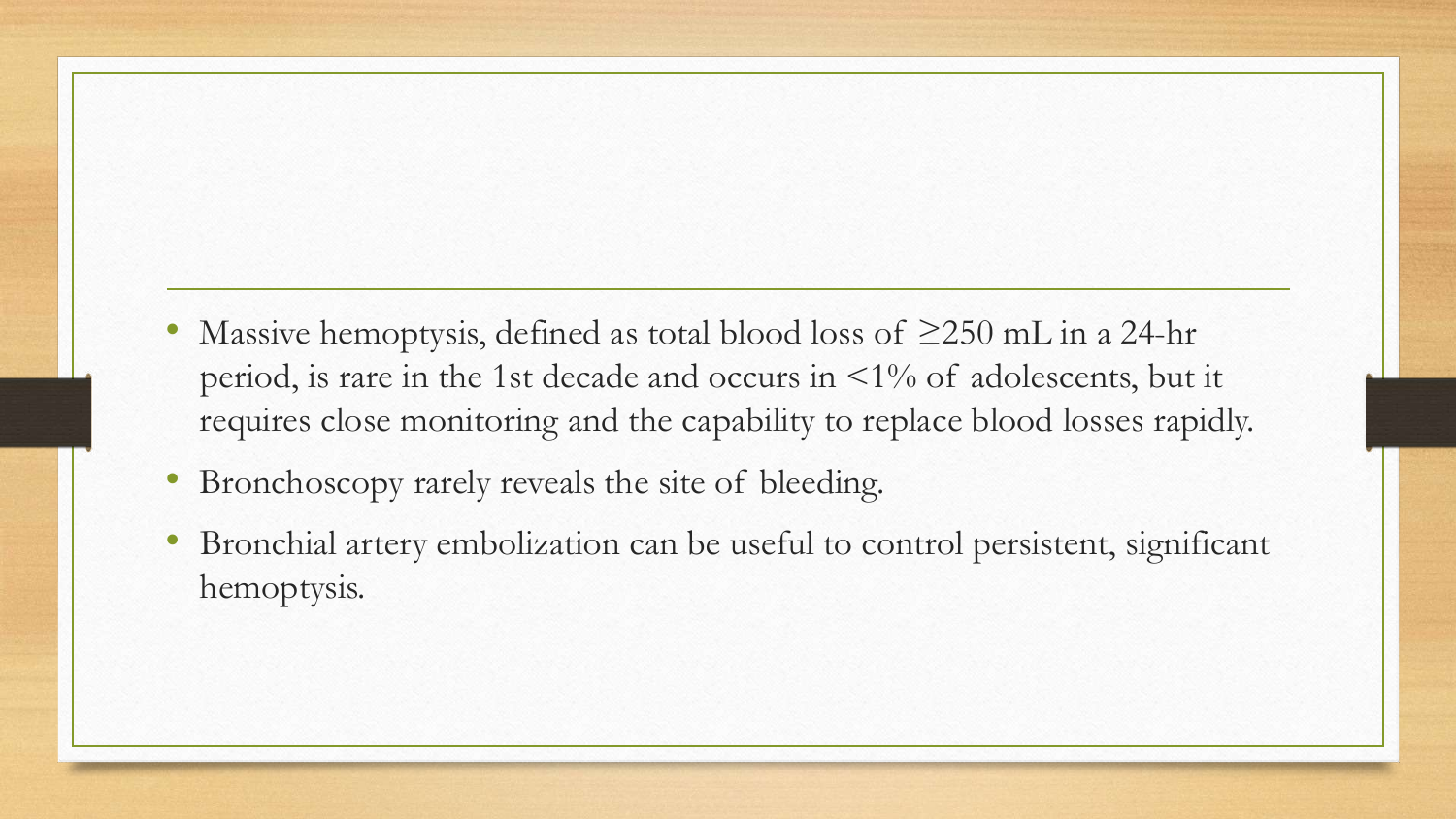- Massive hemoptysis, defined as total blood loss of ≥250 mL in a 24-hr period, is rare in the 1st decade and occurs in  $\langle 1\%$  of adolescents, but it requires close monitoring and the capability to replace blood losses rapidly.
- Bronchoscopy rarely reveals the site of bleeding.
- Bronchial artery embolization can be useful to control persistent, significant hemoptysis.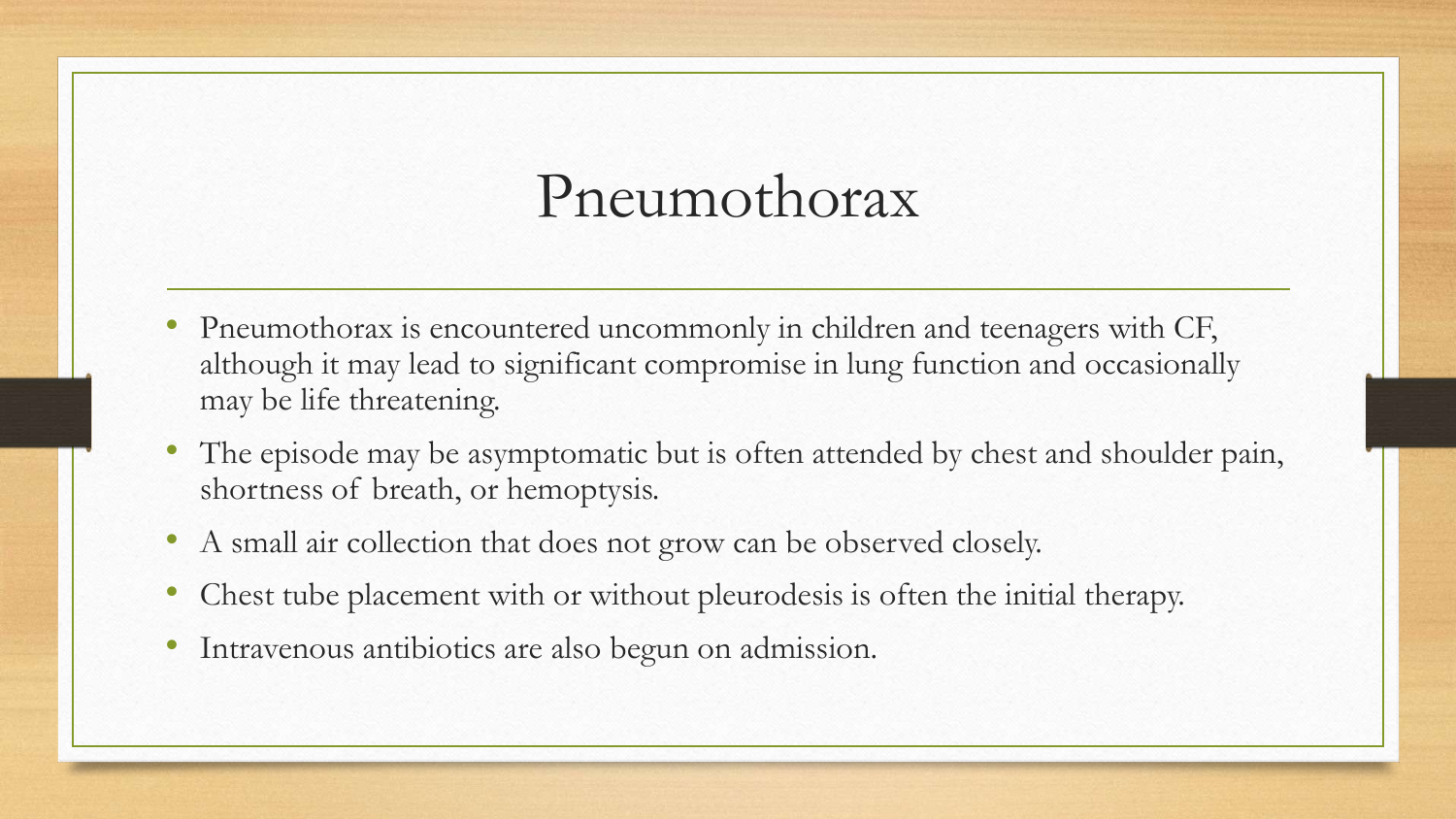#### Pneumothorax

- Pneumothorax is encountered uncommonly in children and teenagers with CF, although it may lead to significant compromise in lung function and occasionally may be life threatening.
- The episode may be asymptomatic but is often attended by chest and shoulder pain, shortness of breath, or hemoptysis.
- A small air collection that does not grow can be observed closely.
- Chest tube placement with or without pleurodesis is often the initial therapy.
- Intravenous antibiotics are also begun on admission.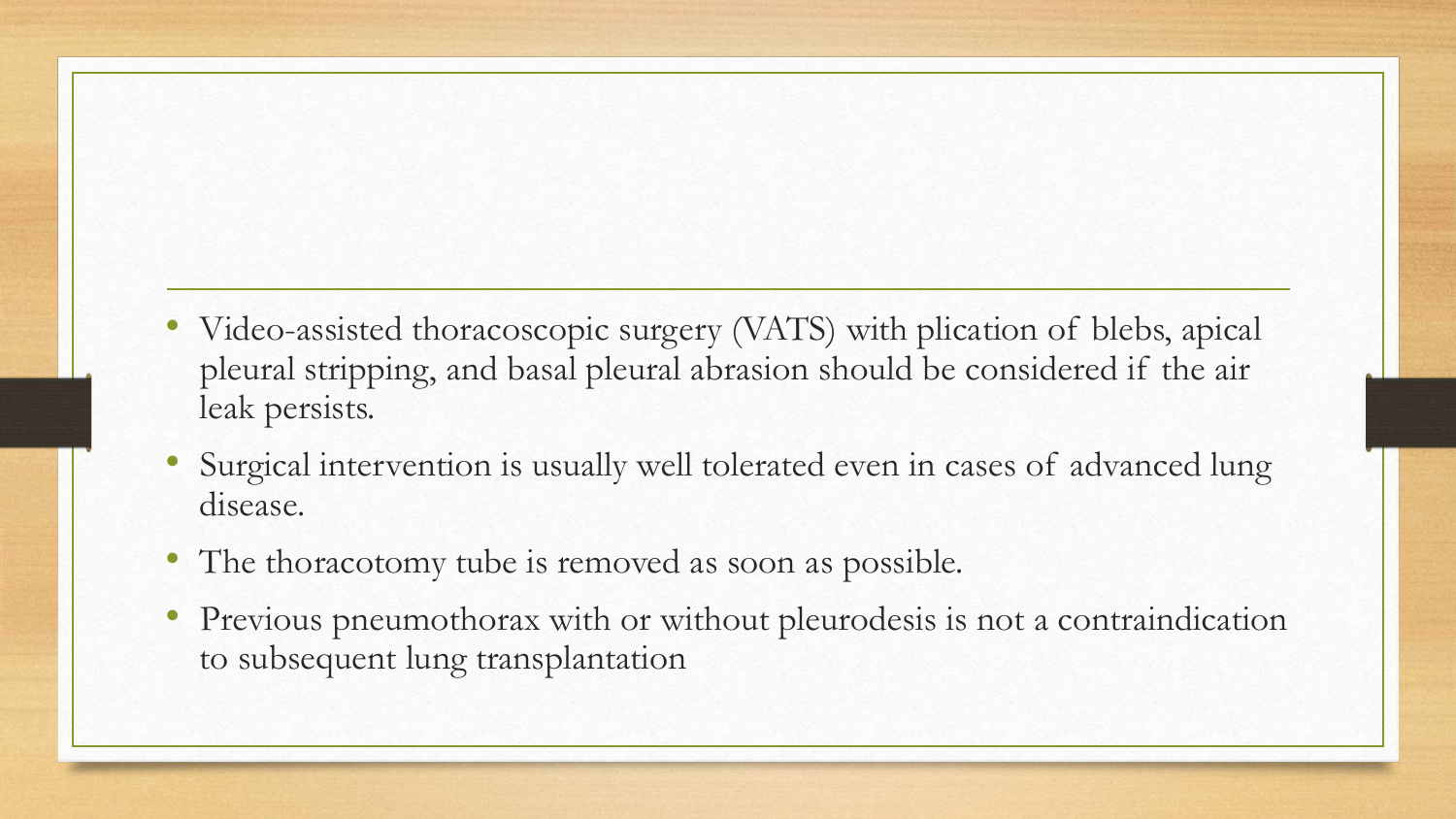- Video-assisted thoracoscopic surgery (VATS) with plication of blebs, apical pleural stripping, and basal pleural abrasion should be considered if the air leak persists.
- Surgical intervention is usually well tolerated even in cases of advanced lung disease.
- The thoracotomy tube is removed as soon as possible.
- Previous pneumothorax with or without pleurodesis is not a contraindication to subsequent lung transplantation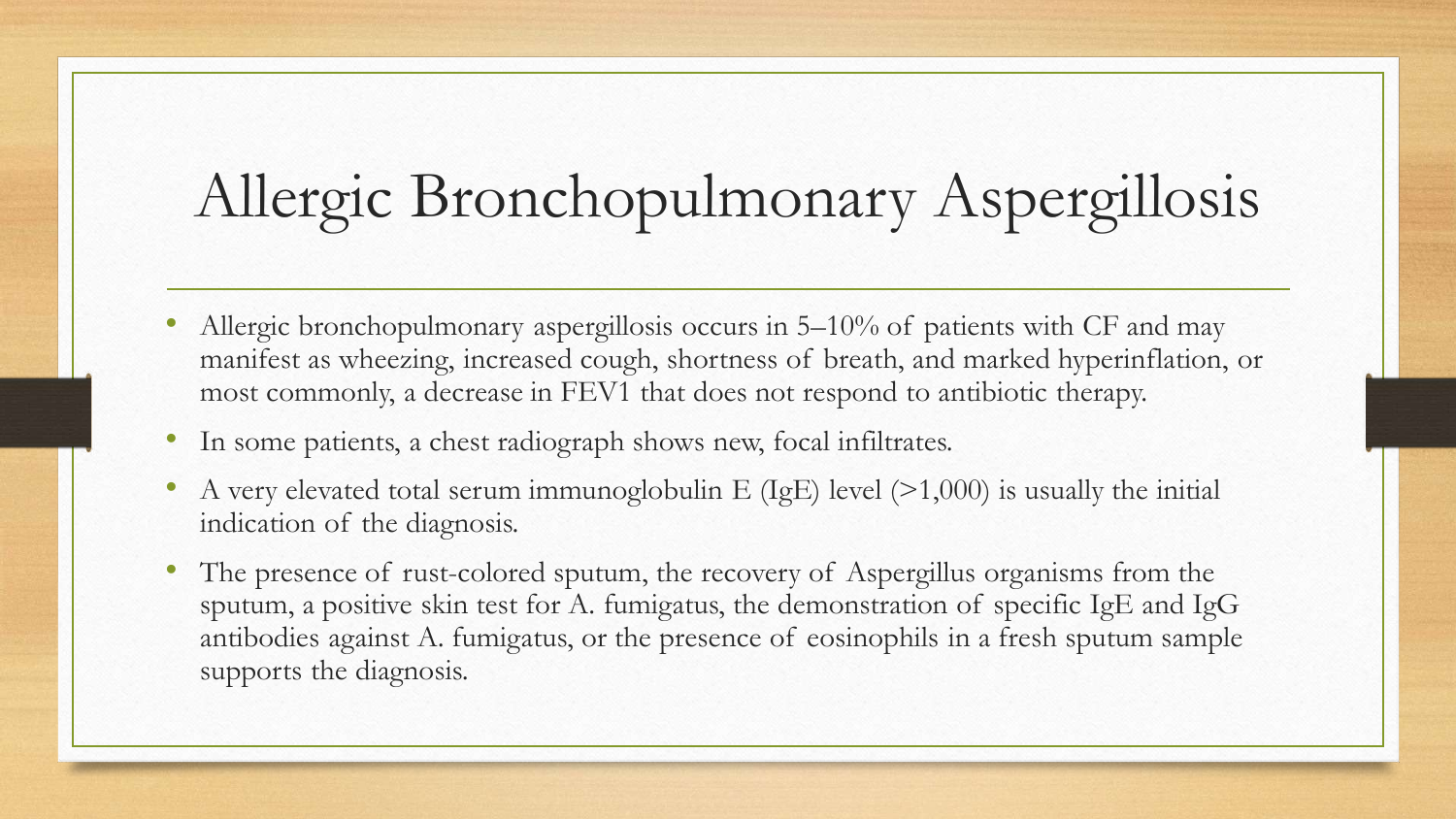## Allergic Bronchopulmonary Aspergillosis

- Allergic bronchopulmonary aspergillosis occurs in  $5-10\%$  of patients with CF and may manifest as wheezing, increased cough, shortness of breath, and marked hyperinflation, or most commonly, a decrease in FEV1 that does not respond to antibiotic therapy.
- In some patients, a chest radiograph shows new, focal infiltrates.
- A very elevated total serum immunoglobulin E (IgE) level  $(>1,000)$  is usually the initial indication of the diagnosis.
- The presence of rust-colored sputum, the recovery of Aspergillus organisms from the sputum, a positive skin test for A. fumigatus, the demonstration of specific IgE and IgG antibodies against A. fumigatus, or the presence of eosinophils in a fresh sputum sample supports the diagnosis.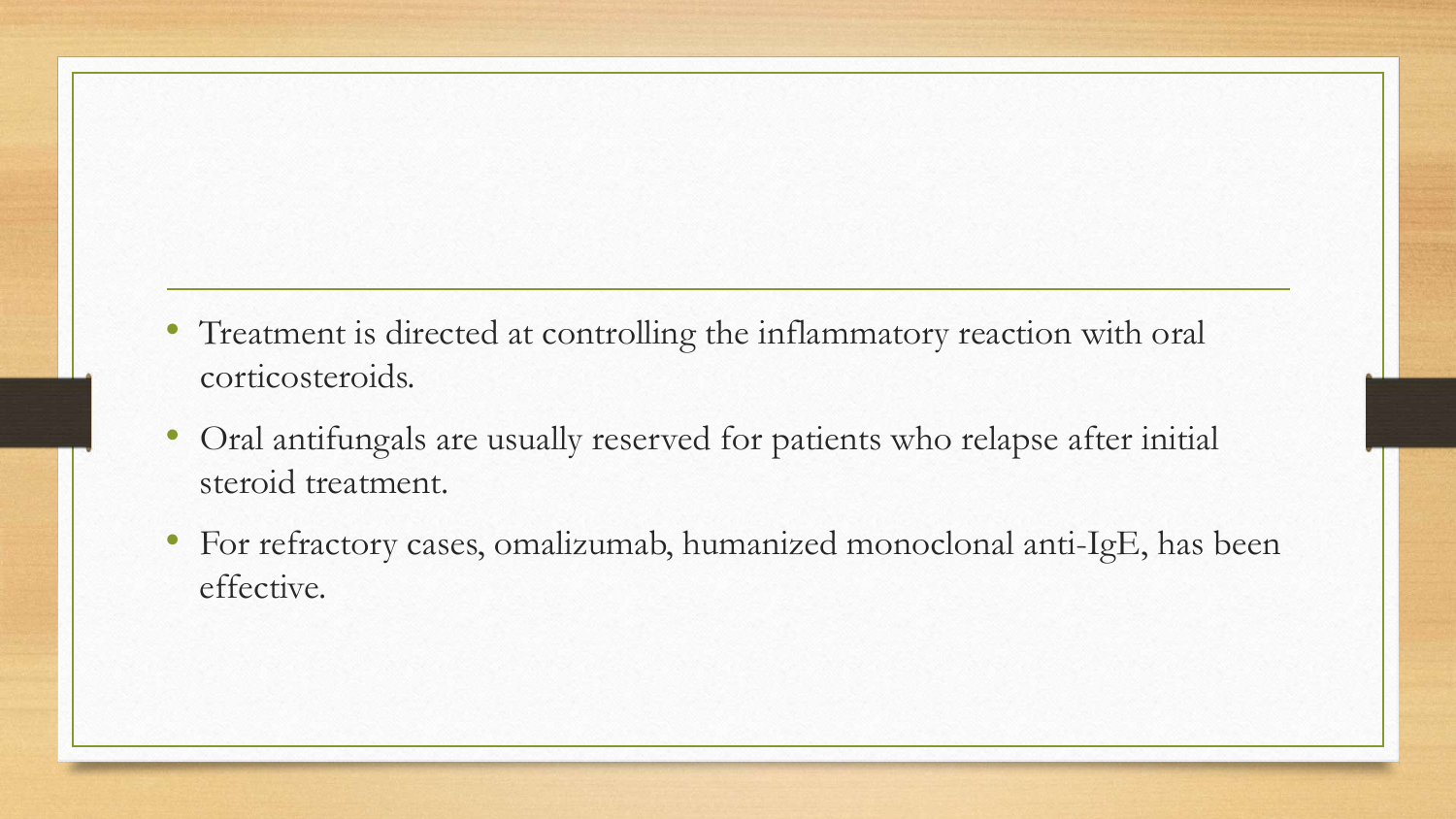- Treatment is directed at controlling the inflammatory reaction with oral corticosteroids.
- Oral antifungals are usually reserved for patients who relapse after initial steroid treatment.
- For refractory cases, omalizumab, humanized monoclonal anti-IgE, has been effective.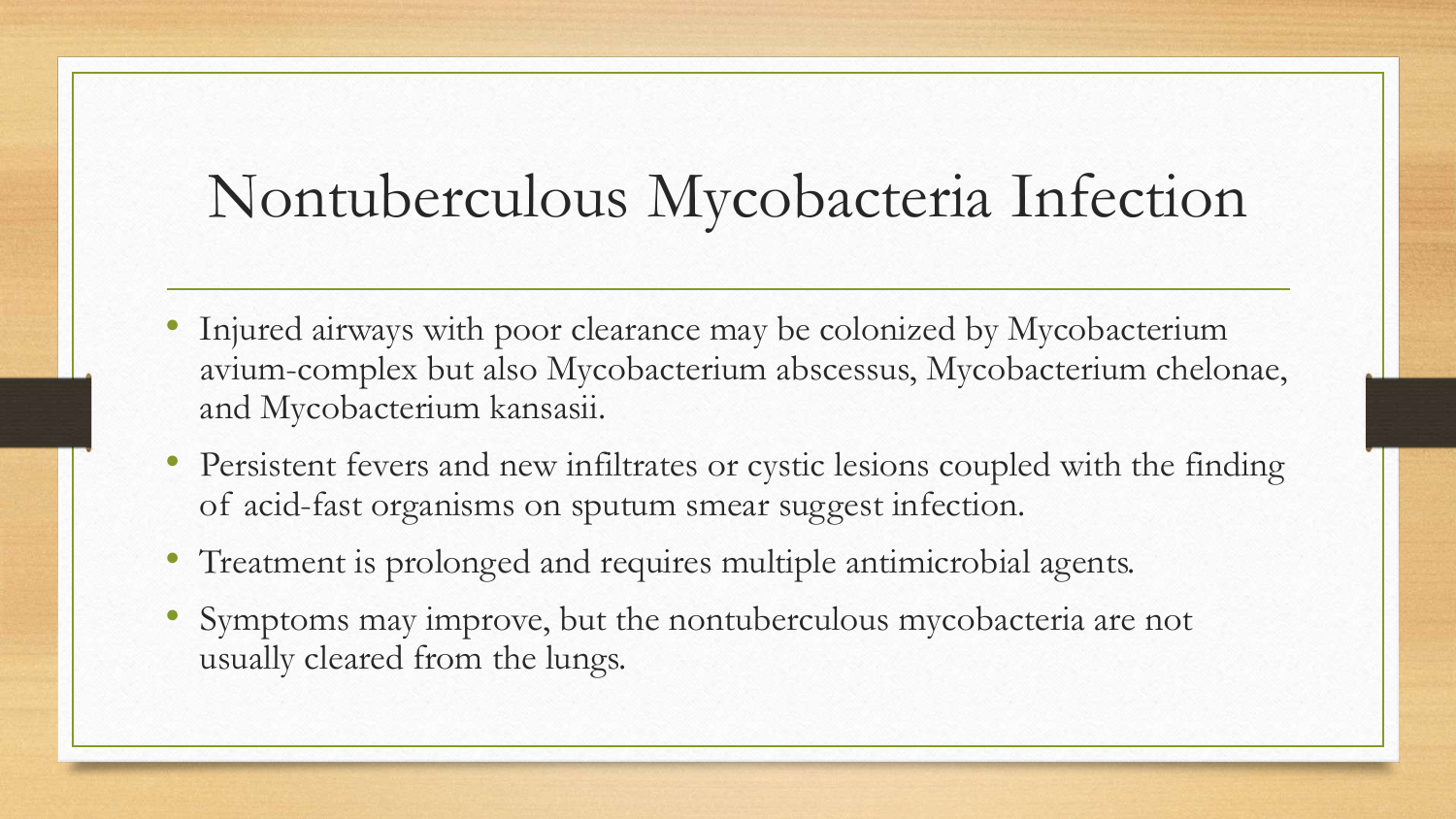#### Nontuberculous Mycobacteria Infection

- Injured airways with poor clearance may be colonized by Mycobacterium avium-complex but also Mycobacterium abscessus, Mycobacterium chelonae, and Mycobacterium kansasii.
- Persistent fevers and new infiltrates or cystic lesions coupled with the finding of acid-fast organisms on sputum smear suggest infection.
- Treatment is prolonged and requires multiple antimicrobial agents.
- Symptoms may improve, but the nontuberculous mycobacteria are not usually cleared from the lungs.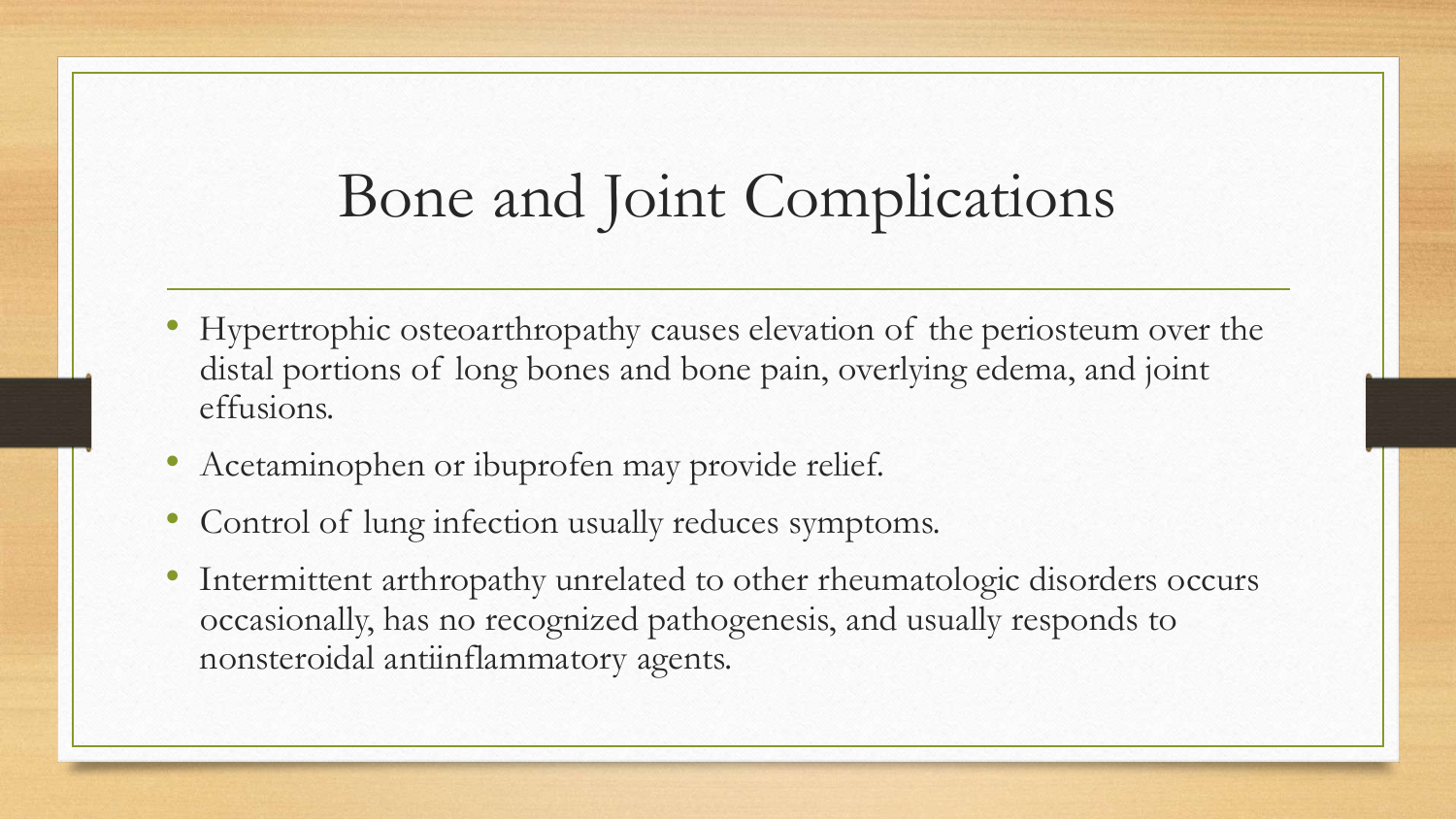### Bone and Joint Complications

- Hypertrophic osteoarthropathy causes elevation of the periosteum over the distal portions of long bones and bone pain, overlying edema, and joint effusions.
- Acetaminophen or ibuprofen may provide relief.
- Control of lung infection usually reduces symptoms.
- Intermittent arthropathy unrelated to other rheumatologic disorders occurs occasionally, has no recognized pathogenesis, and usually responds to nonsteroidal antiinflammatory agents.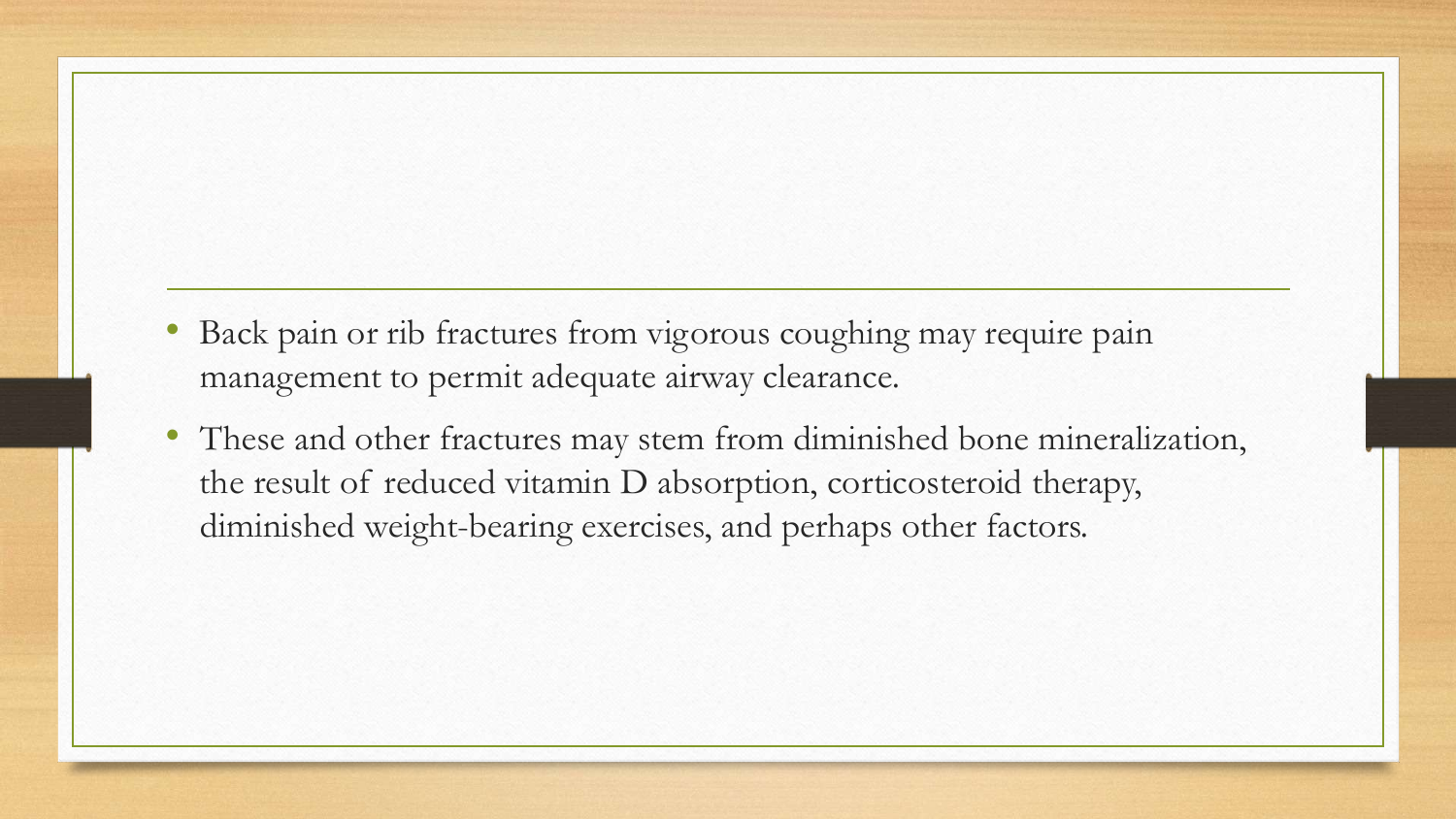- Back pain or rib fractures from vigorous coughing may require pain management to permit adequate airway clearance.
- These and other fractures may stem from diminished bone mineralization, the result of reduced vitamin D absorption, corticosteroid therapy, diminished weight-bearing exercises, and perhaps other factors.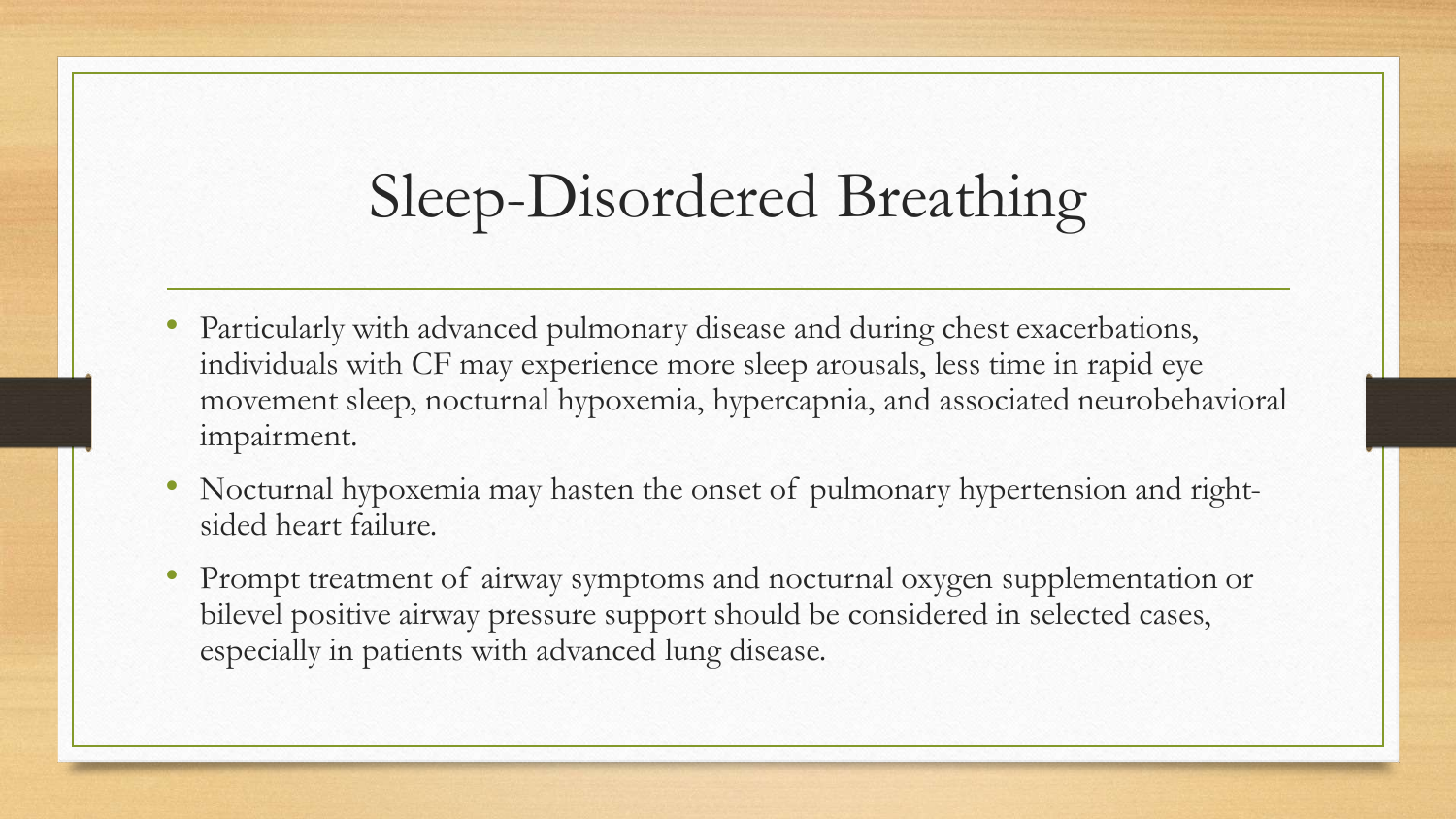## Sleep-Disordered Breathing

- Particularly with advanced pulmonary disease and during chest exacerbations, individuals with CF may experience more sleep arousals, less time in rapid eye movement sleep, nocturnal hypoxemia, hypercapnia, and associated neurobehavioral impairment.
- Nocturnal hypoxemia may hasten the onset of pulmonary hypertension and rightsided heart failure.
- Prompt treatment of airway symptoms and nocturnal oxygen supplementation or bilevel positive airway pressure support should be considered in selected cases, especially in patients with advanced lung disease.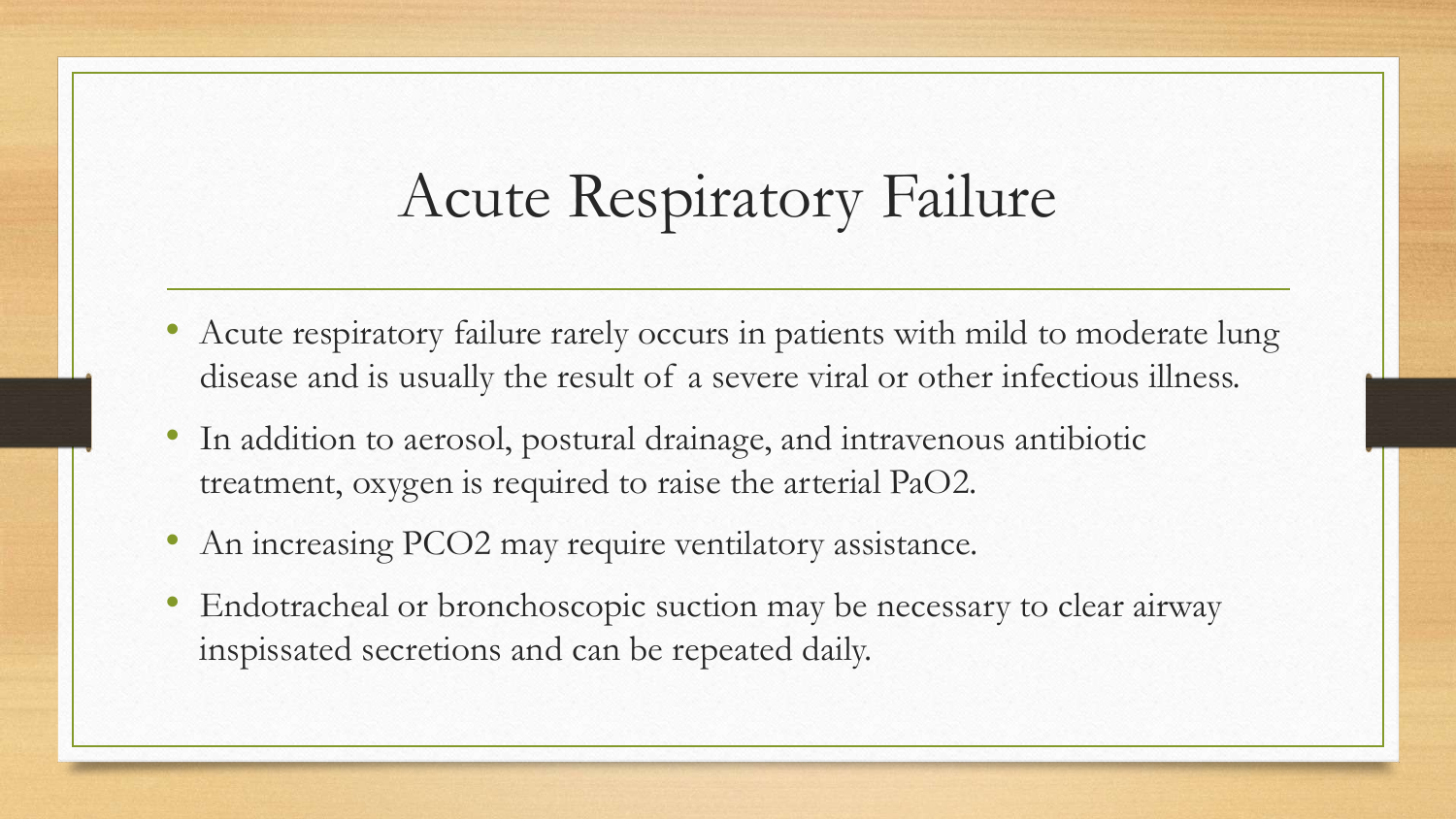## Acute Respiratory Failure

- Acute respiratory failure rarely occurs in patients with mild to moderate lung disease and is usually the result of a severe viral or other infectious illness.
- In addition to aerosol, postural drainage, and intravenous antibiotic treatment, oxygen is required to raise the arterial PaO2.
- An increasing PCO2 may require ventilatory assistance.
- Endotracheal or bronchoscopic suction may be necessary to clear airway inspissated secretions and can be repeated daily.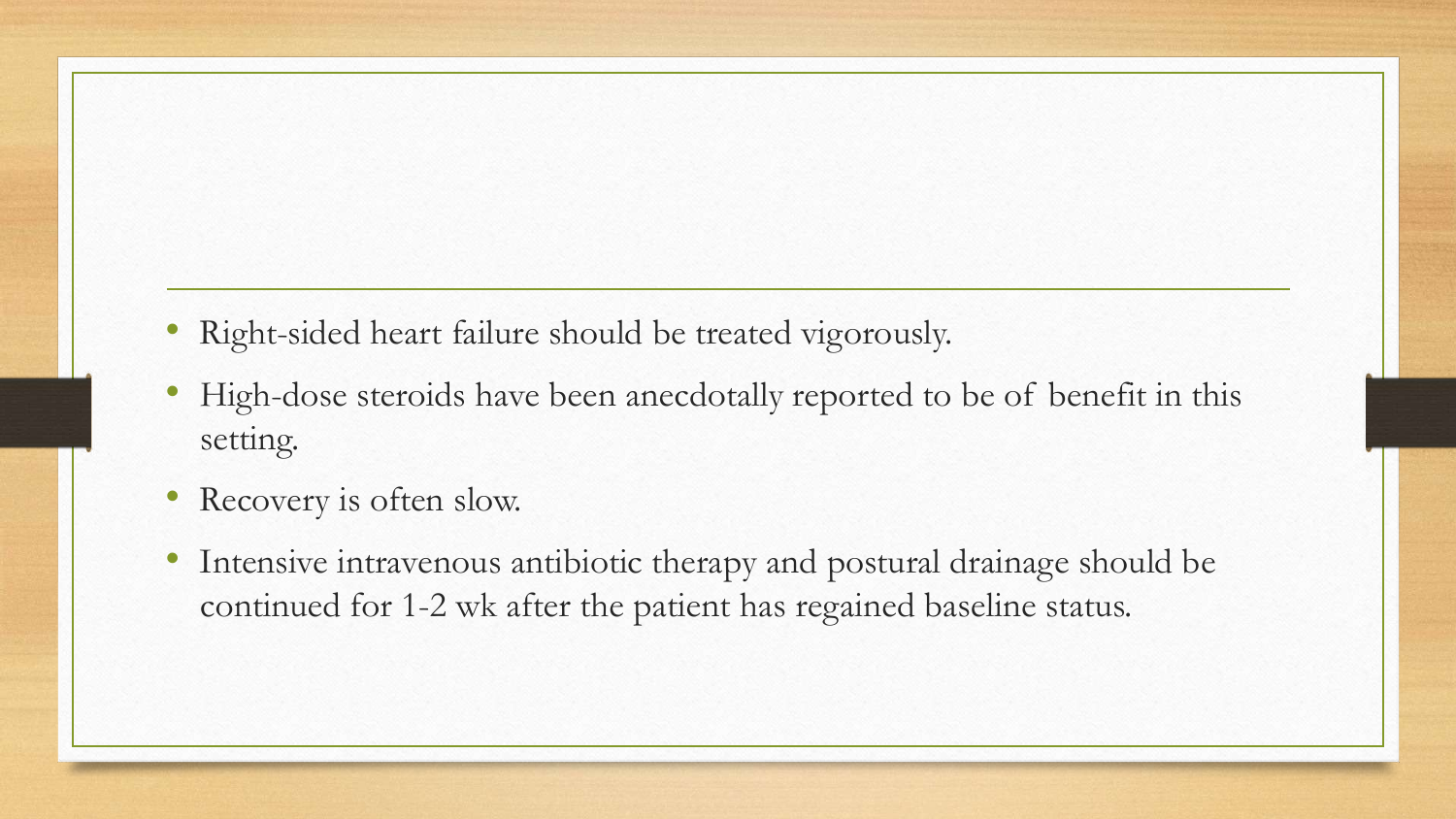- Right-sided heart failure should be treated vigorously.
- High-dose steroids have been anecdotally reported to be of benefit in this setting.
- Recovery is often slow.
- Intensive intravenous antibiotic therapy and postural drainage should be continued for 1-2 wk after the patient has regained baseline status.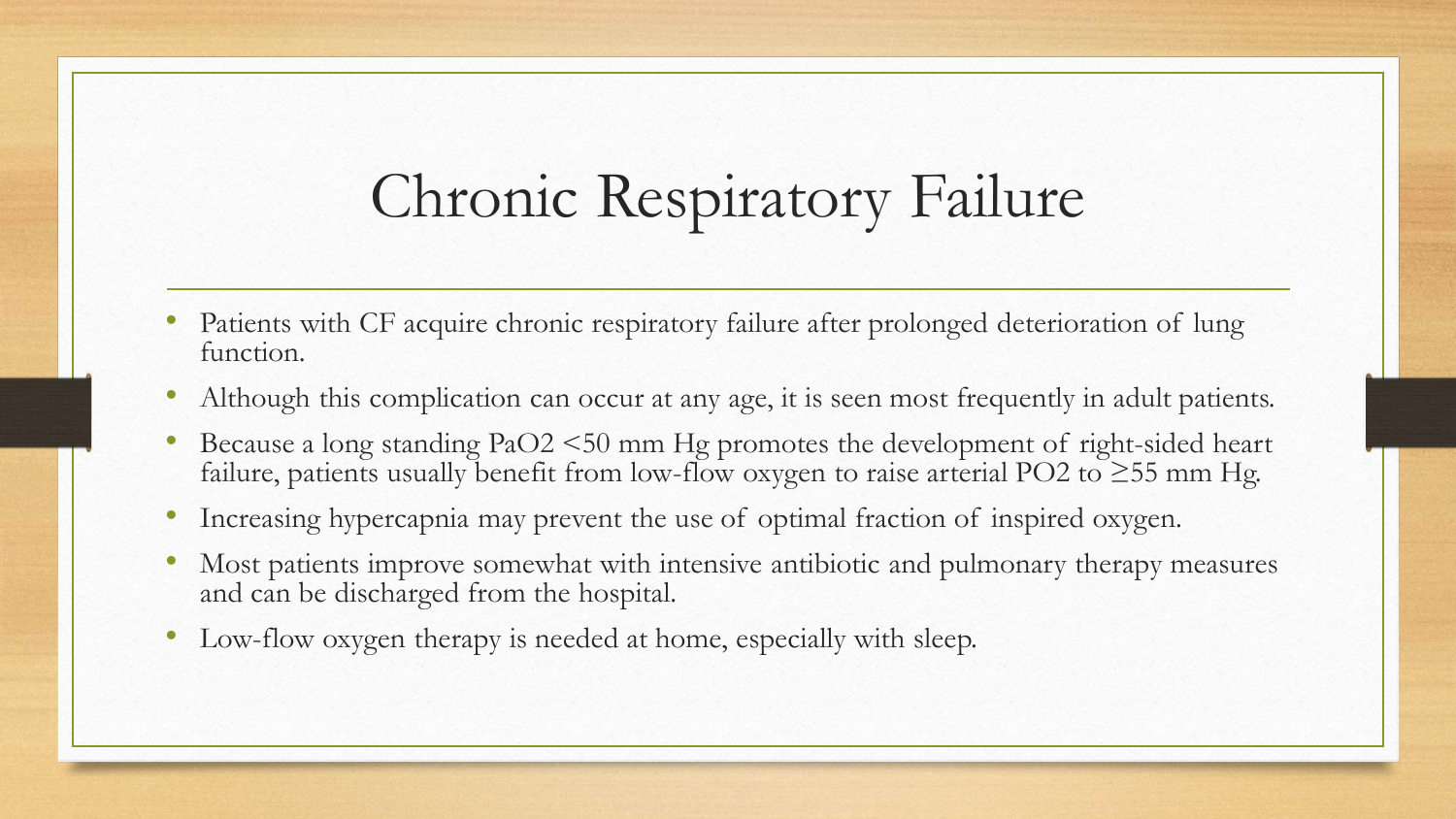## Chronic Respiratory Failure

- Patients with CF acquire chronic respiratory failure after prolonged deterioration of lung function.
- Although this complication can occur at any age, it is seen most frequently in adult patients.
- Because a long standing PaO2 <50 mm Hg promotes the development of right-sided heart failure, patients usually benefit from low-flow oxygen to raise arterial PO2 to  $\geq$ 55 mm Hg.
- Increasing hypercapnia may prevent the use of optimal fraction of inspired oxygen.
- Most patients improve somewhat with intensive antibiotic and pulmonary therapy measures and can be discharged from the hospital.
- Low-flow oxygen therapy is needed at home, especially with sleep.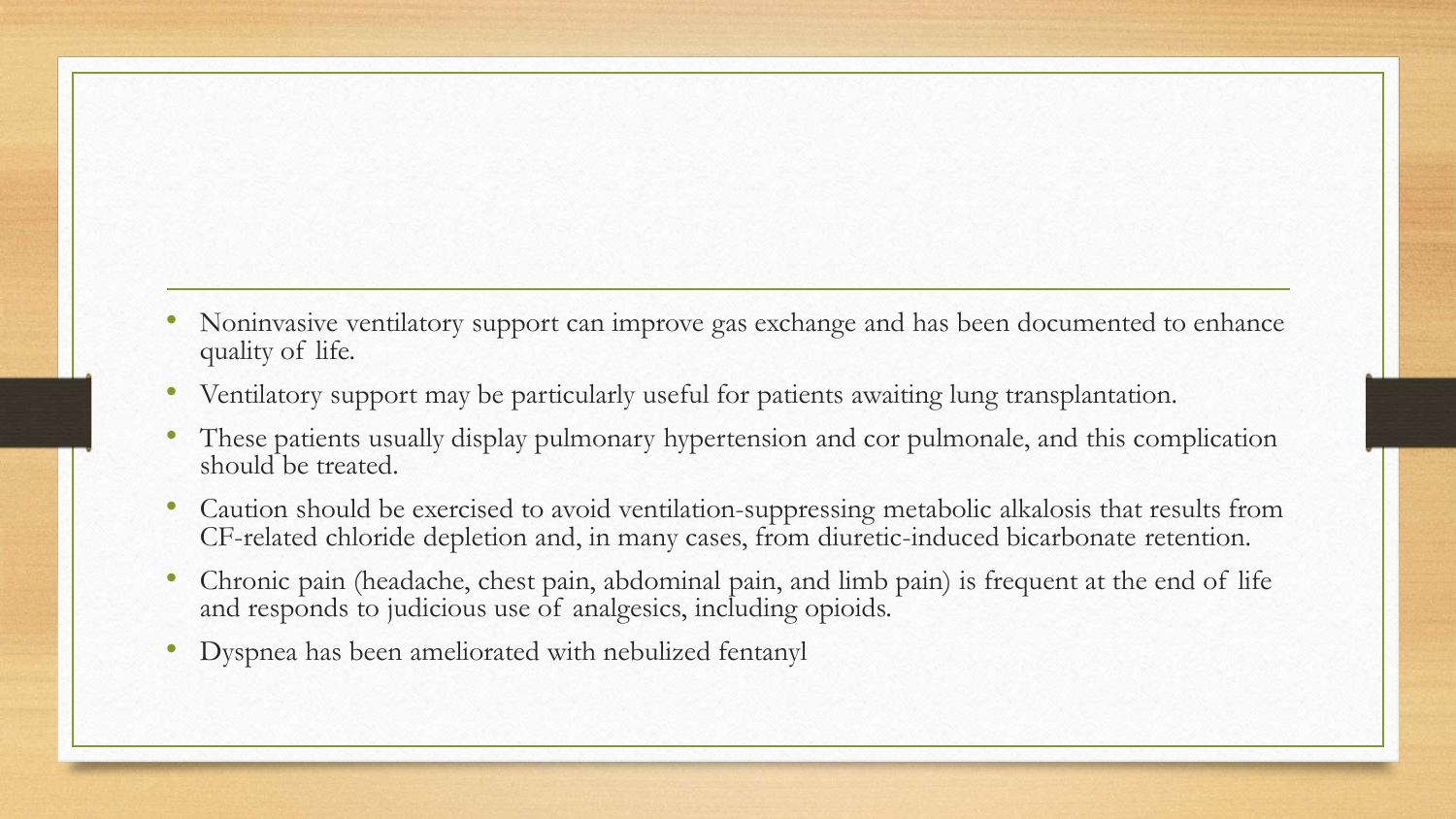- Noninvasive ventilatory support can improve gas exchange and has been documented to enhance quality of life.
- Ventilatory support may be particularly useful for patients awaiting lung transplantation.
- These patients usually display pulmonary hypertension and cor pulmonale, and this complication should be treated.
- Caution should be exercised to avoid ventilation-suppressing metabolic alkalosis that results from CF-related chloride depletion and, in many cases, from diuretic-induced bicarbonate retention.
- Chronic pain (headache, chest pain, abdominal pain, and limb pain) is frequent at the end of life and responds to judicious use of analgesics, including opioids.
- Dyspnea has been ameliorated with nebulized fentanyl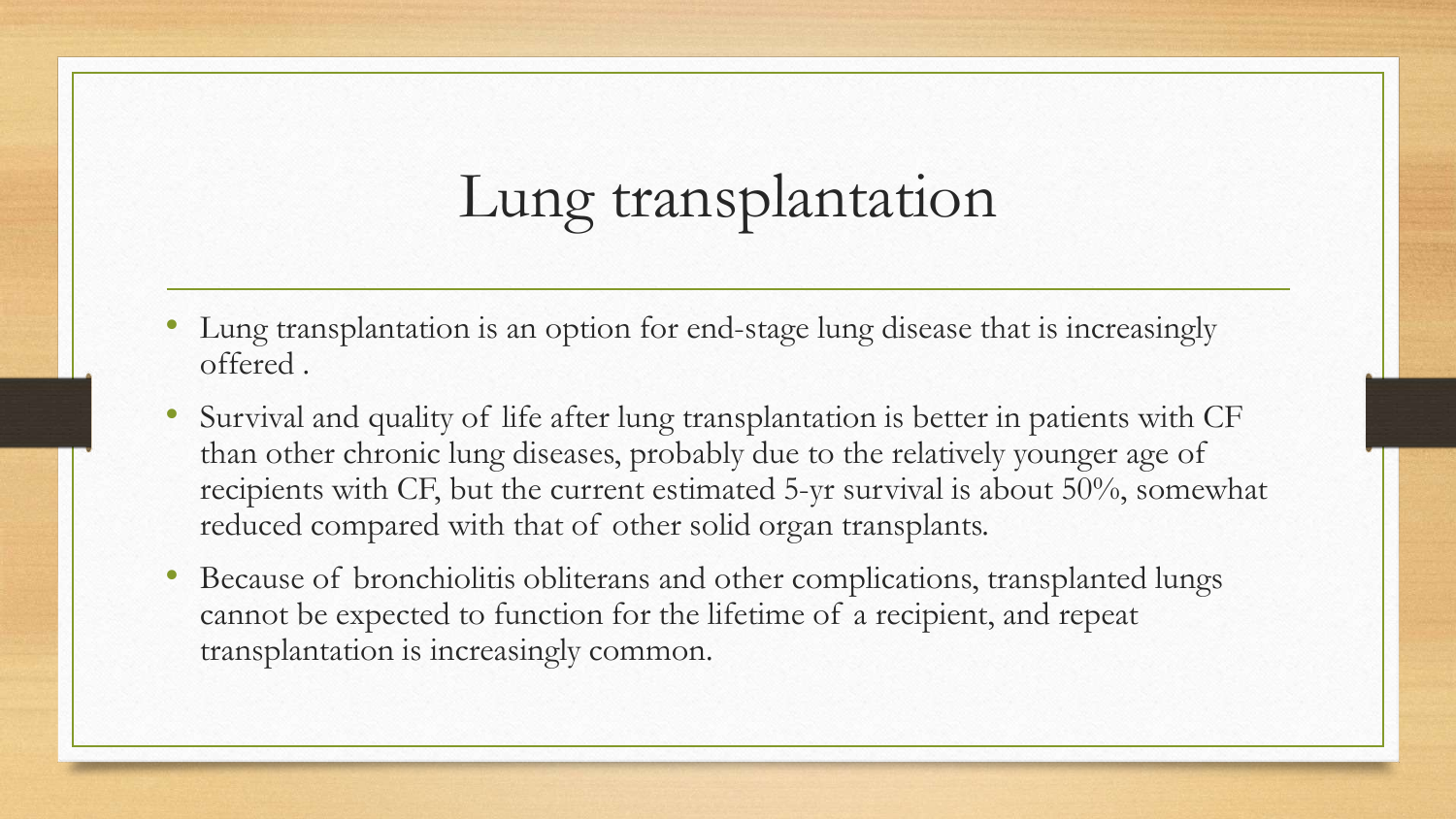## Lung transplantation

- Lung transplantation is an option for end-stage lung disease that is increasingly offered .
- Survival and quality of life after lung transplantation is better in patients with CF than other chronic lung diseases, probably due to the relatively younger age of recipients with CF, but the current estimated 5-yr survival is about 50%, somewhat reduced compared with that of other solid organ transplants.
- Because of bronchiolitis obliterans and other complications, transplanted lungs cannot be expected to function for the lifetime of a recipient, and repeat transplantation is increasingly common.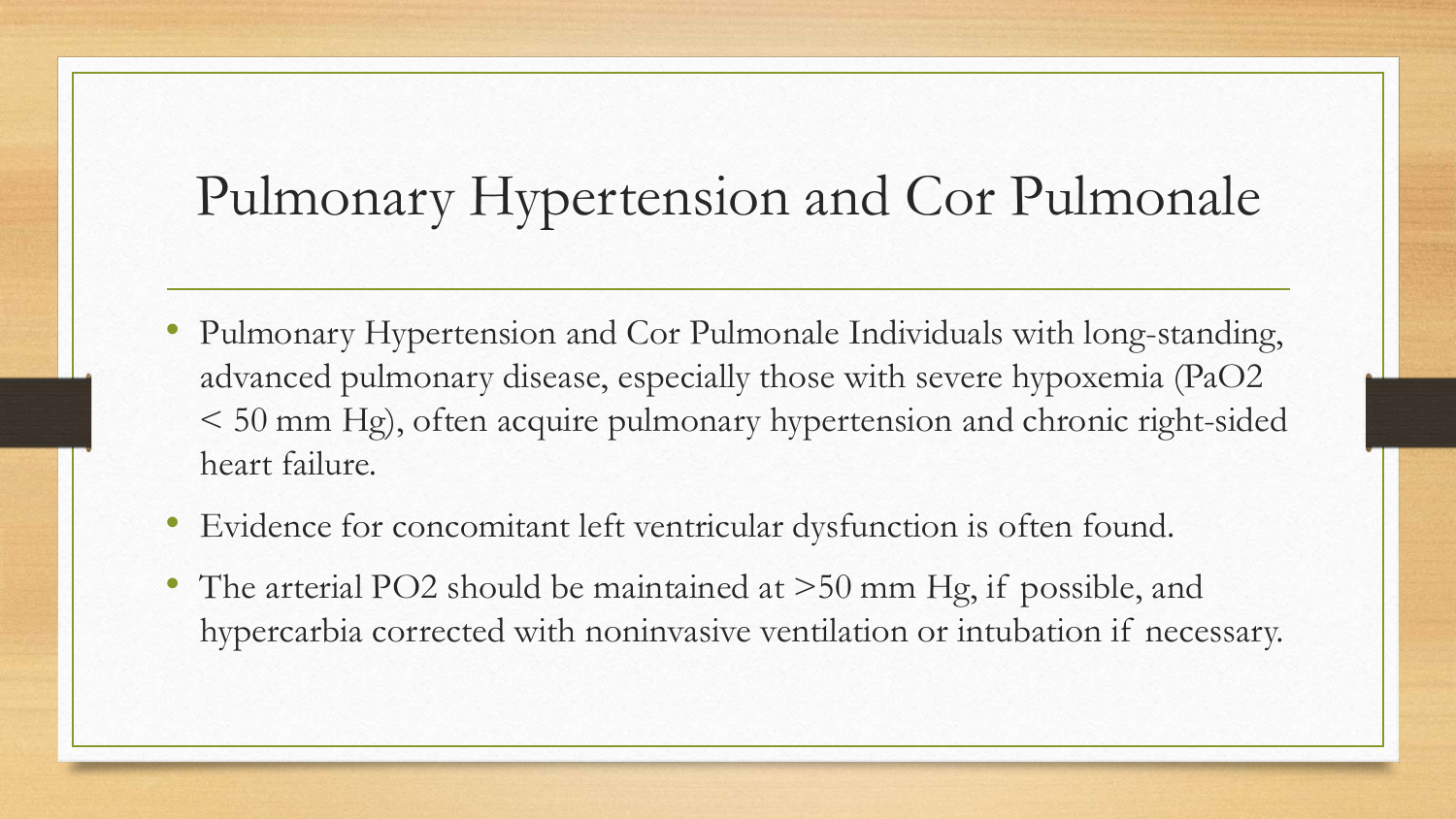#### Pulmonary Hypertension and Cor Pulmonale

- Pulmonary Hypertension and Cor Pulmonale Individuals with long-standing, advanced pulmonary disease, especially those with severe hypoxemia (PaO2 < 50 mm Hg), often acquire pulmonary hypertension and chronic right-sided heart failure.
- Evidence for concomitant left ventricular dysfunction is often found.
- The arterial PO2 should be maintained at >50 mm Hg, if possible, and hypercarbia corrected with noninvasive ventilation or intubation if necessary.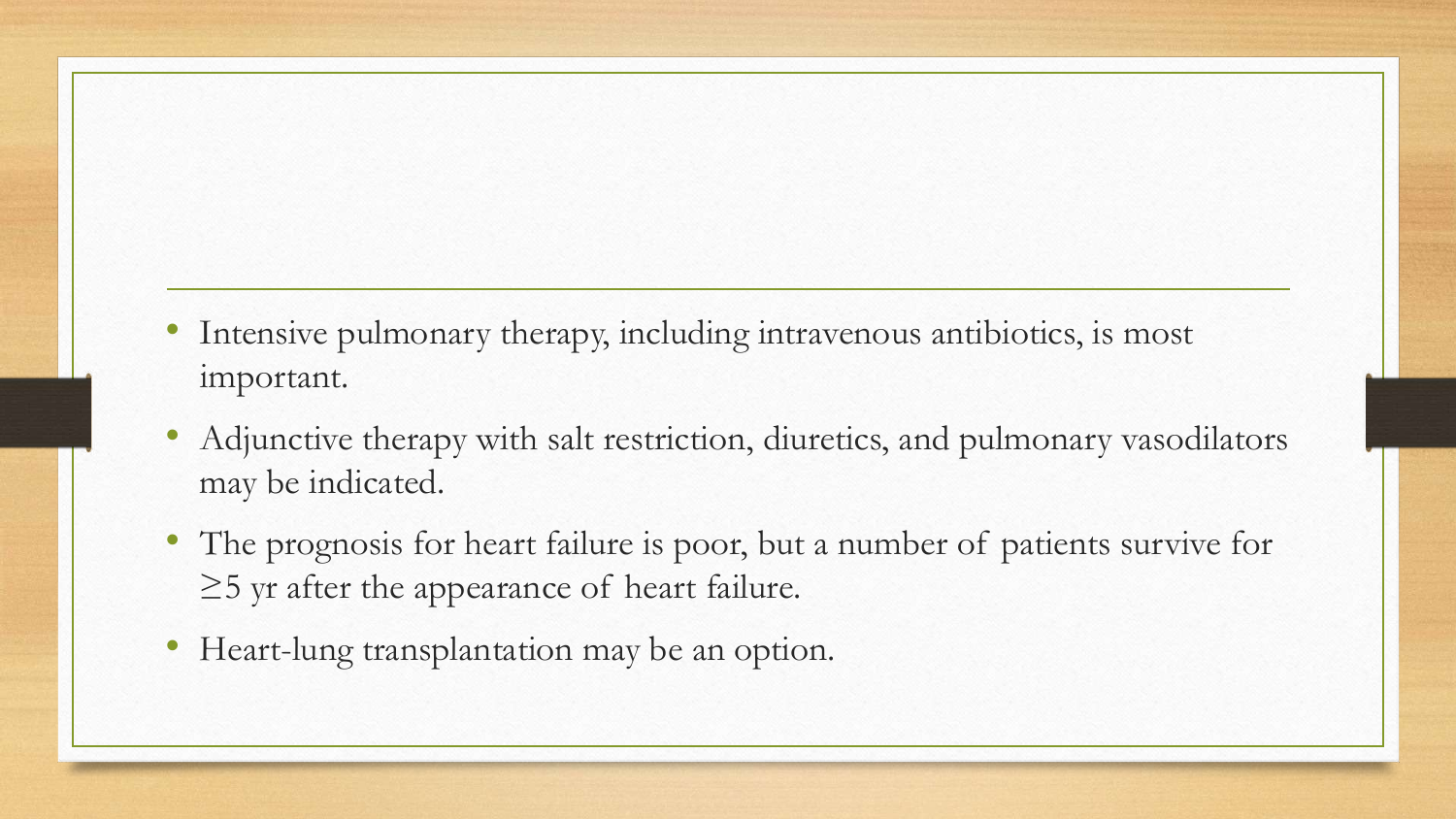- Intensive pulmonary therapy, including intravenous antibiotics, is most important.
- Adjunctive therapy with salt restriction, diuretics, and pulmonary vasodilators may be indicated.
- The prognosis for heart failure is poor, but a number of patients survive for ≥5 yr after the appearance of heart failure.
- Heart-lung transplantation may be an option.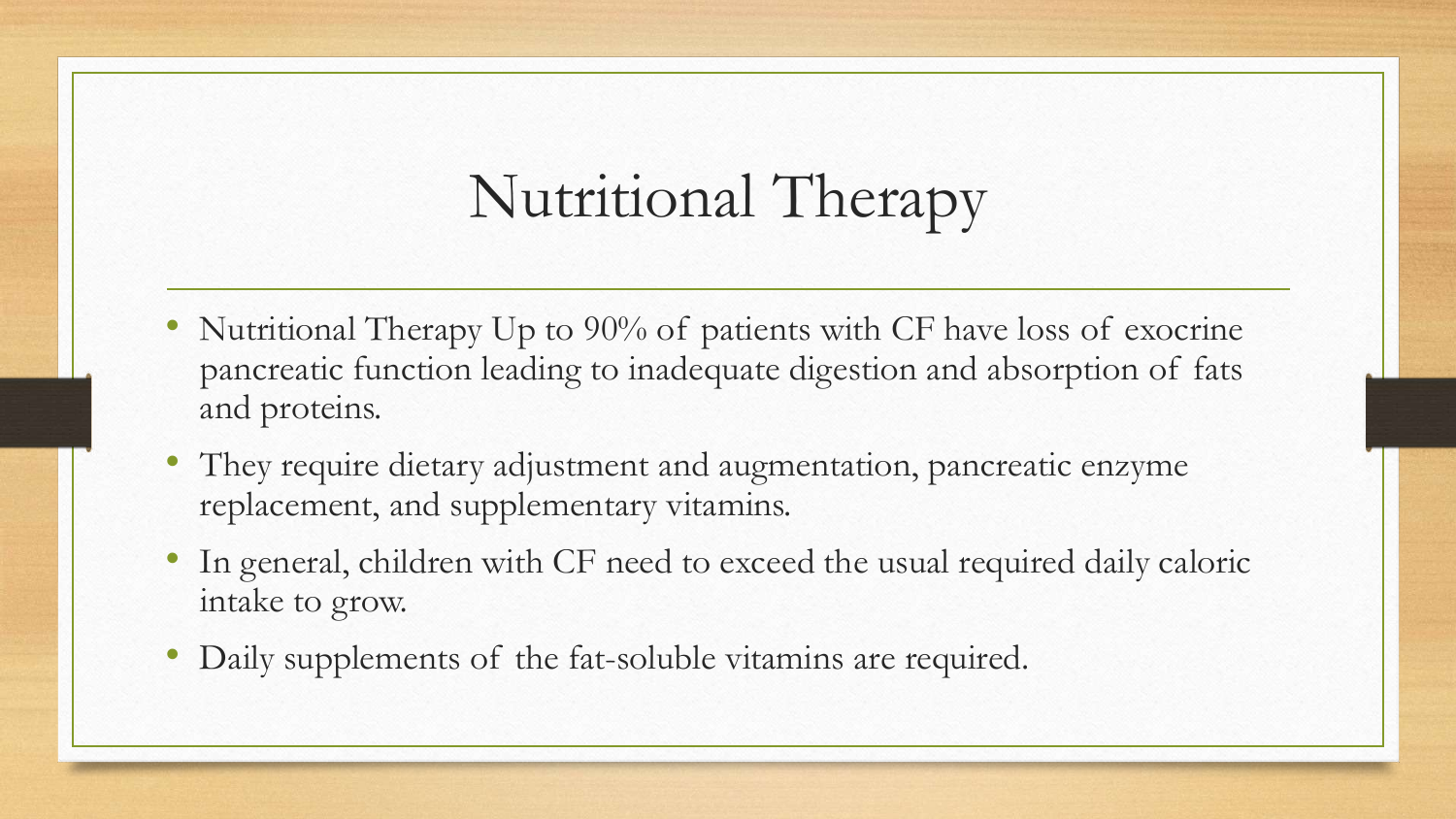## Nutritional Therapy

- Nutritional Therapy Up to 90% of patients with CF have loss of exocrine pancreatic function leading to inadequate digestion and absorption of fats and proteins.
- They require dietary adjustment and augmentation, pancreatic enzyme replacement, and supplementary vitamins.
- In general, children with CF need to exceed the usual required daily caloric intake to grow.
- Daily supplements of the fat-soluble vitamins are required.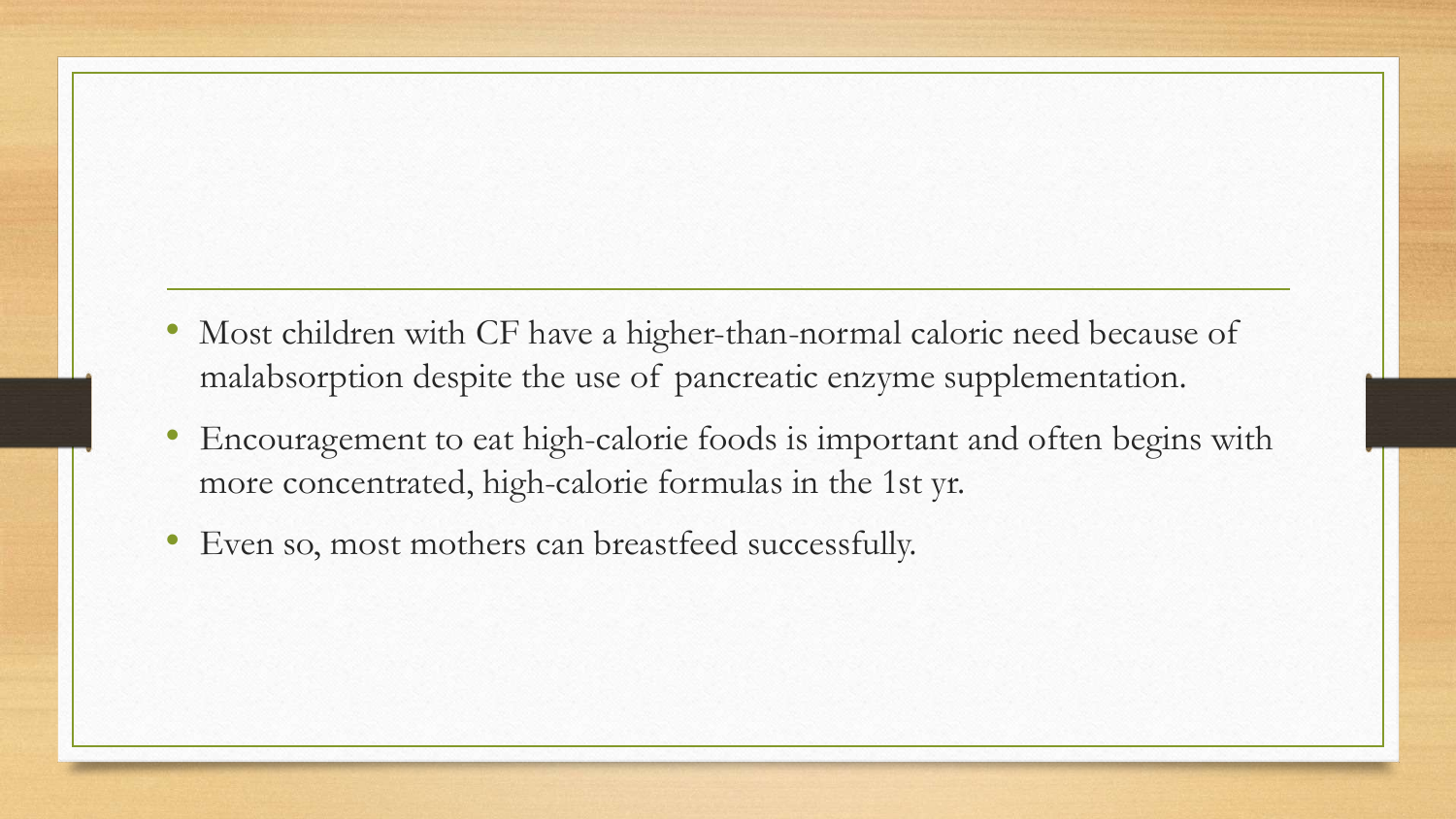- Most children with CF have a higher-than-normal caloric need because of malabsorption despite the use of pancreatic enzyme supplementation.
- Encouragement to eat high-calorie foods is important and often begins with more concentrated, high-calorie formulas in the 1st yr.
- Even so, most mothers can breastfeed successfully.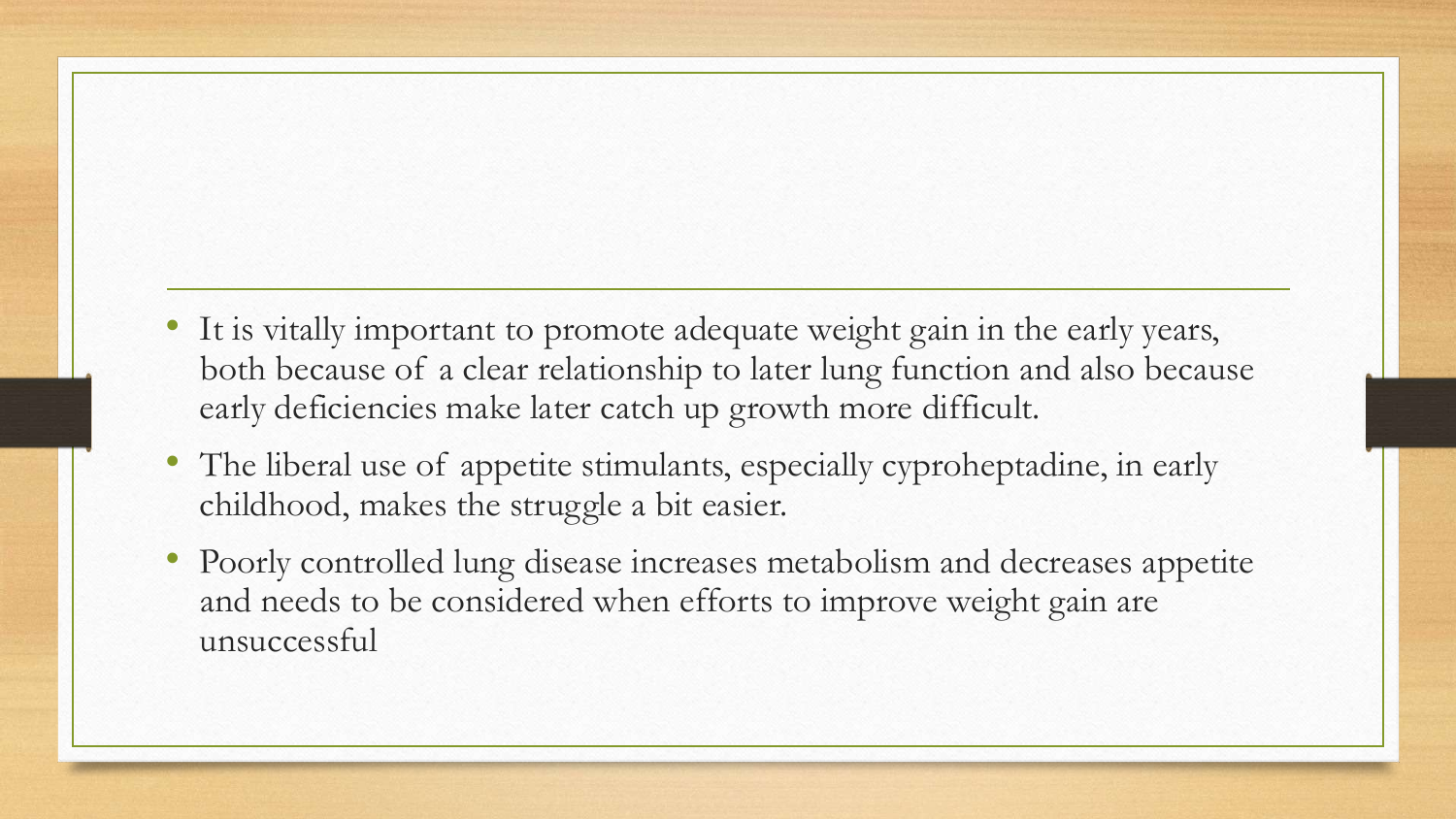- It is vitally important to promote adequate weight gain in the early years, both because of a clear relationship to later lung function and also because early deficiencies make later catch up growth more difficult.
- The liberal use of appetite stimulants, especially cyproheptadine, in early childhood, makes the struggle a bit easier.
- Poorly controlled lung disease increases metabolism and decreases appetite and needs to be considered when efforts to improve weight gain are unsuccessful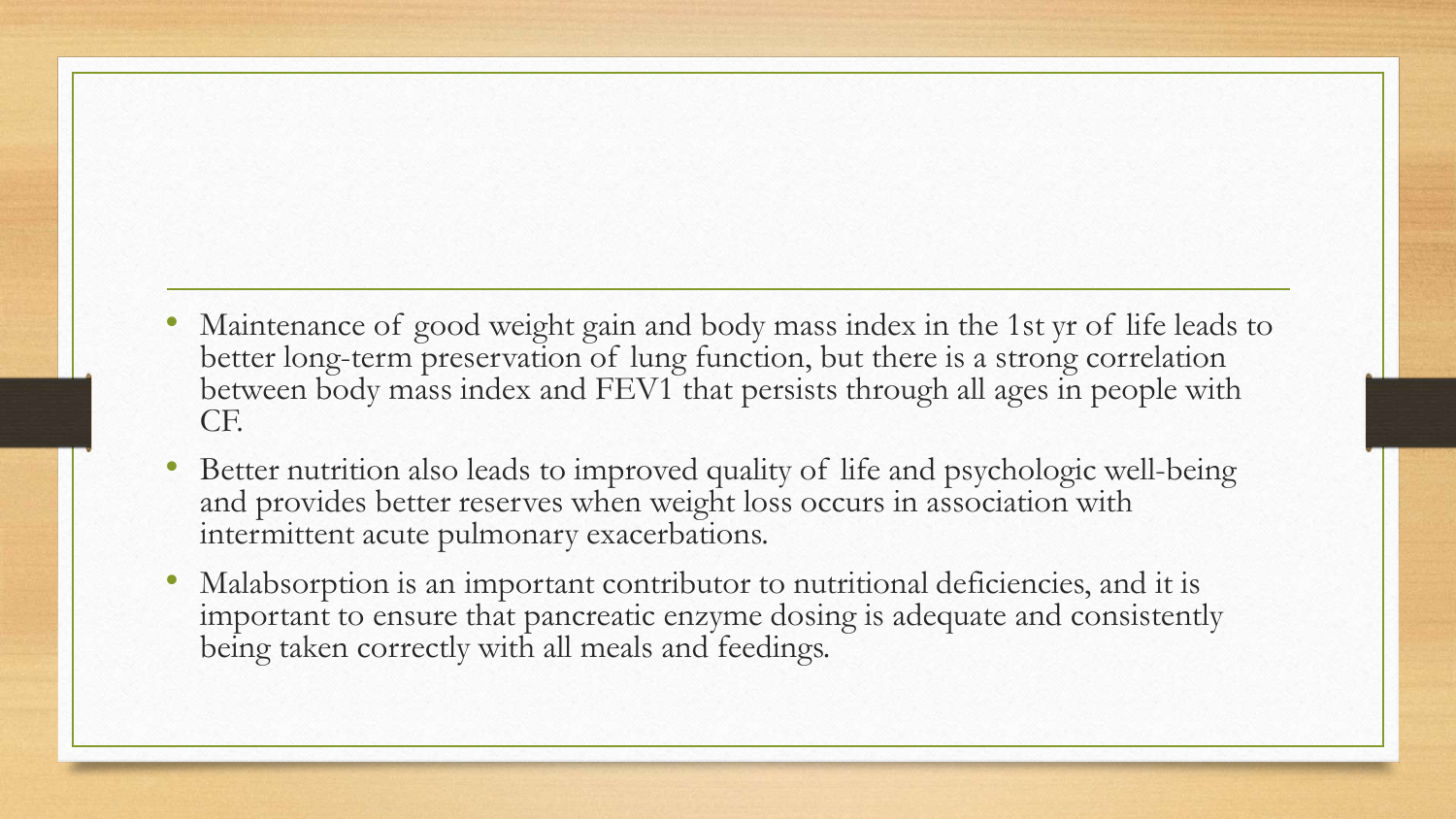- Maintenance of good weight gain and body mass index in the 1st yr of life leads to better long-term preservation of lung function, but there is a strong correlation between body mass index and FEV1 that persists through all ages in people with CF.
- Better nutrition also leads to improved quality of life and psychologic well-being and provides better reserves when weight loss occurs in association with intermittent acute pulmonary exacerbations.
- Malabsorption is an important contributor to nutritional deficiencies, and it is important to ensure that pancreatic enzyme dosing is adequate and consistently being taken correctly with all meals and feedings.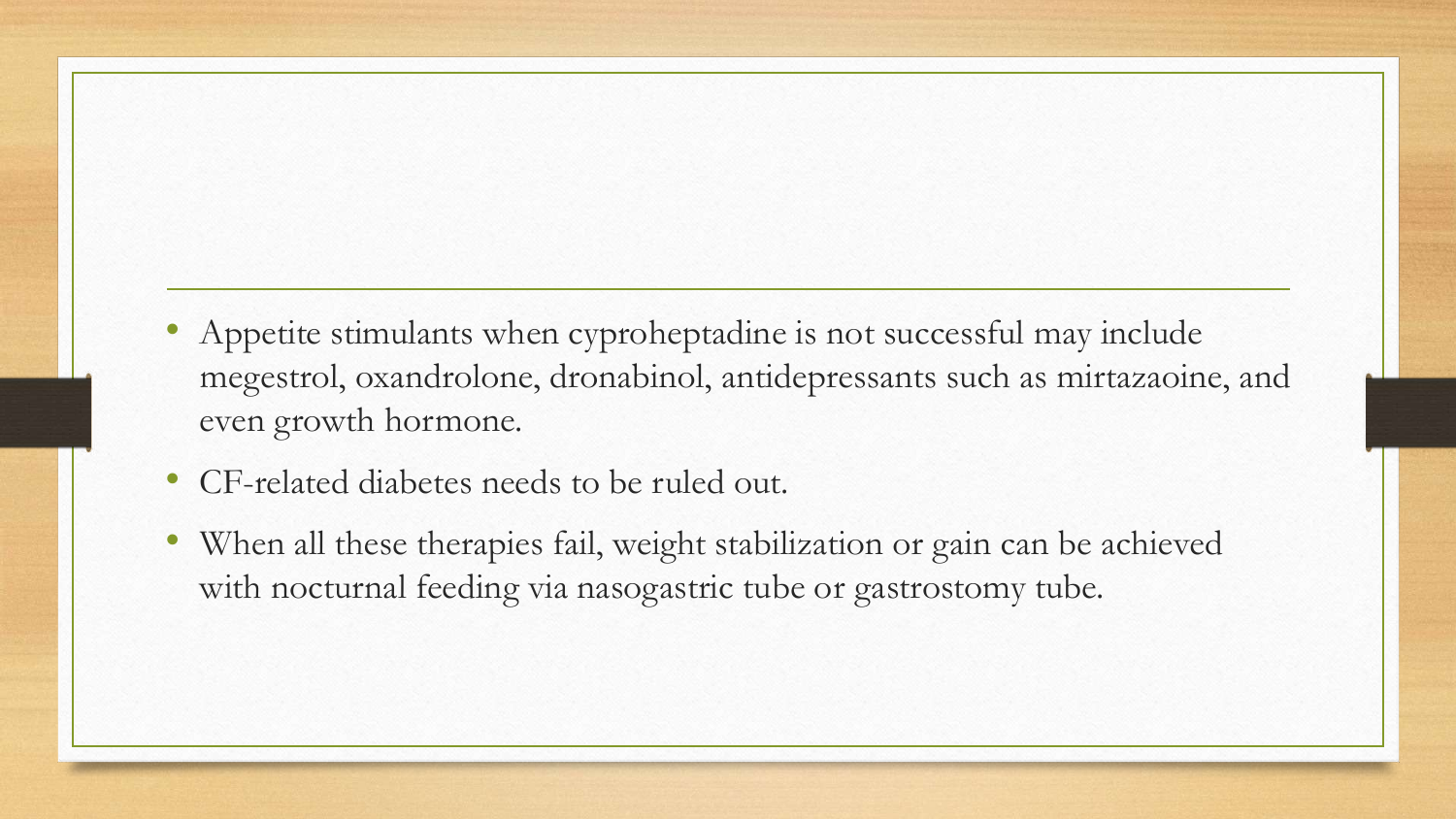- Appetite stimulants when cyproheptadine is not successful may include megestrol, oxandrolone, dronabinol, antidepressants such as mirtazaoine, and even growth hormone.
- CF-related diabetes needs to be ruled out.
- When all these therapies fail, weight stabilization or gain can be achieved with nocturnal feeding via nasogastric tube or gastrostomy tube.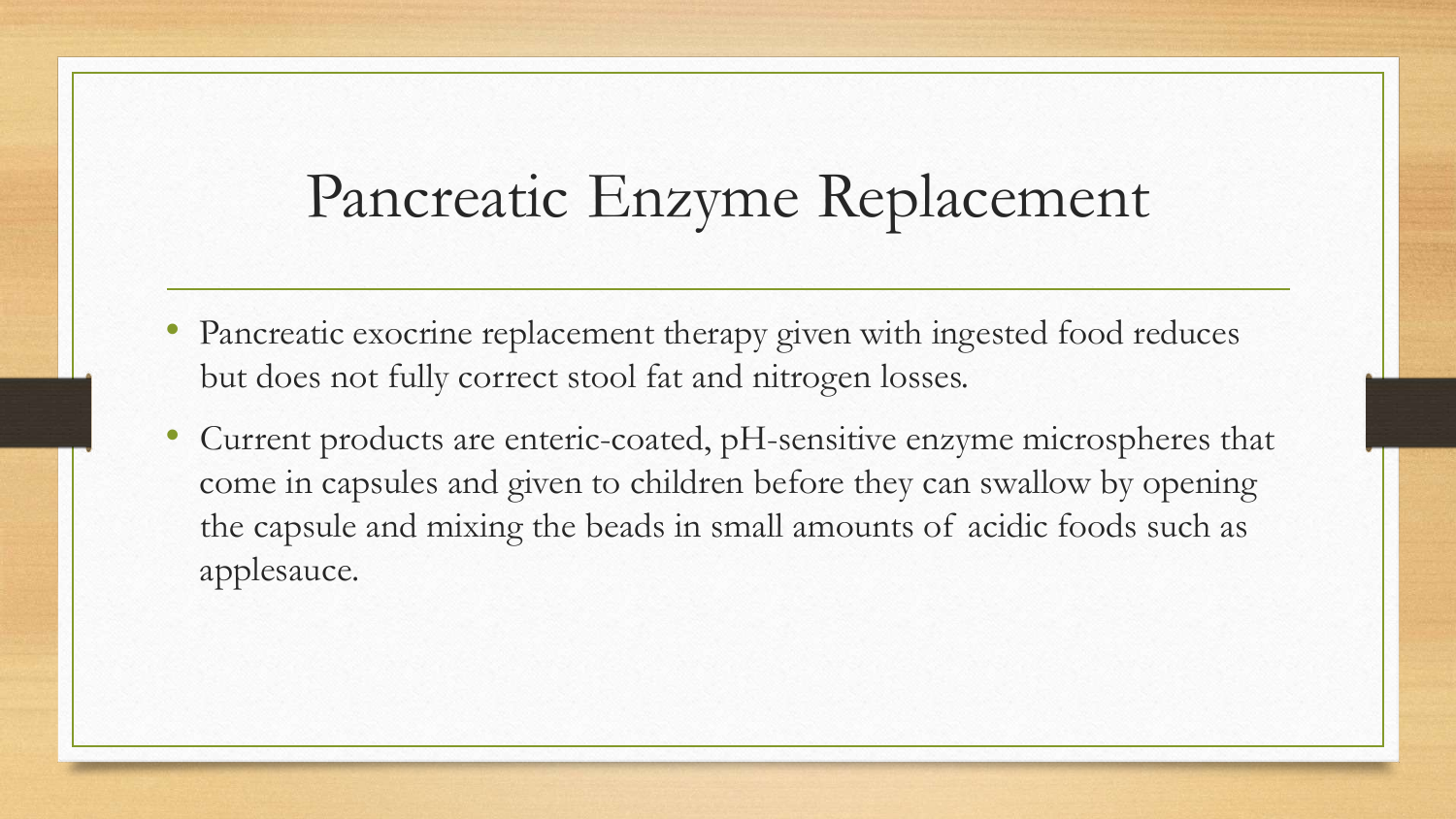#### Pancreatic Enzyme Replacement

- Pancreatic exocrine replacement therapy given with ingested food reduces but does not fully correct stool fat and nitrogen losses.
- Current products are enteric-coated, pH-sensitive enzyme microspheres that come in capsules and given to children before they can swallow by opening the capsule and mixing the beads in small amounts of acidic foods such as applesauce.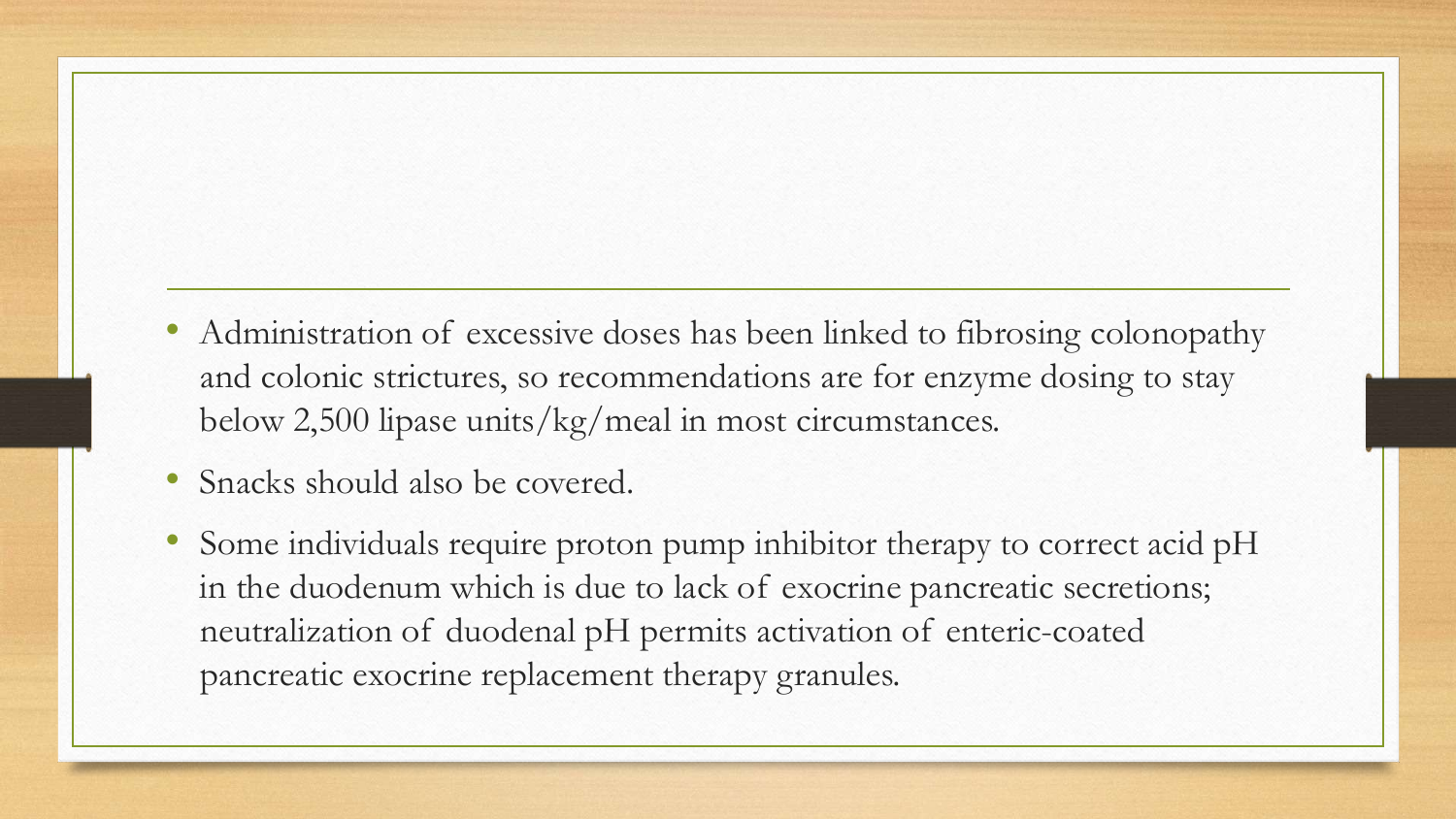- Administration of excessive doses has been linked to fibrosing colonopathy and colonic strictures, so recommendations are for enzyme dosing to stay below 2,500 lipase units/kg/meal in most circumstances.
- Snacks should also be covered.
- Some individuals require proton pump inhibitor therapy to correct acid pH in the duodenum which is due to lack of exocrine pancreatic secretions; neutralization of duodenal pH permits activation of enteric-coated pancreatic exocrine replacement therapy granules.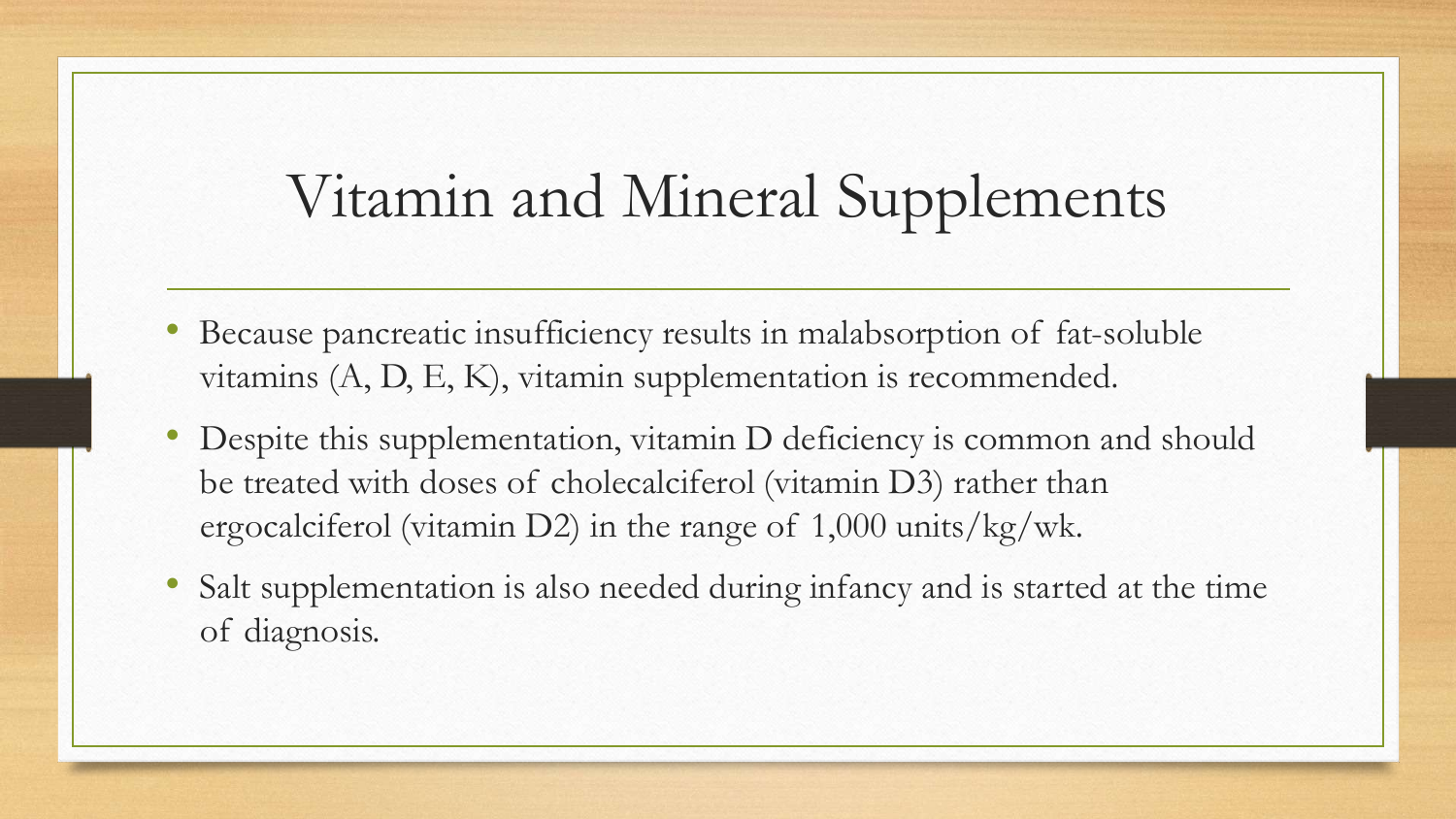## Vitamin and Mineral Supplements

- Because pancreatic insufficiency results in malabsorption of fat-soluble vitamins (A, D, E, K), vitamin supplementation is recommended.
- Despite this supplementation, vitamin D deficiency is common and should be treated with doses of cholecalciferol (vitamin D3) rather than ergocalciferol (vitamin D2) in the range of 1,000 units/kg/wk.
- Salt supplementation is also needed during infancy and is started at the time of diagnosis.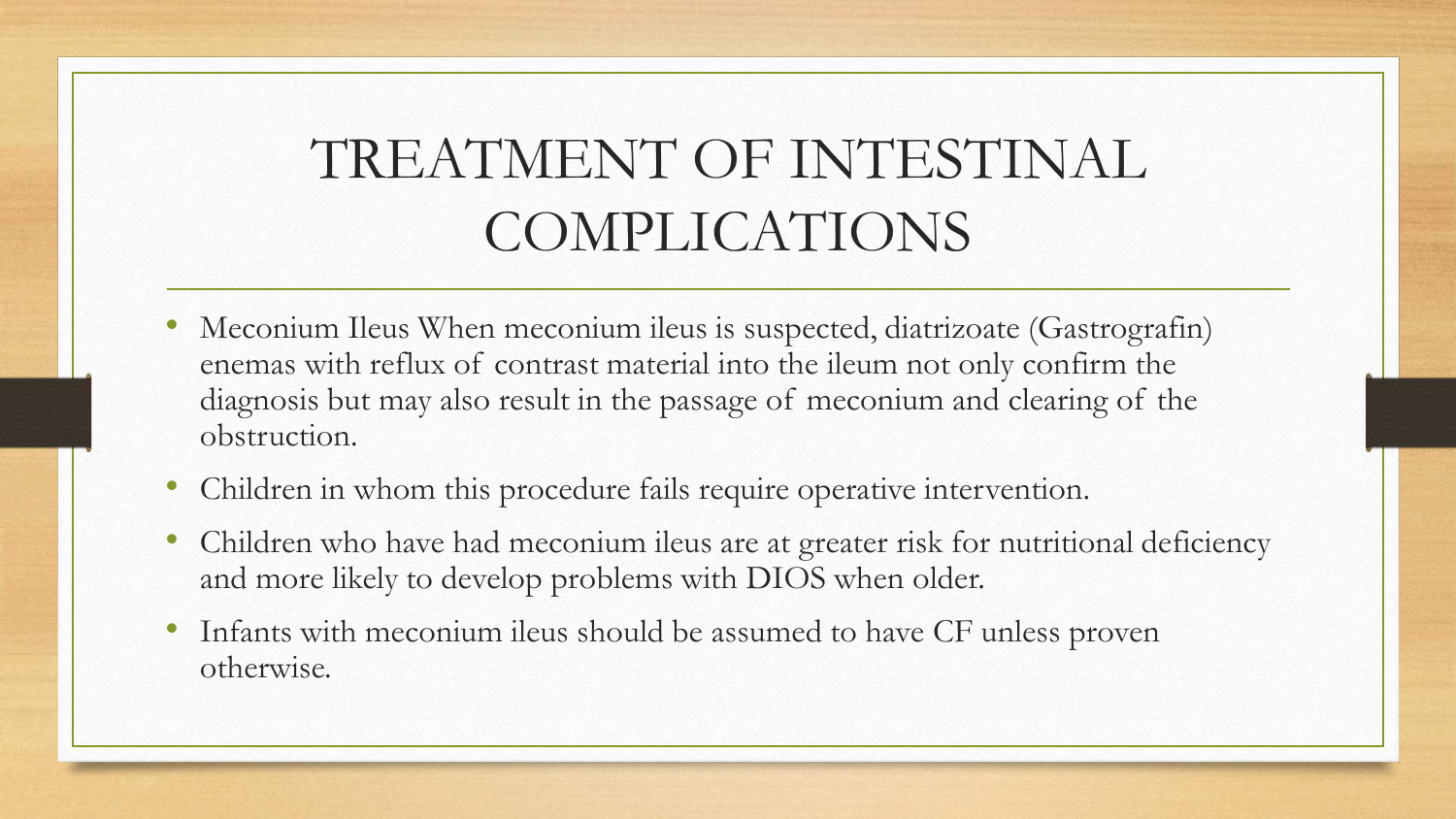#### TREATMENT OF INTESTINAL COMPLICATIONS

- Meconium Ileus When meconium ileus is suspected, diatrizoate (Gastrografin) enemas with reflux of contrast material into the ileum not only confirm the diagnosis but may also result in the passage of meconium and clearing of the obstruction.
- Children in whom this procedure fails require operative intervention.
- Children who have had meconium ileus are at greater risk for nutritional deficiency and more likely to develop problems with DIOS when older.
- Infants with meconium ileus should be assumed to have CF unless proven otherwise.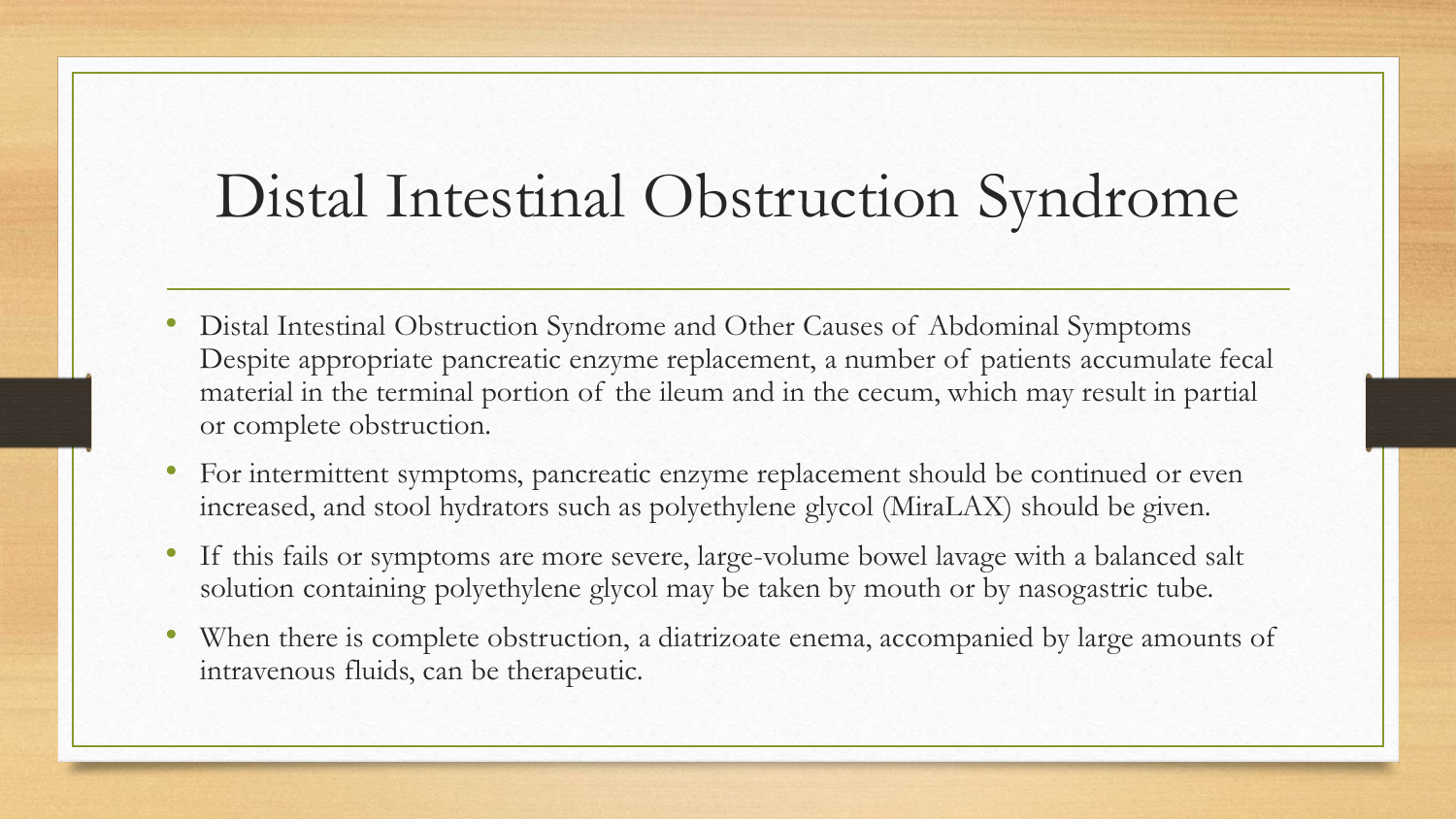#### Distal Intestinal Obstruction Syndrome

- Distal Intestinal Obstruction Syndrome and Other Causes of Abdominal Symptoms Despite appropriate pancreatic enzyme replacement, a number of patients accumulate fecal material in the terminal portion of the ileum and in the cecum, which may result in partial or complete obstruction.
- For intermittent symptoms, pancreatic enzyme replacement should be continued or even increased, and stool hydrators such as polyethylene glycol (MiraLAX) should be given.
- If this fails or symptoms are more severe, large-volume bowel lavage with a balanced salt solution containing polyethylene glycol may be taken by mouth or by nasogastric tube.
- When there is complete obstruction, a diatrizoate enema, accompanied by large amounts of intravenous fluids, can be therapeutic.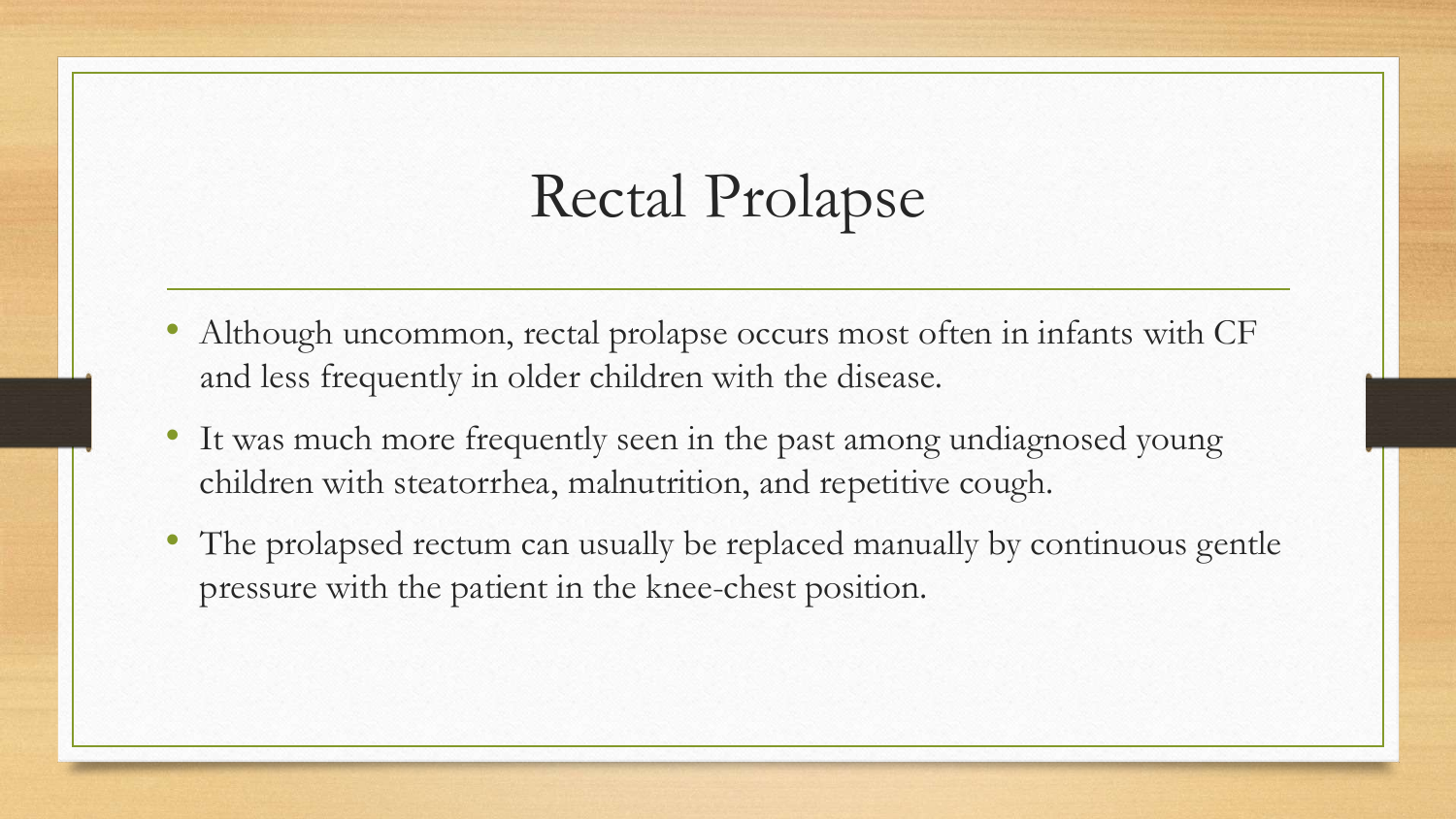## Rectal Prolapse

- Although uncommon, rectal prolapse occurs most often in infants with CF and less frequently in older children with the disease.
- It was much more frequently seen in the past among undiagnosed young children with steatorrhea, malnutrition, and repetitive cough.
- The prolapsed rectum can usually be replaced manually by continuous gentle pressure with the patient in the knee-chest position.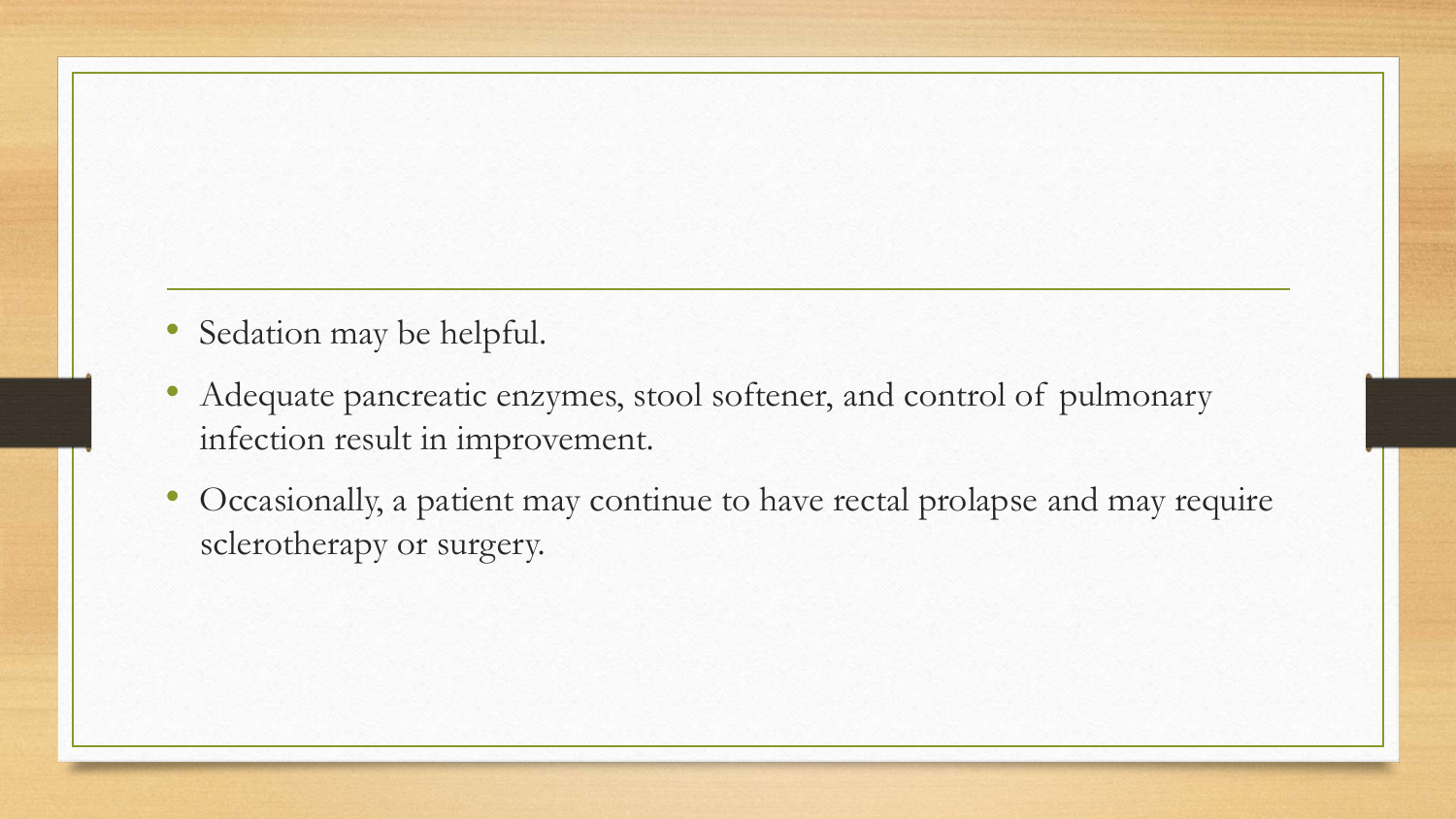- Sedation may be helpful.
- Adequate pancreatic enzymes, stool softener, and control of pulmonary infection result in improvement.
- Occasionally, a patient may continue to have rectal prolapse and may require sclerotherapy or surgery.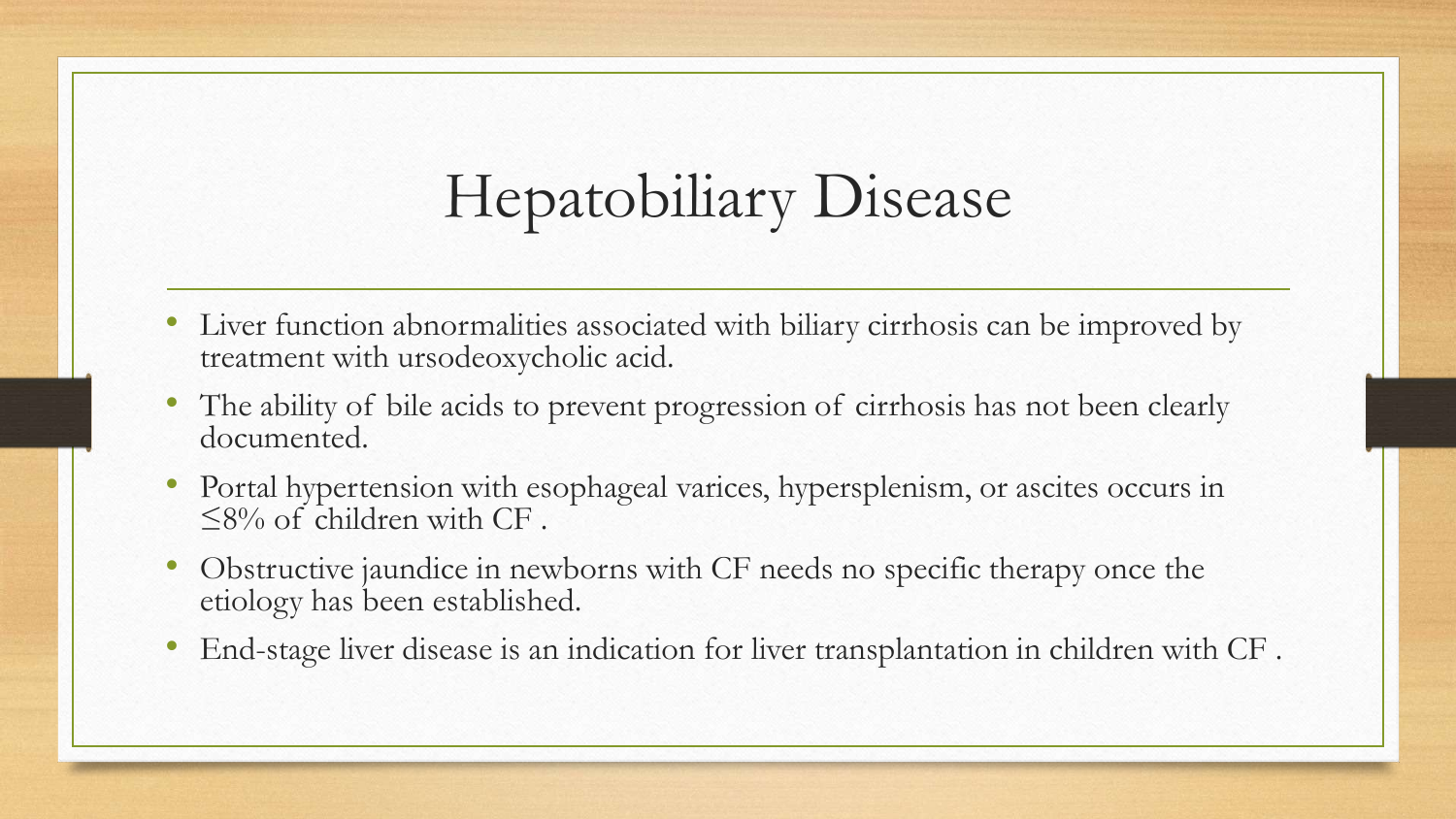## Hepatobiliary Disease

- Liver function abnormalities associated with biliary cirrhosis can be improved by treatment with ursodeoxycholic acid.
- The ability of bile acids to prevent progression of cirrhosis has not been clearly documented.
- Portal hypertension with esophageal varices, hypersplenism, or ascites occurs in  $\leq$ 8% of children with CF.
- Obstructive jaundice in newborns with CF needs no specific therapy once the etiology has been established.
- End-stage liver disease is an indication for liver transplantation in children with CF .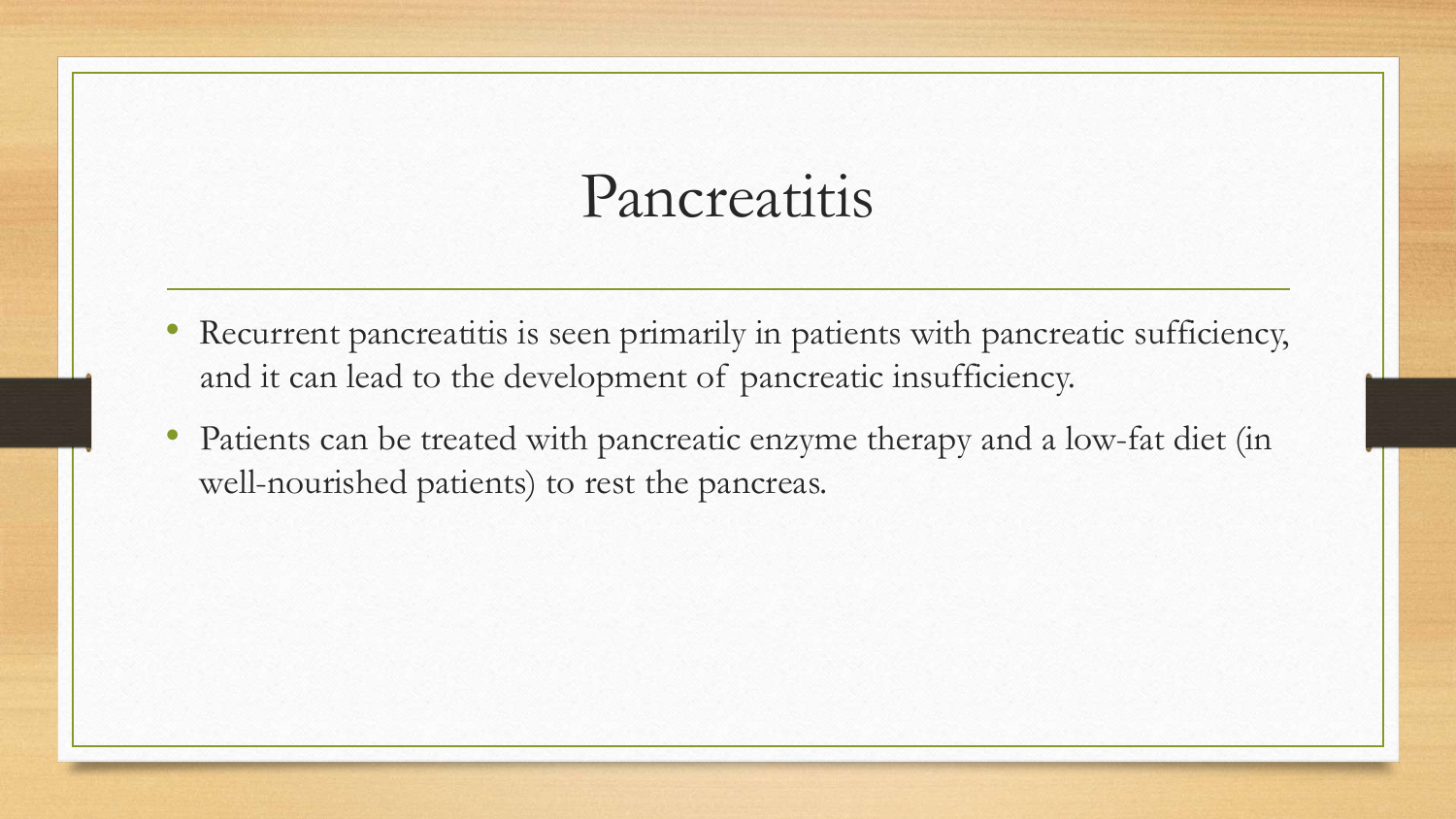#### Pancreatitis

- Recurrent pancreatitis is seen primarily in patients with pancreatic sufficiency, and it can lead to the development of pancreatic insufficiency.
- Patients can be treated with pancreatic enzyme therapy and a low-fat diet (in well-nourished patients) to rest the pancreas.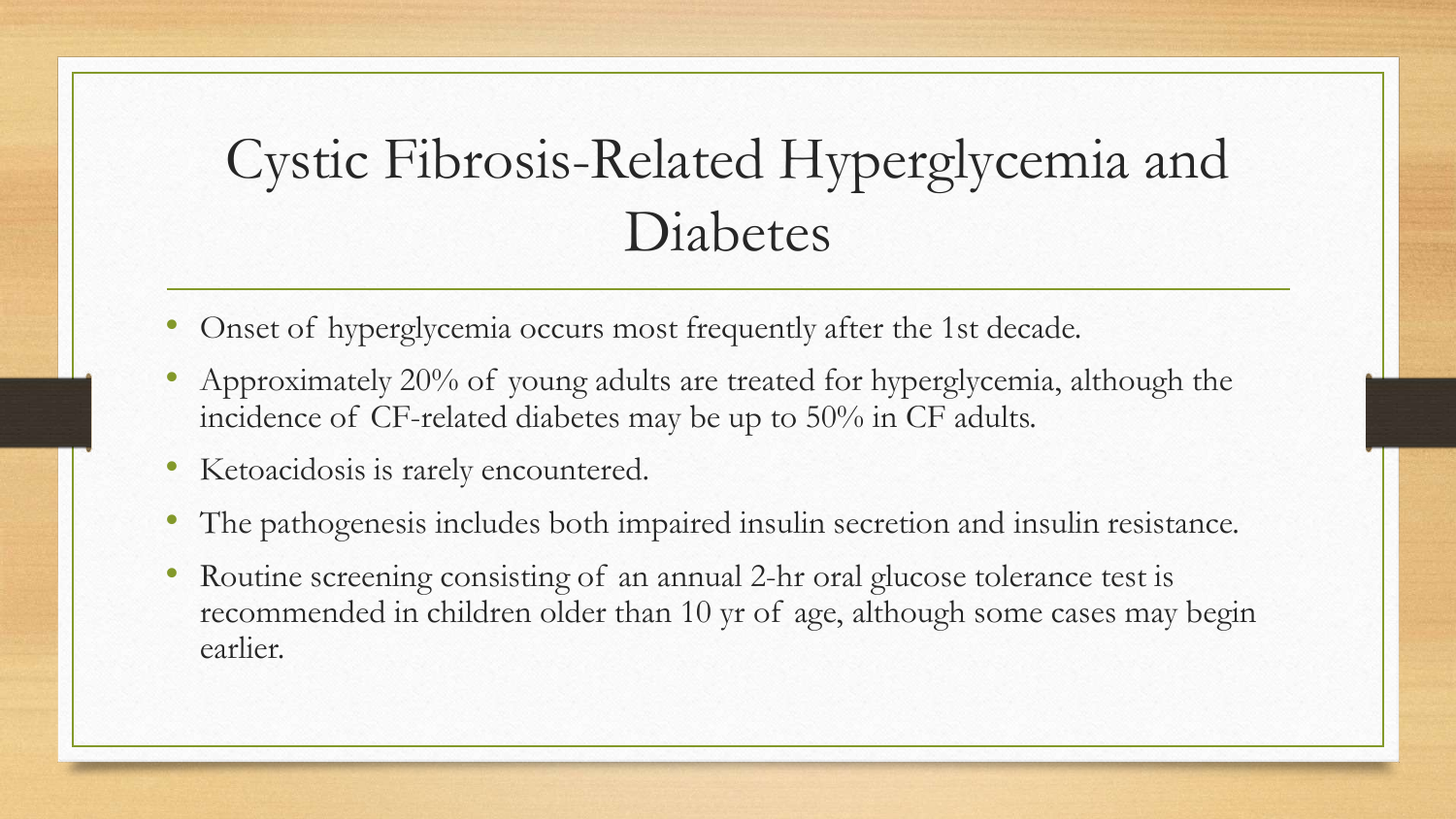#### Cystic Fibrosis-Related Hyperglycemia and Diabetes

- Onset of hyperglycemia occurs most frequently after the 1st decade.
- Approximately 20% of young adults are treated for hyperglycemia, although the incidence of CF-related diabetes may be up to 50% in CF adults.
- Ketoacidosis is rarely encountered.
- The pathogenesis includes both impaired insulin secretion and insulin resistance.
- Routine screening consisting of an annual 2-hr oral glucose tolerance test is recommended in children older than 10 yr of age, although some cases may begin earlier.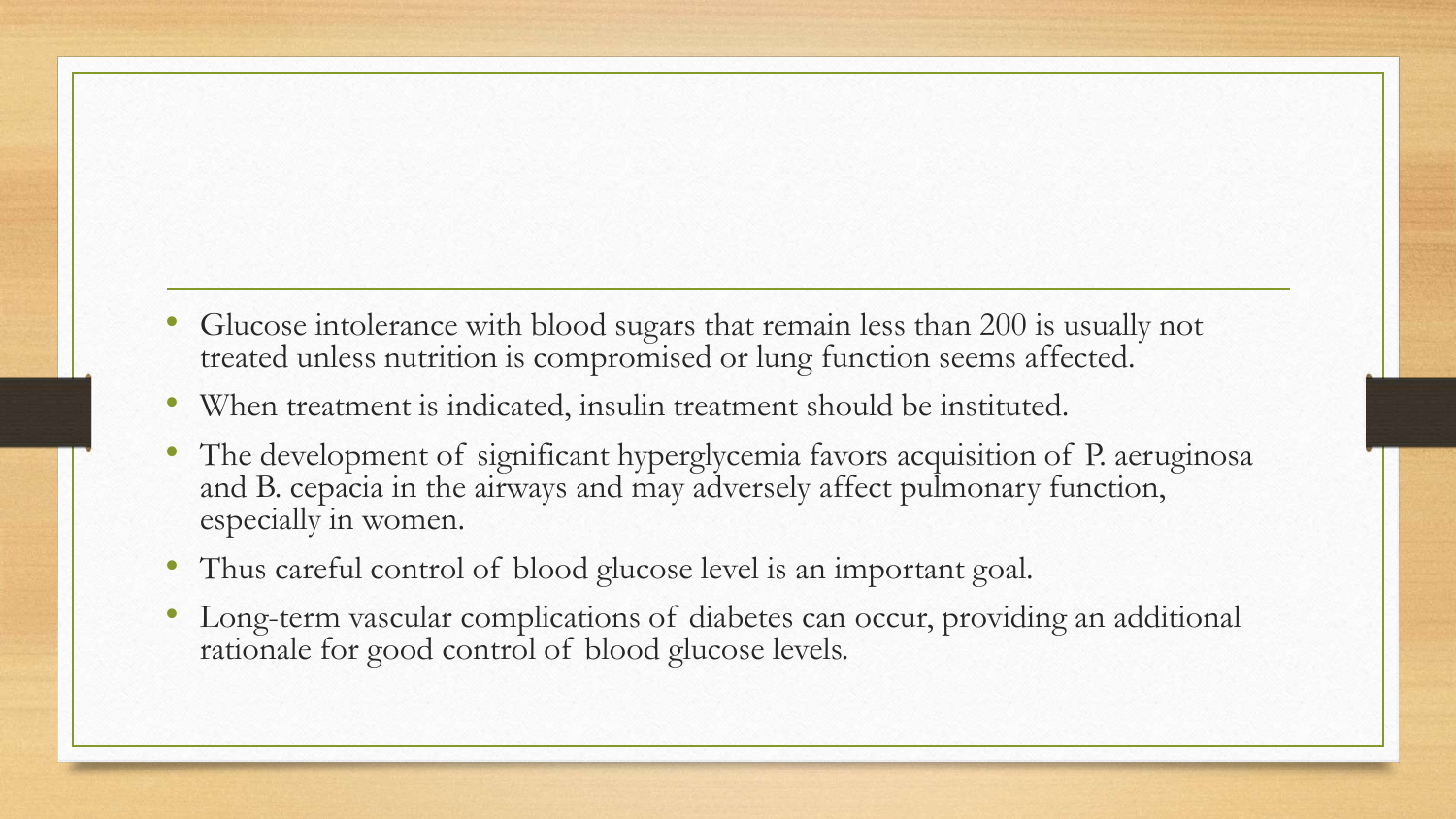- Glucose intolerance with blood sugars that remain less than 200 is usually not treated unless nutrition is compromised or lung function seems affected.
- When treatment is indicated, insulin treatment should be instituted.
- The development of significant hyperglycemia favors acquisition of P. aeruginosa and B. cepacia in the airways and may adversely affect pulmonary function, especially in women.
- Thus careful control of blood glucose level is an important goal.
- Long-term vascular complications of diabetes can occur, providing an additional rationale for good control of blood glucose levels.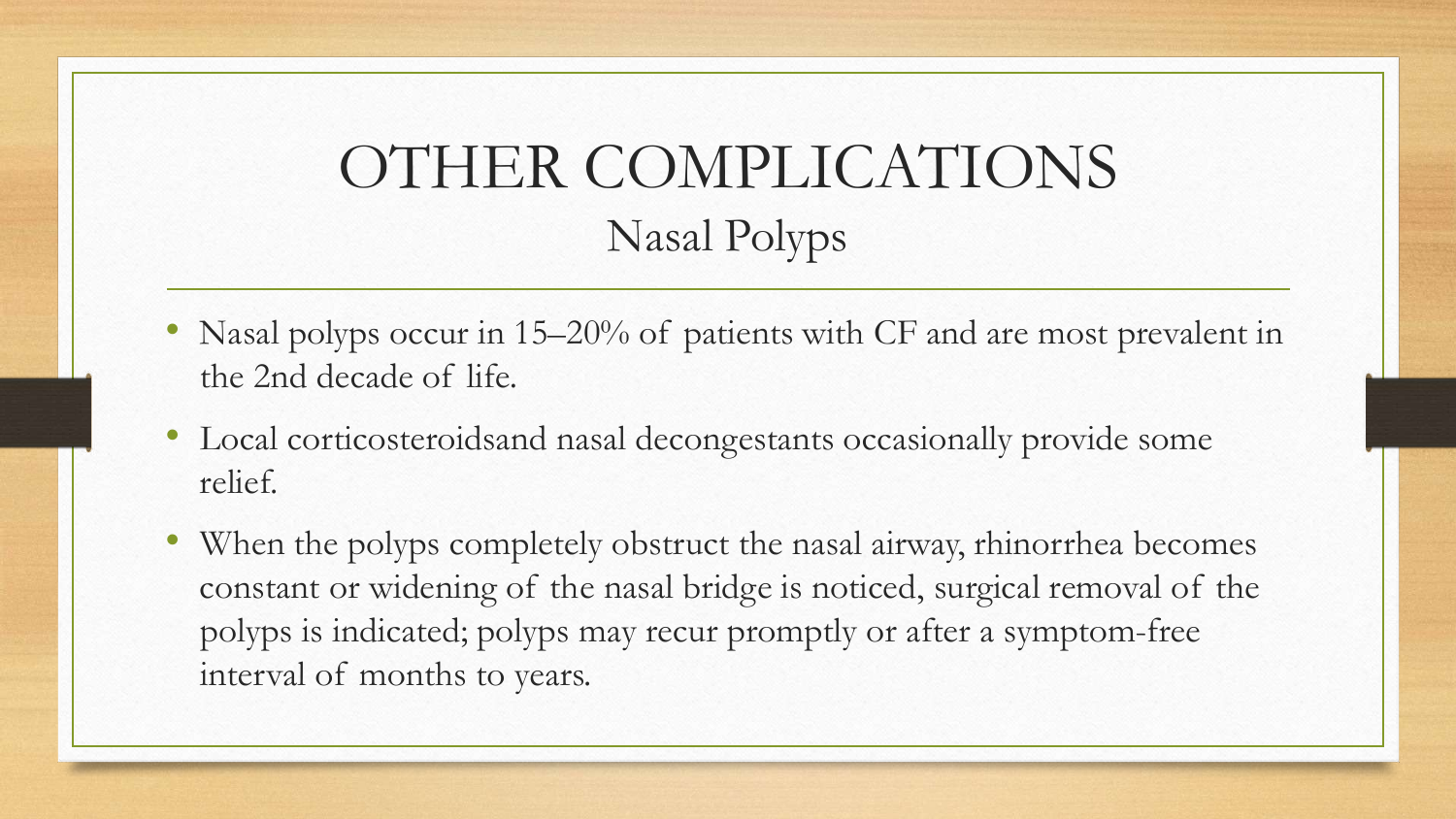#### OTHER COMPLICATIONS Nasal Polyps

- Nasal polyps occur in 15–20% of patients with CF and are most prevalent in the 2nd decade of life.
- Local corticosteroidsand nasal decongestants occasionally provide some relief.
- When the polyps completely obstruct the nasal airway, rhinorrhea becomes constant or widening of the nasal bridge is noticed, surgical removal of the polyps is indicated; polyps may recur promptly or after a symptom-free interval of months to years.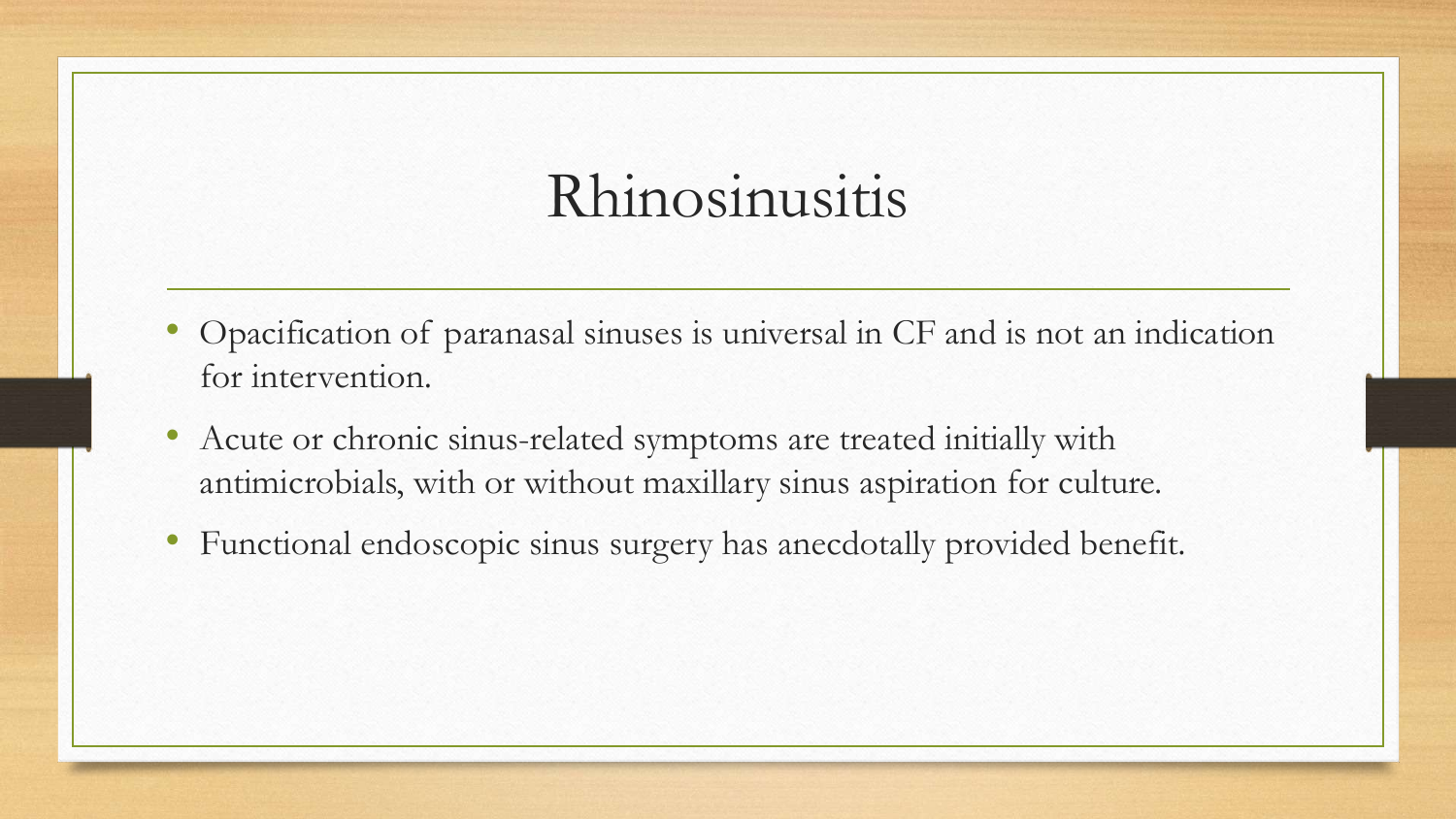#### Rhinosinusitis

- Opacification of paranasal sinuses is universal in CF and is not an indication for intervention.
- Acute or chronic sinus-related symptoms are treated initially with antimicrobials, with or without maxillary sinus aspiration for culture.
- Functional endoscopic sinus surgery has anecdotally provided benefit.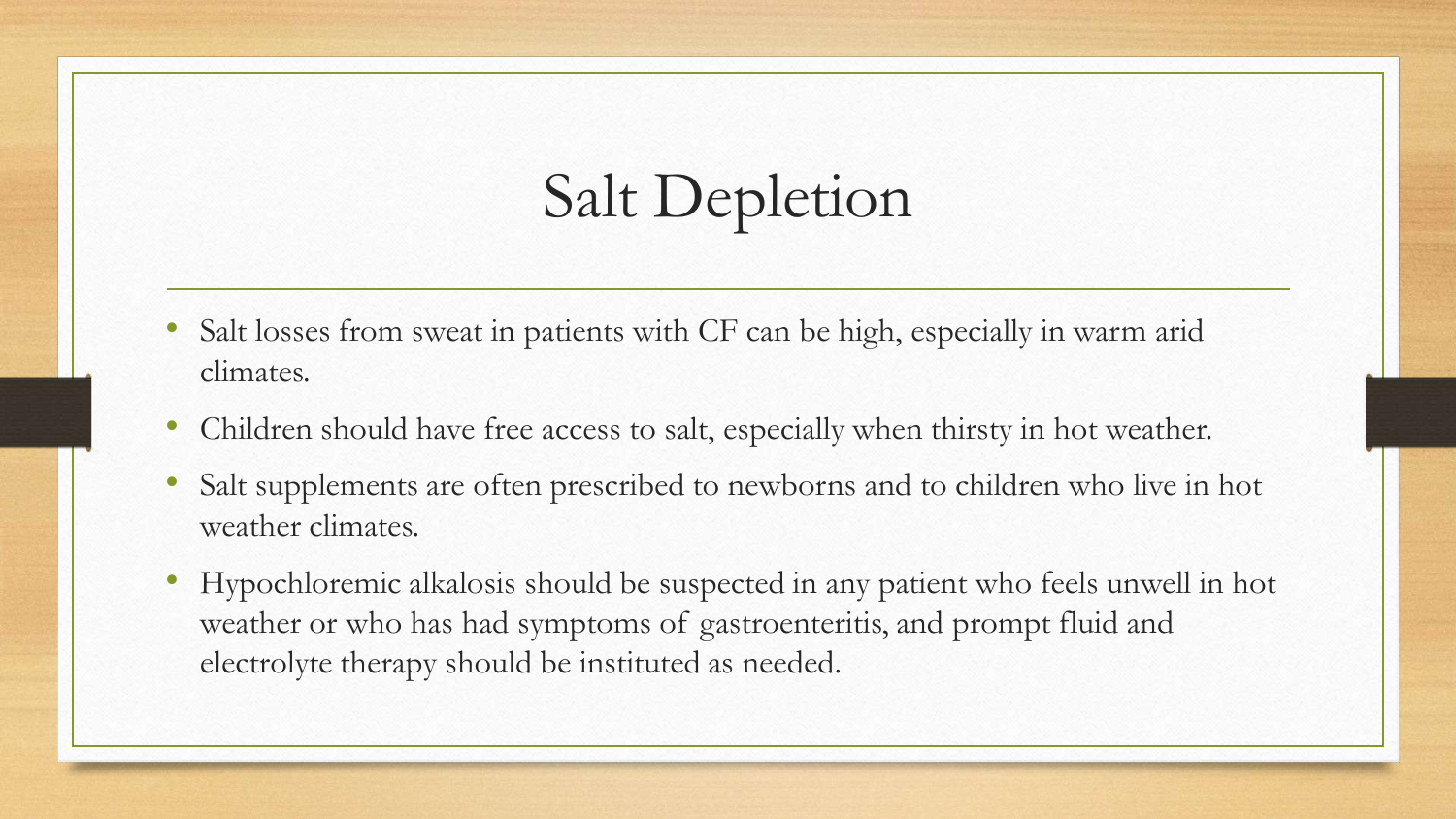# Salt Depletion

- Salt losses from sweat in patients with CF can be high, especially in warm arid climates.
- Children should have free access to salt, especially when thirsty in hot weather.
- Salt supplements are often prescribed to newborns and to children who live in hot weather climates.
- Hypochloremic alkalosis should be suspected in any patient who feels unwell in hot weather or who has had symptoms of gastroenteritis, and prompt fluid and electrolyte therapy should be instituted as needed.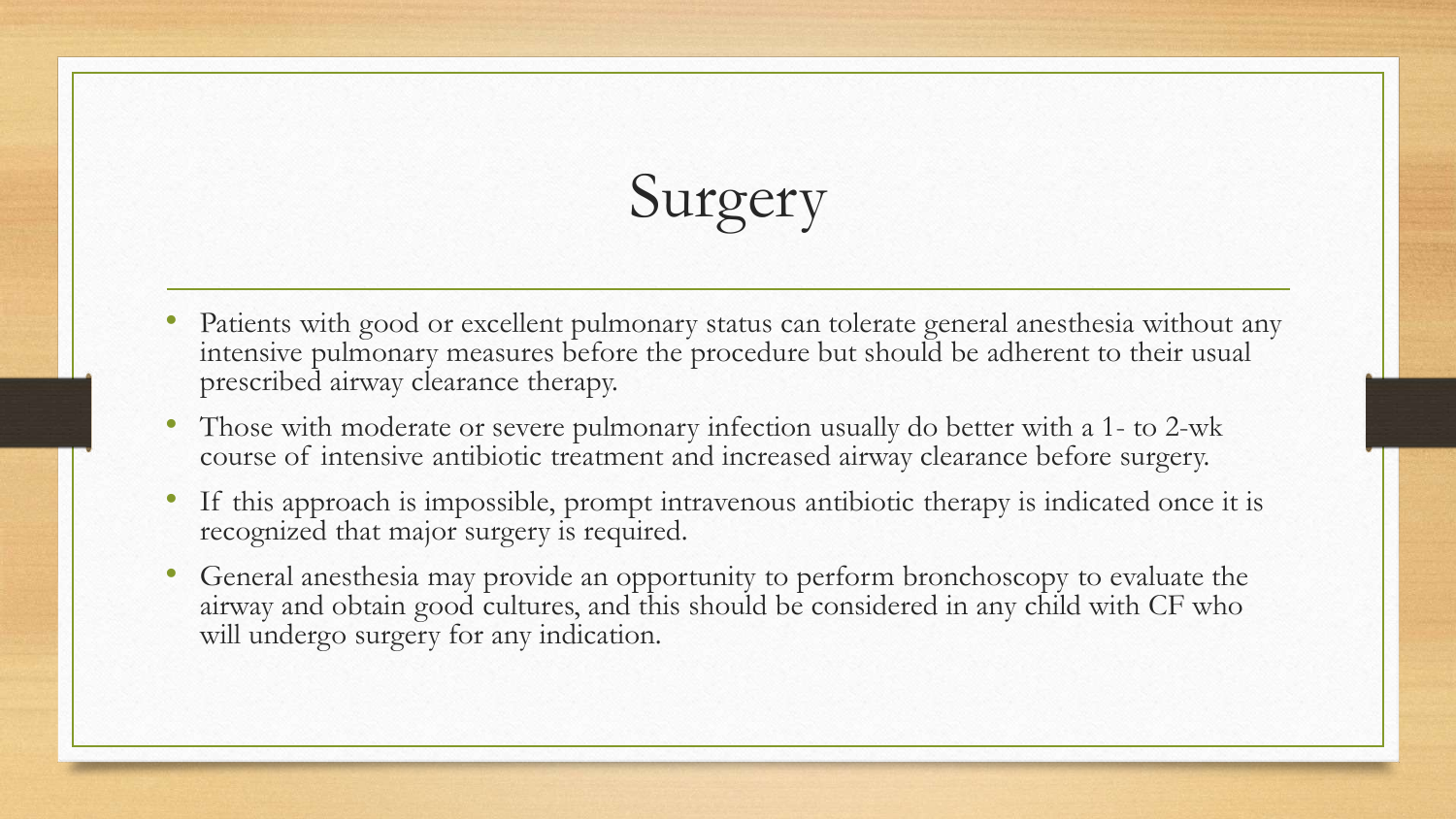Surgery

- Patients with good or excellent pulmonary status can tolerate general anesthesia without any intensive pulmonary measures before the procedure but should be adherent to their usual prescribed airway clearance therapy.
- Those with moderate or severe pulmonary infection usually do better with a 1- to 2-wk course of intensive antibiotic treatment and increased airway clearance before surgery.
- If this approach is impossible, prompt intravenous antibiotic therapy is indicated once it is recognized that major surgery is required.
- General anesthesia may provide an opportunity to perform bronchoscopy to evaluate the airway and obtain good cultures, and this should be considered in any child with CF who will undergo surgery for any indication.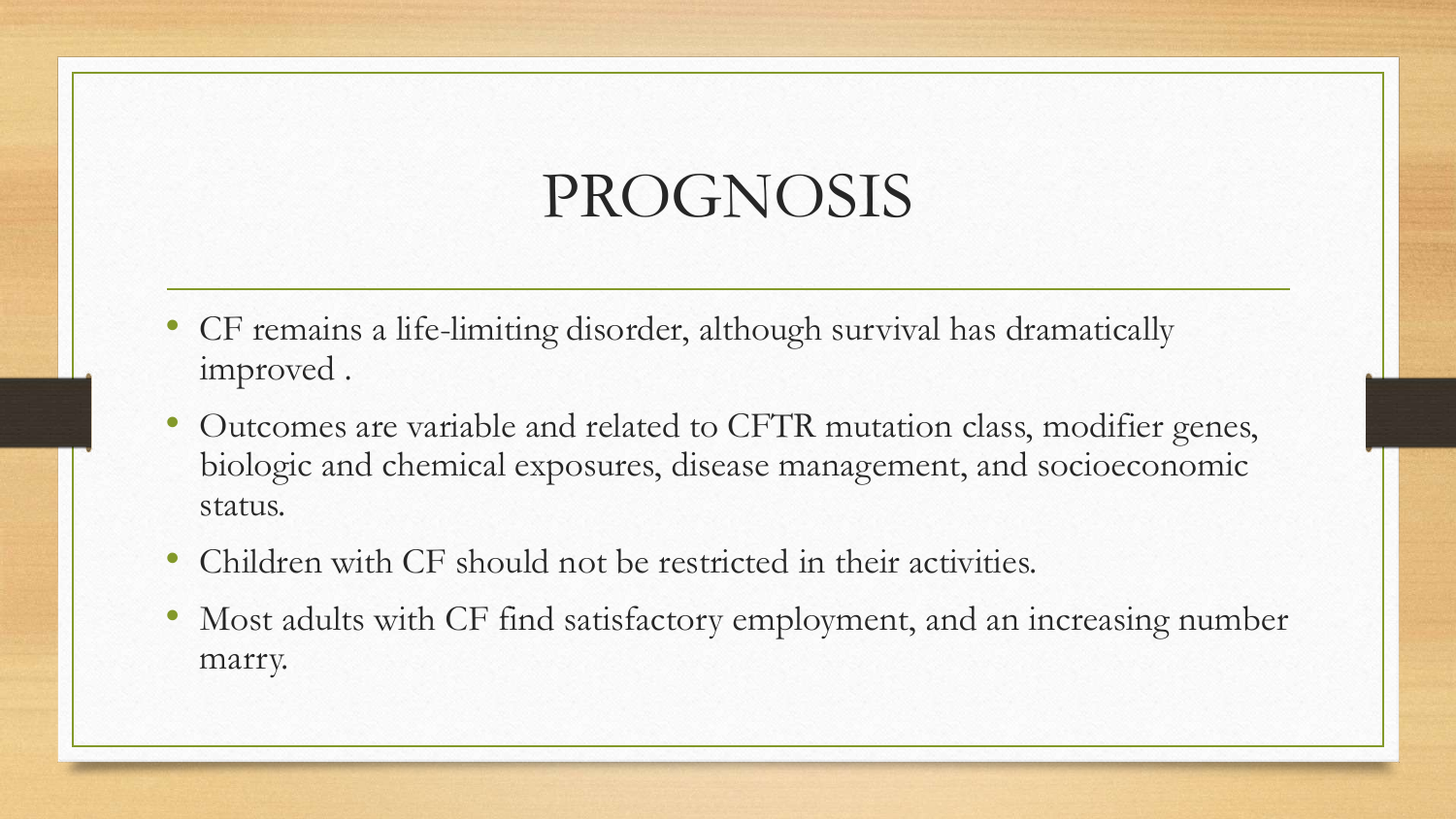## PROGNOSIS

- CF remains a life-limiting disorder, although survival has dramatically improved .
- Outcomes are variable and related to CFTR mutation class, modifier genes, biologic and chemical exposures, disease management, and socioeconomic status.
- Children with CF should not be restricted in their activities.
- Most adults with CF find satisfactory employment, and an increasing number marry.